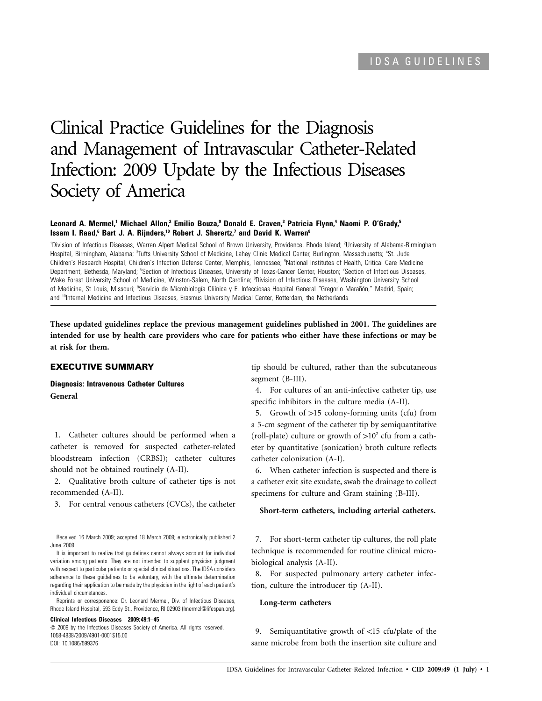# Clinical Practice Guidelines for the Diagnosis and Management of Intravascular Catheter-Related Infection: 2009 Update by the Infectious Diseases Society of America

## **Leonard A. Mermel,1 Michael Allon,2 Emilio Bouza,9 Donald E. Craven,3 Patricia Flynn,4 Naomi P. O'Grady,5 Issam I. Raad,<sup>6</sup> Bart J. A. Rijnders,<sup>10</sup> Robert J. Sherertz,<sup>7</sup> and David K. Warren<sup>8</sup>**

'Division of Infectious Diseases, Warren Alpert Medical School of Brown University, Providence, Rhode Island; <sup>2</sup>University of Alabama-Birmingham Hospital, Birmingham, Alabama; <sup>3</sup>Tufts University School of Medicine, Lahey Clinic Medical Center, Burlington, Massachusetts; <sup>4</sup>St. Jude Children's Research Hospital, Children's Infection Defense Center, Memphis, Tennessee; <sup>5</sup>National Institutes of Health, Critical Care Medicine Department, Bethesda, Maryland; <sup>e</sup>Section of Infectious Diseases, University of Texas-Cancer Center, Houston; <sup>7</sup>Section of Infectious Diseases, Wake Forest University School of Medicine, Winston-Salem, North Carolina; <sup>8</sup>Division of Infectious Diseases, Washington University School of Medicine, St Louis, Missouri; <sup>a</sup>Servicio de Microbiología Cliínica y E. Infecciosas Hospital General "Gregorio Marañón," Madrid, Spain; and <sup>10</sup>Internal Medicine and Infectious Diseases, Erasmus University Medical Center, Rotterdam, the Netherlands

**These updated guidelines replace the previous management guidelines published in 2001. The guidelines are intended for use by health care providers who care for patients who either have these infections or may be at risk for them.**

## EXECUTIVE SUMMARY

**Diagnosis: Intravenous Catheter Cultures General**

1. Catheter cultures should be performed when a catheter is removed for suspected catheter-related bloodstream infection (CRBSI); catheter cultures should not be obtained routinely (A-II).

2. Qualitative broth culture of catheter tips is not recommended (A-II).

3. For central venous catheters (CVCs), the catheter

Received 16 March 2009; accepted 18 March 2009; electronically published 2 June 2009.

Reprints or corresponence: Dr. Leonard Mermel, Div. of Infectious Diseases, Rhode Island Hospital, 593 Eddy St., Providence, RI 02903 (lmermel@lifespan.org).

**Clinical Infectious Diseases 2009; 49:1–45**

 $©$  2009 by the Infectious Diseases Society of America. All rights reserved. 1058-4838/2009/4901-0001\$15.00 DOI: 10.1086/599376

tip should be cultured, rather than the subcutaneous segment (B-III).

4. For cultures of an anti-infective catheter tip, use specific inhibitors in the culture media (A-II).

5. Growth of  $>15$  colony-forming units (cfu) from a 5-cm segment of the catheter tip by semiquantitative (roll-plate) culture or growth of  $>10^2$  cfu from a catheter by quantitative (sonication) broth culture reflects catheter colonization (A-I).

6. When catheter infection is suspected and there is a catheter exit site exudate, swab the drainage to collect specimens for culture and Gram staining (B-III).

#### **Short-term catheters, including arterial catheters.**

7. For short-term catheter tip cultures, the roll plate technique is recommended for routine clinical microbiological analysis (A-II).

8. For suspected pulmonary artery catheter infection, culture the introducer tip (A-II).

#### **Long-term catheters**

9. Semiquantitative growth of  $\langle 15 \text{ cfu/plate of the} \rangle$ same microbe from both the insertion site culture and

It is important to realize that guidelines cannot always account for individual variation among patients. They are not intended to supplant physician judgment with respect to particular patients or special clinical situations. The IDSA considers adherence to these guidelines to be voluntary, with the ultimate determination regarding their application to be made by the physician in the light of each patient's individual circumstances.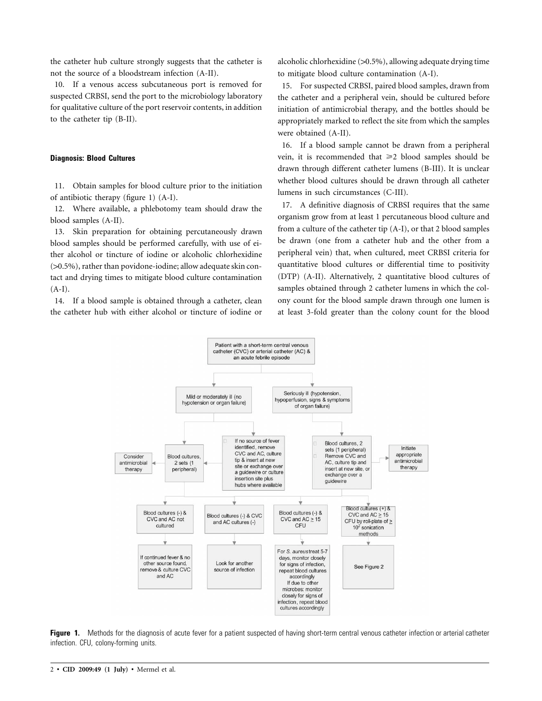the catheter hub culture strongly suggests that the catheter is not the source of a bloodstream infection (A-II).

10. If a venous access subcutaneous port is removed for suspected CRBSI, send the port to the microbiology laboratory for qualitative culture of the port reservoir contents, in addition to the catheter tip (B-II).

#### **Diagnosis: Blood Cultures**

11. Obtain samples for blood culture prior to the initiation of antibiotic therapy (figure 1) (A-I).

12. Where available, a phlebotomy team should draw the blood samples (A-II).

13. Skin preparation for obtaining percutaneously drawn blood samples should be performed carefully, with use of either alcohol or tincture of iodine or alcoholic chlorhexidine  $(0.5\%)$ , rather than povidone-iodine; allow adequate skin contact and drying times to mitigate blood culture contamination  $(A-I).$ 

14. If a blood sample is obtained through a catheter, clean the catheter hub with either alcohol or tincture of iodine or alcoholic chlorhexidine (>0.5%), allowing adequate drying time to mitigate blood culture contamination (A-I).

15. For suspected CRBSI, paired blood samples, drawn from the catheter and a peripheral vein, should be cultured before initiation of antimicrobial therapy, and the bottles should be appropriately marked to reflect the site from which the samples were obtained (A-II).

16. If a blood sample cannot be drawn from a peripheral vein, it is recommended that  $\geq 2$  blood samples should be drawn through different catheter lumens (B-III). It is unclear whether blood cultures should be drawn through all catheter lumens in such circumstances (C-III).

17. A definitive diagnosis of CRBSI requires that the same organism grow from at least 1 percutaneous blood culture and from a culture of the catheter tip (A-I), or that 2 blood samples be drawn (one from a catheter hub and the other from a peripheral vein) that, when cultured, meet CRBSI criteria for quantitative blood cultures or differential time to positivity (DTP) (A-II). Alternatively, 2 quantitative blood cultures of samples obtained through 2 catheter lumens in which the colony count for the blood sample drawn through one lumen is at least 3-fold greater than the colony count for the blood



Figure 1. Methods for the diagnosis of acute fever for a patient suspected of having short-term central venous catheter infection or arterial catheter infection. CFU, colony-forming units.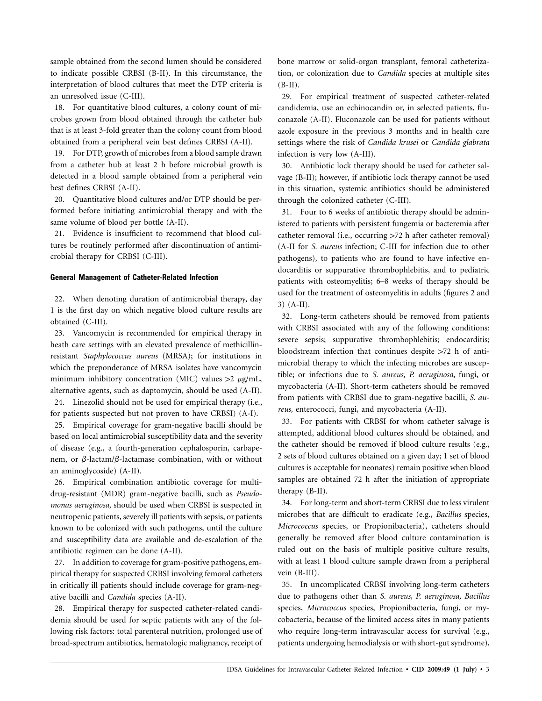sample obtained from the second lumen should be considered to indicate possible CRBSI (B-II). In this circumstance, the interpretation of blood cultures that meet the DTP criteria is an unresolved issue (C-III).

18. For quantitative blood cultures, a colony count of microbes grown from blood obtained through the catheter hub that is at least 3-fold greater than the colony count from blood obtained from a peripheral vein best defines CRBSI (A-II).

19. For DTP, growth of microbes from a blood sample drawn from a catheter hub at least 2 h before microbial growth is detected in a blood sample obtained from a peripheral vein best defines CRBSI (A-II).

20. Quantitative blood cultures and/or DTP should be performed before initiating antimicrobial therapy and with the same volume of blood per bottle (A-II).

21. Evidence is insufficient to recommend that blood cultures be routinely performed after discontinuation of antimicrobial therapy for CRBSI (C-III).

## **General Management of Catheter-Related Infection**

22. When denoting duration of antimicrobial therapy, day 1 is the first day on which negative blood culture results are obtained (C-III).

23. Vancomycin is recommended for empirical therapy in heath care settings with an elevated prevalence of methicillinresistant *Staphylococcus aureus* (MRSA); for institutions in which the preponderance of MRSA isolates have vancomycin minimum inhibitory concentration (MIC) values  $>2 \mu g/mL$ , alternative agents, such as daptomycin, should be used (A-II). 24. Linezolid should not be used for empirical therapy (i.e.,

for patients suspected but not proven to have CRBSI) (A-I).

25. Empirical coverage for gram-negative bacilli should be based on local antimicrobial susceptibility data and the severity of disease (e.g., a fourth-generation cephalosporin, carbapenem, or  $\beta$ -lactam/ $\beta$ -lactamase combination, with or without an aminoglycoside) (A-II).

26. Empirical combination antibiotic coverage for multidrug-resistant (MDR) gram-negative bacilli, such as *Pseudomonas aeruginosa,* should be used when CRBSI is suspected in neutropenic patients, severely ill patients with sepsis, or patients known to be colonized with such pathogens, until the culture and susceptibility data are available and de-escalation of the antibiotic regimen can be done (A-II).

27. In addition to coverage for gram-positive pathogens, empirical therapy for suspected CRBSI involving femoral catheters in critically ill patients should include coverage for gram-negative bacilli and *Candida* species (A-II).

28. Empirical therapy for suspected catheter-related candidemia should be used for septic patients with any of the following risk factors: total parenteral nutrition, prolonged use of broad-spectrum antibiotics, hematologic malignancy, receipt of bone marrow or solid-organ transplant, femoral catheterization, or colonization due to *Candida* species at multiple sites  $(B-II)$ .

29. For empirical treatment of suspected catheter-related candidemia, use an echinocandin or, in selected patients, fluconazole (A-II). Fluconazole can be used for patients without azole exposure in the previous 3 months and in health care settings where the risk of *Candida krusei* or *Candida glabrata* infection is very low (A-III).

30. Antibiotic lock therapy should be used for catheter salvage (B-II); however, if antibiotic lock therapy cannot be used in this situation, systemic antibiotics should be administered through the colonized catheter (C-III).

31. Four to 6 weeks of antibiotic therapy should be administered to patients with persistent fungemia or bacteremia after catheter removal (i.e., occurring >72 h after catheter removal) (A-II for *S. aureus* infection; C-III for infection due to other pathogens), to patients who are found to have infective endocarditis or suppurative thrombophlebitis, and to pediatric patients with osteomyelitis; 6–8 weeks of therapy should be used for the treatment of osteomyelitis in adults (figures 2 and 3) (A-II).

32. Long-term catheters should be removed from patients with CRBSI associated with any of the following conditions: severe sepsis; suppurative thrombophlebitis; endocarditis; bloodstream infection that continues despite >72 h of antimicrobial therapy to which the infecting microbes are susceptible; or infections due to *S. aureus, P. aeruginosa,* fungi, or mycobacteria (A-II). Short-term catheters should be removed from patients with CRBSI due to gram-negative bacilli, *S. aureus,* enterococci, fungi, and mycobacteria (A-II).

33. For patients with CRBSI for whom catheter salvage is attempted, additional blood cultures should be obtained, and the catheter should be removed if blood culture results (e.g., 2 sets of blood cultures obtained on a given day; 1 set of blood cultures is acceptable for neonates) remain positive when blood samples are obtained 72 h after the initiation of appropriate therapy (B-II).

34. For long-term and short-term CRBSI due to less virulent microbes that are difficult to eradicate (e.g., *Bacillus* species, *Micrococcus* species, or Propionibacteria), catheters should generally be removed after blood culture contamination is ruled out on the basis of multiple positive culture results, with at least 1 blood culture sample drawn from a peripheral vein (B-III).

35. In uncomplicated CRBSI involving long-term catheters due to pathogens other than *S. aureus, P. aeruginosa, Bacillus* species, *Micrococcus* species, Propionibacteria, fungi, or mycobacteria, because of the limited access sites in many patients who require long-term intravascular access for survival (e.g., patients undergoing hemodialysis or with short-gut syndrome),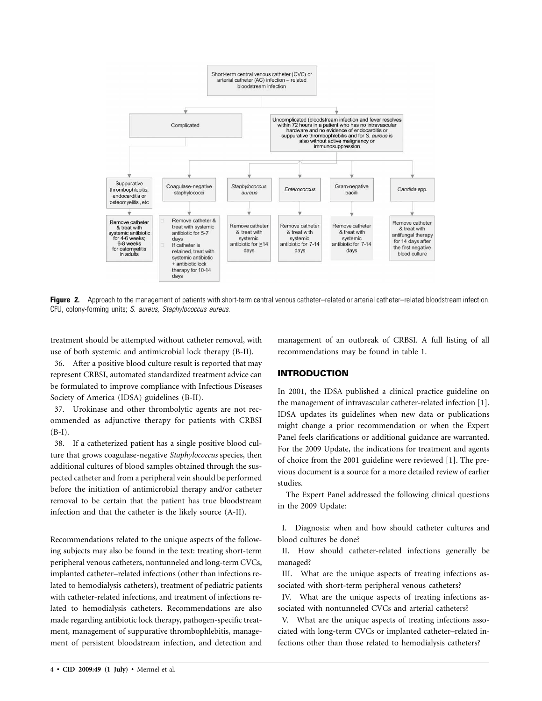

Figure 2. Approach to the management of patients with short-term central venous catheter–related or arterial catheter–related bloodstream infection. CFU, colony-forming units; S. aureus, Staphylococcus aureus.

treatment should be attempted without catheter removal, with use of both systemic and antimicrobial lock therapy (B-II).

36. After a positive blood culture result is reported that may represent CRBSI, automated standardized treatment advice can be formulated to improve compliance with Infectious Diseases Society of America (IDSA) guidelines (B-II).

37. Urokinase and other thrombolytic agents are not recommended as adjunctive therapy for patients with CRBSI (B-I).

38. If a catheterized patient has a single positive blood culture that grows coagulase-negative *Staphylococcus* species, then additional cultures of blood samples obtained through the suspected catheter and from a peripheral vein should be performed before the initiation of antimicrobial therapy and/or catheter removal to be certain that the patient has true bloodstream infection and that the catheter is the likely source (A-II).

Recommendations related to the unique aspects of the following subjects may also be found in the text: treating short-term peripheral venous catheters, nontunneled and long-term CVCs, implanted catheter–related infections (other than infections related to hemodialysis catheters), treatment of pediatric patients with catheter-related infections, and treatment of infections related to hemodialysis catheters. Recommendations are also made regarding antibiotic lock therapy, pathogen-specific treatment, management of suppurative thrombophlebitis, management of persistent bloodstream infection, and detection and management of an outbreak of CRBSI. A full listing of all recommendations may be found in table 1.

#### INTRODUCTION

In 2001, the IDSA published a clinical practice guideline on the management of intravascular catheter-related infection [1]. IDSA updates its guidelines when new data or publications might change a prior recommendation or when the Expert Panel feels clarifications or additional guidance are warranted. For the 2009 Update, the indications for treatment and agents of choice from the 2001 guideline were reviewed [1]. The previous document is a source for a more detailed review of earlier studies.

The Expert Panel addressed the following clinical questions in the 2009 Update:

I. Diagnosis: when and how should catheter cultures and blood cultures be done?

II. How should catheter-related infections generally be managed?

III. What are the unique aspects of treating infections associated with short-term peripheral venous catheters?

IV. What are the unique aspects of treating infections associated with nontunneled CVCs and arterial catheters?

V. What are the unique aspects of treating infections associated with long-term CVCs or implanted catheter–related infections other than those related to hemodialysis catheters?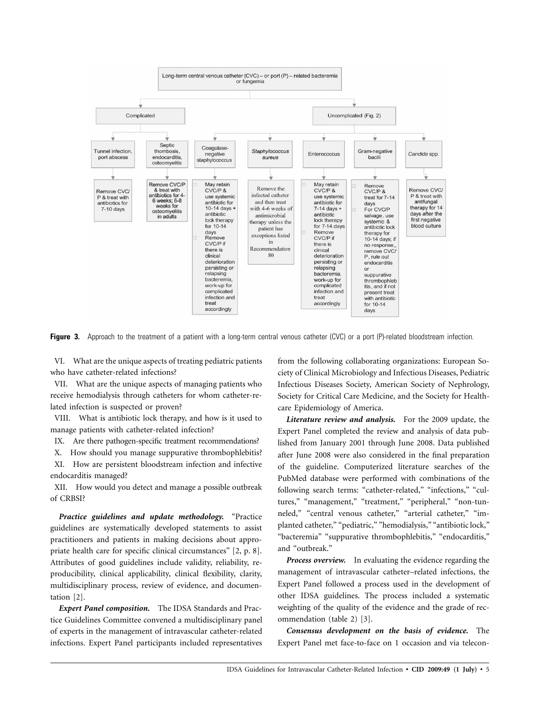

**Figure 3.** Approach to the treatment of a patient with a long-term central venous catheter (CVC) or a port (P)-related bloodstream infection.

VI. What are the unique aspects of treating pediatric patients who have catheter-related infections?

VII. What are the unique aspects of managing patients who receive hemodialysis through catheters for whom catheter-related infection is suspected or proven?

VIII. What is antibiotic lock therapy, and how is it used to manage patients with catheter-related infection?

IX. Are there pathogen-specific treatment recommendations?

X. How should you manage suppurative thrombophlebitis? XI. How are persistent bloodstream infection and infective endocarditis managed?

XII. How would you detect and manage a possible outbreak of CRBSI?

*Practice guidelines and update methodology.* "Practice guidelines are systematically developed statements to assist practitioners and patients in making decisions about appropriate health care for specific clinical circumstances" [2, p. 8]. Attributes of good guidelines include validity, reliability, reproducibility, clinical applicability, clinical flexibility, clarity, multidisciplinary process, review of evidence, and documentation [2].

*Expert Panel composition.* The IDSA Standards and Practice Guidelines Committee convened a multidisciplinary panel of experts in the management of intravascular catheter-related infections. Expert Panel participants included representatives from the following collaborating organizations: European Society of Clinical Microbiology and Infectious Diseases, Pediatric Infectious Diseases Society, American Society of Nephrology, Society for Critical Care Medicine, and the Society for Healthcare Epidemiology of America.

*Literature review and analysis.* For the 2009 update, the Expert Panel completed the review and analysis of data published from January 2001 through June 2008. Data published after June 2008 were also considered in the final preparation of the guideline. Computerized literature searches of the PubMed database were performed with combinations of the following search terms: "catheter-related," "infections," "cultures," "management," "treatment," "peripheral," "non-tunneled," "central venous catheter," "arterial catheter," "implanted catheter," "pediatric," "hemodialysis," "antibiotic lock," "bacteremia" "suppurative thrombophlebitis," "endocarditis," and "outbreak."

*Process overview.* In evaluating the evidence regarding the management of intravascular catheter–related infections, the Expert Panel followed a process used in the development of other IDSA guidelines. The process included a systematic weighting of the quality of the evidence and the grade of recommendation (table 2) [3].

*Consensus development on the basis of evidence.* The Expert Panel met face-to-face on 1 occasion and via telecon-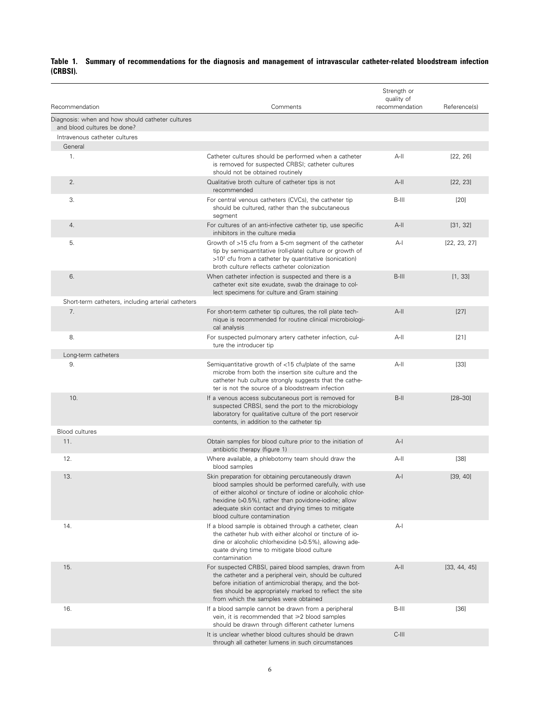## **Table 1. Summary of recommendations for the diagnosis and management of intravascular catheter-related bloodstream infection (CRBSI).**

| Recommendation                                                                  | Comments                                                                                                                                                                                                                                                                                                                 | Strength or<br>quality of<br>recommendation | Reference(s) |
|---------------------------------------------------------------------------------|--------------------------------------------------------------------------------------------------------------------------------------------------------------------------------------------------------------------------------------------------------------------------------------------------------------------------|---------------------------------------------|--------------|
| Diagnosis: when and how should catheter cultures<br>and blood cultures be done? |                                                                                                                                                                                                                                                                                                                          |                                             |              |
| Intravenous catheter cultures                                                   |                                                                                                                                                                                                                                                                                                                          |                                             |              |
| General                                                                         |                                                                                                                                                                                                                                                                                                                          |                                             |              |
| 1.                                                                              | Catheter cultures should be performed when a catheter<br>is removed for suspected CRBSI; catheter cultures<br>should not be obtained routinely                                                                                                                                                                           | $A-H$                                       | [22, 26]     |
| 2.                                                                              | Qualitative broth culture of catheter tips is not<br>recommended                                                                                                                                                                                                                                                         | $A-H$                                       | [22, 23]     |
| 3.                                                                              | For central venous catheters (CVCs), the catheter tip<br>should be cultured, rather than the subcutaneous<br>segment                                                                                                                                                                                                     | B-III                                       | $[20]$       |
| 4.                                                                              | For cultures of an anti-infective catheter tip, use specific<br>inhibitors in the culture media                                                                                                                                                                                                                          | $A-H$                                       | [31, 32]     |
| 5.                                                                              | Growth of >15 cfu from a 5-cm segment of the catheter<br>tip by semiquantitative (roll-plate) culture or growth of<br>$>102$ cfu from a catheter by quantitative (sonication)<br>broth culture reflects catheter colonization                                                                                            | $A-I$                                       | [22, 23, 27] |
| 6.                                                                              | When catheter infection is suspected and there is a<br>catheter exit site exudate, swab the drainage to col-<br>lect specimens for culture and Gram staining                                                                                                                                                             | $B-HI$                                      | [1, 33]      |
| Short-term catheters, including arterial catheters                              |                                                                                                                                                                                                                                                                                                                          |                                             |              |
| 7.                                                                              | For short-term catheter tip cultures, the roll plate tech-<br>nique is recommended for routine clinical microbiologi-<br>cal analysis                                                                                                                                                                                    | $A-H$                                       | [27]         |
| 8.                                                                              | For suspected pulmonary artery catheter infection, cul-<br>ture the introducer tip                                                                                                                                                                                                                                       | A-II                                        | [21]         |
| Long-term catheters                                                             |                                                                                                                                                                                                                                                                                                                          |                                             |              |
| 9.                                                                              | Semiquantitative growth of <15 cfu/plate of the same<br>microbe from both the insertion site culture and the<br>catheter hub culture strongly suggests that the cathe-<br>ter is not the source of a bloodstream infection                                                                                               | $A-H$                                       | $[33]$       |
| 10.                                                                             | If a venous access subcutaneous port is removed for<br>suspected CRBSI, send the port to the microbiology<br>laboratory for qualitative culture of the port reservoir<br>contents, in addition to the catheter tip                                                                                                       | $B-H$                                       | $[28 - 30]$  |
| Blood cultures                                                                  |                                                                                                                                                                                                                                                                                                                          |                                             |              |
| 11.                                                                             | Obtain samples for blood culture prior to the initiation of<br>antibiotic therapy (figure 1)                                                                                                                                                                                                                             | $A-I$                                       |              |
| 12.                                                                             | Where available, a phlebotomy team should draw the<br>blood samples                                                                                                                                                                                                                                                      | $A-H$                                       | [38]         |
| 13.                                                                             | Skin preparation for obtaining percutaneously drawn<br>blood samples should be performed carefully, with use<br>of either alcohol or tincture of iodine or alcoholic chlor-<br>hexidine (>0.5%), rather than povidone-iodine; allow<br>adequate skin contact and drying times to mitigate<br>blood culture contamination | $A-I$                                       | [39, 40]     |
| 14.                                                                             | If a blood sample is obtained through a catheter, clean<br>the catheter hub with either alcohol or tincture of io-<br>dine or alcoholic chlorhexidine (>0.5%), allowing ade-<br>quate drying time to mitigate blood culture<br>contamination                                                                             | $A-I$                                       |              |
| 15.                                                                             | For suspected CRBSI, paired blood samples, drawn from<br>the catheter and a peripheral vein, should be cultured<br>before initiation of antimicrobial therapy, and the bot-<br>tles should be appropriately marked to reflect the site<br>from which the samples were obtained                                           | $A-II$                                      | [33, 44, 45] |
| 16.                                                                             | If a blood sample cannot be drawn from a peripheral<br>vein, it is recommended that $\geq 2$ blood samples<br>should be drawn through different catheter lumens                                                                                                                                                          | B-III                                       | $[36]$       |
|                                                                                 | It is unclear whether blood cultures should be drawn<br>through all catheter lumens in such circumstances                                                                                                                                                                                                                | C-III                                       |              |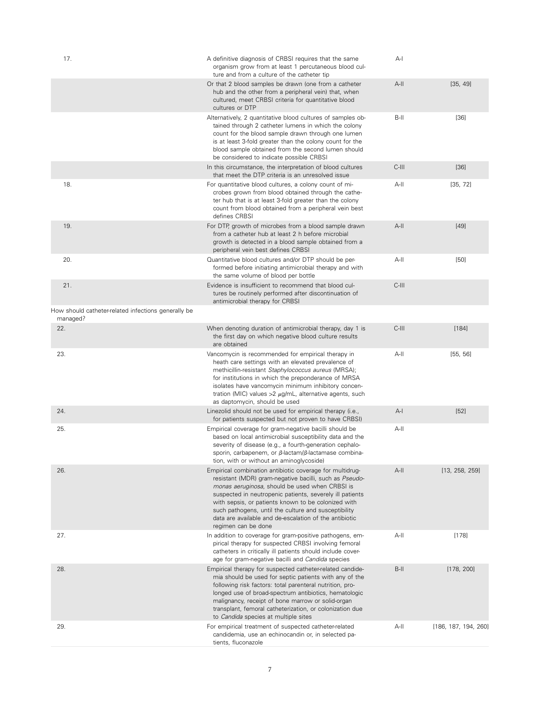| 17.                                                             | A definitive diagnosis of CRBSI requires that the same<br>organism grow from at least 1 percutaneous blood cul-<br>ture and from a culture of the catheter tip                                                                                                                                                                                                                                                                   | $A-I$    |                      |
|-----------------------------------------------------------------|----------------------------------------------------------------------------------------------------------------------------------------------------------------------------------------------------------------------------------------------------------------------------------------------------------------------------------------------------------------------------------------------------------------------------------|----------|----------------------|
|                                                                 | Or that 2 blood samples be drawn (one from a catheter<br>hub and the other from a peripheral vein) that, when<br>cultured, meet CRBSI criteria for quantitative blood<br>cultures or DTP                                                                                                                                                                                                                                         | $A-H$    | [35, 49]             |
|                                                                 | Alternatively, 2 quantitative blood cultures of samples ob-<br>tained through 2 catheter lumens in which the colony<br>count for the blood sample drawn through one lumen<br>is at least 3-fold greater than the colony count for the<br>blood sample obtained from the second lumen should<br>be considered to indicate possible CRBSI                                                                                          | B-II     | $[36]$               |
|                                                                 | In this circumstance, the interpretation of blood cultures<br>that meet the DTP criteria is an unresolved issue                                                                                                                                                                                                                                                                                                                  | $C$ -III | $[36]$               |
| 18.                                                             | For quantitative blood cultures, a colony count of mi-<br>crobes grown from blood obtained through the cathe-<br>ter hub that is at least 3-fold greater than the colony<br>count from blood obtained from a peripheral vein best<br>defines CRBSI                                                                                                                                                                               | $A-H$    | [35, 72]             |
| 19.                                                             | For DTP, growth of microbes from a blood sample drawn<br>from a catheter hub at least 2 h before microbial<br>growth is detected in a blood sample obtained from a<br>peripheral vein best defines CRBSI                                                                                                                                                                                                                         | $A-H$    | $[49]$               |
| 20.                                                             | Quantitative blood cultures and/or DTP should be per-<br>formed before initiating antimicrobial therapy and with<br>the same volume of blood per bottle                                                                                                                                                                                                                                                                          | $A-H$    | $[50]$               |
| 21.                                                             | Evidence is insufficient to recommend that blood cul-<br>tures be routinely performed after discontinuation of<br>antimicrobial therapy for CRBSI                                                                                                                                                                                                                                                                                | $C$ -III |                      |
| How should catheter-related infections generally be<br>managed? |                                                                                                                                                                                                                                                                                                                                                                                                                                  |          |                      |
| 22.                                                             | When denoting duration of antimicrobial therapy, day 1 is<br>the first day on which negative blood culture results<br>are obtained                                                                                                                                                                                                                                                                                               | $C$ -III | [184]                |
| 23.                                                             | Vancomycin is recommended for empirical therapy in<br>heath care settings with an elevated prevalence of<br>methicillin-resistant Staphylococcus aureus (MRSA);<br>for institutions in which the preponderance of MRSA<br>isolates have vancomycin minimum inhibitory concen-<br>tration (MIC) values $>2 \mu g/mL$ , alternative agents, such<br>as daptomycin, should be used                                                  | $A-H$    | [55, 56]             |
| 24.                                                             | Linezolid should not be used for empirical therapy (i.e.,<br>for patients suspected but not proven to have CRBSI)                                                                                                                                                                                                                                                                                                                | $A-I$    | $[52]$               |
| 25.                                                             | Empirical coverage for gram-negative bacilli should be<br>based on local antimicrobial susceptibility data and the<br>severity of disease (e.g., a fourth-generation cephalo-<br>sporin, carbapenem, or $\beta$ -lactam/ $\beta$ -lactamase combina-<br>tion, with or without an aminoglycoside)                                                                                                                                 | $A-H$    |                      |
| 26.                                                             | Empirical combination antibiotic coverage for multidrug-<br>resistant (MDR) gram-negative bacilli, such as Pseudo-<br>monas aeruginosa, should be used when CRBSI is<br>suspected in neutropenic patients, severely ill patients<br>with sepsis, or patients known to be colonized with<br>such pathogens, until the culture and susceptibility<br>data are available and de-escalation of the antibiotic<br>regimen can be done | $A-H$    | [13, 258, 259]       |
| 27.                                                             | In addition to coverage for gram-positive pathogens, em-<br>pirical therapy for suspected CRBSI involving femoral<br>catheters in critically ill patients should include cover-<br>age for gram-negative bacilli and Candida species                                                                                                                                                                                             | $A-H$    | [178]                |
| 28.                                                             | Empirical therapy for suspected catheter-related candide-<br>mia should be used for septic patients with any of the<br>following risk factors: total parenteral nutrition, pro-<br>longed use of broad-spectrum antibiotics, hematologic<br>malignancy, receipt of bone marrow or solid-organ<br>transplant, femoral catheterization, or colonization due<br>to Candida species at multiple sites                                | $B-H$    | [178, 200]           |
| 29.                                                             | For empirical treatment of suspected catheter-related<br>candidemia, use an echinocandin or, in selected pa-<br>tients, fluconazole                                                                                                                                                                                                                                                                                              | A-II     | [186, 187, 194, 260] |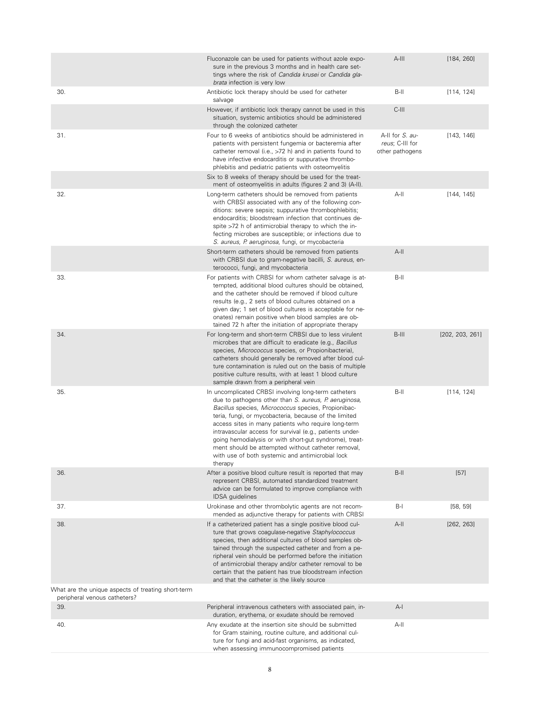|                                                                                    | Fluconazole can be used for patients without azole expo-<br>sure in the previous 3 months and in health care set-<br>tings where the risk of Candida krusei or Candida gla-<br>brata infection is very low                                                                                                                                                                                                                                                                                                                      | A-III                                                 | [184, 260]      |
|------------------------------------------------------------------------------------|---------------------------------------------------------------------------------------------------------------------------------------------------------------------------------------------------------------------------------------------------------------------------------------------------------------------------------------------------------------------------------------------------------------------------------------------------------------------------------------------------------------------------------|-------------------------------------------------------|-----------------|
| 30.                                                                                | Antibiotic lock therapy should be used for catheter<br>salvage                                                                                                                                                                                                                                                                                                                                                                                                                                                                  | B-II                                                  | [114, 124]      |
|                                                                                    | However, if antibiotic lock therapy cannot be used in this<br>situation, systemic antibiotics should be administered<br>through the colonized catheter                                                                                                                                                                                                                                                                                                                                                                          | $C$ -III                                              |                 |
| 31.                                                                                | Four to 6 weeks of antibiotics should be administered in<br>patients with persistent fungemia or bacteremia after<br>catheter removal (i.e., $>72$ h) and in patients found to<br>have infective endocarditis or suppurative thrombo-<br>phlebitis and pediatric patients with osteomyelitis                                                                                                                                                                                                                                    | A-II for S. au-<br>reus; C-III for<br>other pathogens | [143, 146]      |
|                                                                                    | Six to 8 weeks of therapy should be used for the treat-<br>ment of osteomyelitis in adults (figures 2 and 3) (A-II).                                                                                                                                                                                                                                                                                                                                                                                                            |                                                       |                 |
| 32.                                                                                | Long-term catheters should be removed from patients<br>with CRBSI associated with any of the following con-<br>ditions: severe sepsis; suppurative thrombophlebitis;<br>endocarditis; bloodstream infection that continues de-<br>spite >72 h of antimicrobial therapy to which the in-<br>fecting microbes are susceptible; or infections due to<br>S. aureus, P. aeruginosa, fungi, or mycobacteria                                                                                                                           | A-II                                                  | [144, 145]      |
|                                                                                    | Short-term catheters should be removed from patients<br>with CRBSI due to gram-negative bacilli, S. aureus, en-<br>terococci, fungi, and mycobacteria                                                                                                                                                                                                                                                                                                                                                                           | $A-H$                                                 |                 |
| 33.                                                                                | For patients with CRBSI for whom catheter salvage is at-<br>tempted, additional blood cultures should be obtained,<br>and the catheter should be removed if blood culture<br>results (e.g., 2 sets of blood cultures obtained on a<br>given day; 1 set of blood cultures is acceptable for ne-<br>onates) remain positive when blood samples are ob-<br>tained 72 h after the initiation of appropriate therapy                                                                                                                 | $B-II$                                                |                 |
| 34.                                                                                | For long-term and short-term CRBSI due to less virulent<br>microbes that are difficult to eradicate (e.g., Bacillus<br>species, Micrococcus species, or Propionibacteria),<br>catheters should generally be removed after blood cul-<br>ture contamination is ruled out on the basis of multiple<br>positive culture results, with at least 1 blood culture<br>sample drawn from a peripheral vein                                                                                                                              | B-III                                                 | [202, 203, 261] |
| 35.                                                                                | In uncomplicated CRBSI involving long-term catheters<br>due to pathogens other than S. aureus, P. aeruginosa,<br>Bacillus species, Micrococcus species, Propionibac-<br>teria, fungi, or mycobacteria, because of the limited<br>access sites in many patients who require long-term<br>intravascular access for survival (e.g., patients under-<br>going hemodialysis or with short-gut syndrome), treat-<br>ment should be attempted without catheter removal,<br>with use of both systemic and antimicrobial lock<br>therapy | B-II                                                  | [114, 124]      |
| 36.                                                                                | After a positive blood culture result is reported that may<br>represent CRBSI, automated standardized treatment<br>advice can be formulated to improve compliance with<br><b>IDSA</b> quidelines                                                                                                                                                                                                                                                                                                                                | $B-H$                                                 | $[57]$          |
| 37.                                                                                | Urokinase and other thrombolytic agents are not recom-<br>mended as adjunctive therapy for patients with CRBSI                                                                                                                                                                                                                                                                                                                                                                                                                  | $B-I$                                                 | [58, 59]        |
| 38.                                                                                | If a catheterized patient has a single positive blood cul-<br>ture that grows coagulase-negative Staphylococcus<br>species, then additional cultures of blood samples ob-<br>tained through the suspected catheter and from a pe-<br>ripheral vein should be performed before the initiation<br>of antimicrobial therapy and/or catheter removal to be<br>certain that the patient has true bloodstream infection<br>and that the catheter is the likely source                                                                 | $A-H$                                                 | [262, 263]      |
| What are the unique aspects of treating short-term<br>peripheral venous catheters? |                                                                                                                                                                                                                                                                                                                                                                                                                                                                                                                                 |                                                       |                 |
| 39.                                                                                | Peripheral intravenous catheters with associated pain, in-<br>duration, erythema, or exudate should be removed                                                                                                                                                                                                                                                                                                                                                                                                                  | $A-I$                                                 |                 |
| 40.                                                                                | Any exudate at the insertion site should be submitted<br>for Gram staining, routine culture, and additional cul-<br>ture for fungi and acid-fast organisms, as indicated,<br>when assessing immunocompromised patients                                                                                                                                                                                                                                                                                                          | A-II                                                  |                 |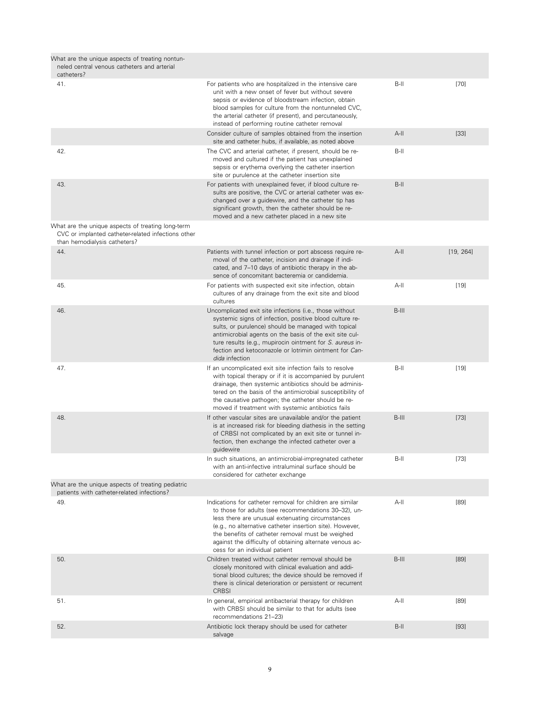| What are the unique aspects of treating nontun-<br>neled central venous catheters and arterial<br>catheters?                            |                                                                                                                                                                                                                                                                                                                                                                                     |       |           |
|-----------------------------------------------------------------------------------------------------------------------------------------|-------------------------------------------------------------------------------------------------------------------------------------------------------------------------------------------------------------------------------------------------------------------------------------------------------------------------------------------------------------------------------------|-------|-----------|
| 41.                                                                                                                                     | For patients who are hospitalized in the intensive care<br>unit with a new onset of fever but without severe<br>sepsis or evidence of bloodstream infection, obtain<br>blood samples for culture from the nontunneled CVC,<br>the arterial catheter (if present), and percutaneously,<br>instead of performing routine catheter removal                                             | B-II  | $[70]$    |
|                                                                                                                                         | Consider culture of samples obtained from the insertion<br>site and catheter hubs, if available, as noted above                                                                                                                                                                                                                                                                     | $A-H$ | $[33]$    |
| 42.                                                                                                                                     | The CVC and arterial catheter, if present, should be re-<br>moved and cultured if the patient has unexplained<br>sepsis or erythema overlying the catheter insertion<br>site or purulence at the catheter insertion site                                                                                                                                                            | B-II  |           |
| 43.                                                                                                                                     | For patients with unexplained fever, if blood culture re-<br>sults are positive, the CVC or arterial catheter was ex-<br>changed over a guidewire, and the catheter tip has<br>significant growth, then the catheter should be re-<br>moved and a new catheter placed in a new site                                                                                                 | $B-H$ |           |
| What are the unique aspects of treating long-term<br>CVC or implanted catheter-related infections other<br>than hemodialysis catheters? |                                                                                                                                                                                                                                                                                                                                                                                     |       |           |
| 44.                                                                                                                                     | Patients with tunnel infection or port abscess require re-<br>moval of the catheter, incision and drainage if indi-<br>cated, and 7-10 days of antibiotic therapy in the ab-<br>sence of concomitant bacteremia or candidemia.                                                                                                                                                      | $A-H$ | [19, 264] |
| 45.                                                                                                                                     | For patients with suspected exit site infection, obtain<br>cultures of any drainage from the exit site and blood<br>cultures                                                                                                                                                                                                                                                        | $A-H$ | $[19]$    |
| 46.                                                                                                                                     | Uncomplicated exit site infections (i.e., those without<br>systemic signs of infection, positive blood culture re-<br>sults, or purulence) should be managed with topical<br>antimicrobial agents on the basis of the exit site cul-<br>ture results (e.g., mupirocin ointment for S. aureus in-<br>fection and ketoconazole or lotrimin ointment for Can-<br>dida infection        | B-III |           |
| 47.                                                                                                                                     | If an uncomplicated exit site infection fails to resolve<br>with topical therapy or if it is accompanied by purulent<br>drainage, then systemic antibiotics should be adminis-<br>tered on the basis of the antimicrobial susceptibility of<br>the causative pathogen; the catheter should be re-<br>moved if treatment with systemic antibiotics fails                             | B-II  | $[19]$    |
| 48.                                                                                                                                     | If other vascular sites are unavailable and/or the patient<br>is at increased risk for bleeding diathesis in the setting<br>of CRBSI not complicated by an exit site or tunnel in-<br>fection, then exchange the infected catheter over a<br>quidewire                                                                                                                              | B-III | $[73]$    |
|                                                                                                                                         | In such situations, an antimicrobial-impregnated catheter<br>with an anti-infective intraluminal surface should be<br>considered for catheter exchange                                                                                                                                                                                                                              | B-II  | $[73]$    |
| What are the unique aspects of treating pediatric<br>patients with catheter-related infections?                                         |                                                                                                                                                                                                                                                                                                                                                                                     |       |           |
| 49.                                                                                                                                     | Indications for catheter removal for children are similar<br>to those for adults (see recommendations 30-32), un-<br>less there are unusual extenuating circumstances<br>(e.g., no alternative catheter insertion site). However,<br>the benefits of catheter removal must be weighed<br>against the difficulty of obtaining alternate venous ac-<br>cess for an individual patient | $A-H$ | [89]      |
| 50.                                                                                                                                     | Children treated without catheter removal should be<br>closely monitored with clinical evaluation and addi-<br>tional blood cultures; the device should be removed if<br>there is clinical deterioration or persistent or recurrent<br><b>CRBSI</b>                                                                                                                                 | B-III | [89]      |
| 51.                                                                                                                                     | In general, empirical antibacterial therapy for children<br>with CRBSI should be similar to that for adults (see<br>recommendations 21-23)                                                                                                                                                                                                                                          | A-II  | [89]      |
| 52.                                                                                                                                     | Antibiotic lock therapy should be used for catheter<br>salvage                                                                                                                                                                                                                                                                                                                      | $B-H$ | $[93]$    |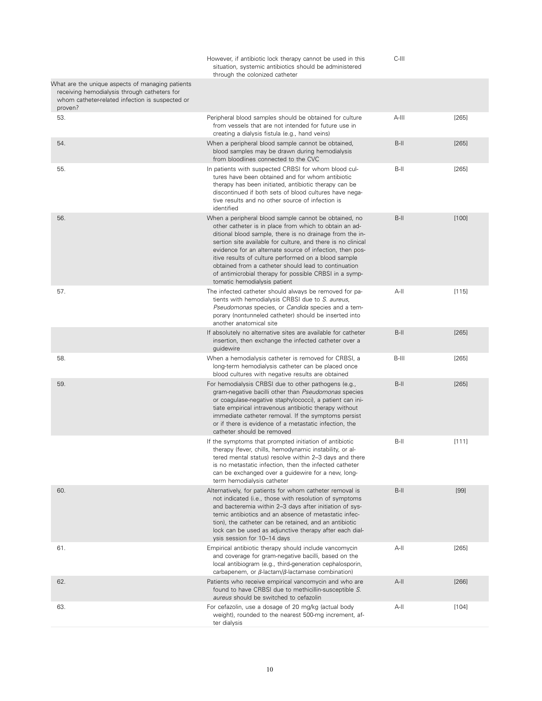|                                                                                                                                                                | However, if antibiotic lock therapy cannot be used in this<br>situation, systemic antibiotics should be administered<br>through the colonized catheter                                                                                                                                                                                                                                                                                                                                                            | $C-III$ |       |
|----------------------------------------------------------------------------------------------------------------------------------------------------------------|-------------------------------------------------------------------------------------------------------------------------------------------------------------------------------------------------------------------------------------------------------------------------------------------------------------------------------------------------------------------------------------------------------------------------------------------------------------------------------------------------------------------|---------|-------|
| What are the unique aspects of managing patients<br>receiving hemodialysis through catheters for<br>whom catheter-related infection is suspected or<br>proven? |                                                                                                                                                                                                                                                                                                                                                                                                                                                                                                                   |         |       |
| 53.                                                                                                                                                            | Peripheral blood samples should be obtained for culture<br>from vessels that are not intended for future use in<br>creating a dialysis fistula (e.g., hand veins)                                                                                                                                                                                                                                                                                                                                                 | $A-HI$  | [265] |
| 54.                                                                                                                                                            | When a peripheral blood sample cannot be obtained,<br>blood samples may be drawn during hemodialysis<br>from bloodlines connected to the CVC                                                                                                                                                                                                                                                                                                                                                                      | $B-II$  | [265] |
| 55.                                                                                                                                                            | In patients with suspected CRBSI for whom blood cul-<br>tures have been obtained and for whom antibiotic<br>therapy has been initiated, antibiotic therapy can be<br>discontinued if both sets of blood cultures have nega-<br>tive results and no other source of infection is<br>identified                                                                                                                                                                                                                     | B-II    | [265] |
| 56.                                                                                                                                                            | When a peripheral blood sample cannot be obtained, no<br>other catheter is in place from which to obtain an ad-<br>ditional blood sample, there is no drainage from the in-<br>sertion site available for culture, and there is no clinical<br>evidence for an alternate source of infection, then pos-<br>itive results of culture performed on a blood sample<br>obtained from a catheter should lead to continuation<br>of antimicrobial therapy for possible CRBSI in a symp-<br>tomatic hemodialysis patient | $B-II$  | [100] |
| 57.                                                                                                                                                            | The infected catheter should always be removed for pa-<br>tients with hemodialysis CRBSI due to S. aureus,<br>Pseudomonas species, or Candida species and a tem-<br>porary (nontunneled catheter) should be inserted into<br>another anatomical site                                                                                                                                                                                                                                                              | $A-H$   | [115] |
|                                                                                                                                                                | If absolutely no alternative sites are available for catheter<br>insertion, then exchange the infected catheter over a<br>guidewire                                                                                                                                                                                                                                                                                                                                                                               | $B-II$  | [265] |
| 58.                                                                                                                                                            | When a hemodialysis catheter is removed for CRBSI, a<br>long-term hemodialysis catheter can be placed once<br>blood cultures with negative results are obtained                                                                                                                                                                                                                                                                                                                                                   | B-III   | [265] |
| 59.                                                                                                                                                            | For hemodialysis CRBSI due to other pathogens (e.g.,<br>gram-negative bacilli other than Pseudomonas species<br>or coagulase-negative staphylococci), a patient can ini-<br>tiate empirical intravenous antibiotic therapy without<br>immediate catheter removal. If the symptoms persist<br>or if there is evidence of a metastatic infection, the<br>catheter should be removed                                                                                                                                 | $B-II$  | [265] |
|                                                                                                                                                                | If the symptoms that prompted initiation of antibiotic<br>therapy (fever, chills, hemodynamic instability, or al-<br>tered mental status) resolve within 2-3 days and there<br>is no metastatic infection, then the infected catheter<br>can be exchanged over a quidewire for a new, long-<br>term hemodialysis catheter                                                                                                                                                                                         | $B-II$  | [111] |
| 60.                                                                                                                                                            | Alternatively, for patients for whom catheter removal is<br>not indicated (i.e., those with resolution of symptoms<br>and bacteremia within 2-3 days after initiation of sys-<br>temic antibiotics and an absence of metastatic infec-<br>tion), the catheter can be retained, and an antibiotic<br>lock can be used as adjunctive therapy after each dial-<br>ysis session for 10-14 days                                                                                                                        | $B-H$   | [99]  |
| 61.                                                                                                                                                            | Empirical antibiotic therapy should include vancomycin<br>and coverage for gram-negative bacilli, based on the<br>local antibiogram (e.g., third-generation cephalosporin,<br>carbapenem, or $\beta$ -lactam/ $\beta$ -lactamase combination)                                                                                                                                                                                                                                                                     | A-II    | [265] |
| 62.                                                                                                                                                            | Patients who receive empirical vancomycin and who are<br>found to have CRBSI due to methicillin-susceptible S.<br>aureus should be switched to cefazolin                                                                                                                                                                                                                                                                                                                                                          | $A-H$   | [266] |
| 63.                                                                                                                                                            | For cefazolin, use a dosage of 20 mg/kg (actual body<br>weight), rounded to the nearest 500-mg increment, af-<br>ter dialysis                                                                                                                                                                                                                                                                                                                                                                                     | A-II    | [104] |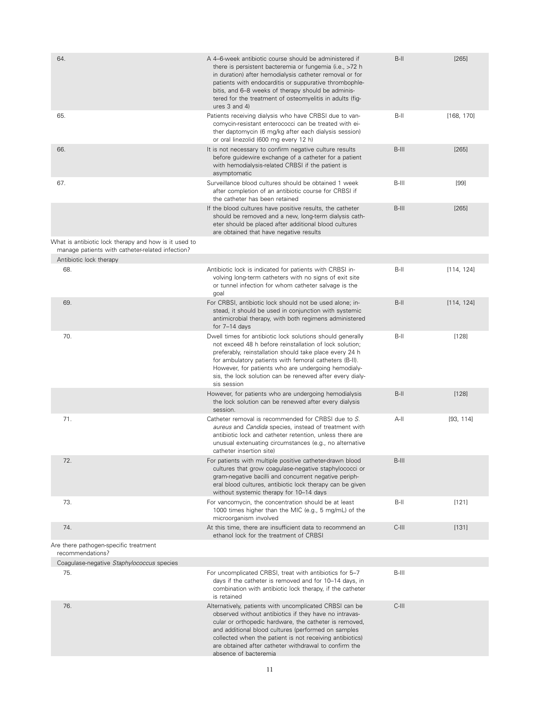| 64.                                                                                                                                  | A 4-6-week antibiotic course should be administered if<br>there is persistent bacteremia or fungemia (i.e., >72 h<br>in duration) after hemodialysis catheter removal or for<br>patients with endocarditis or suppurative thrombophle-<br>bitis, and 6-8 weeks of therapy should be adminis-<br>tered for the treatment of osteomyelitis in adults (fig-<br>ures $3$ and $4$ )   | $B-II$   | [265]      |
|--------------------------------------------------------------------------------------------------------------------------------------|----------------------------------------------------------------------------------------------------------------------------------------------------------------------------------------------------------------------------------------------------------------------------------------------------------------------------------------------------------------------------------|----------|------------|
| 65.                                                                                                                                  | Patients receiving dialysis who have CRBSI due to van-<br>comycin-resistant enterococci can be treated with ei-<br>ther daptomycin (6 mg/kg after each dialysis session)<br>or oral linezolid (600 mg every 12 h)                                                                                                                                                                | B-II     | [168, 170] |
| 66.                                                                                                                                  | It is not necessary to confirm negative culture results<br>before guidewire exchange of a catheter for a patient<br>with hemodialysis-related CRBSI if the patient is<br>asymptomatic                                                                                                                                                                                            | $B-III$  | [265]      |
| 67.                                                                                                                                  | Surveillance blood cultures should be obtained 1 week<br>after completion of an antibiotic course for CRBSI if<br>the catheter has been retained                                                                                                                                                                                                                                 | B-III    | [99]       |
|                                                                                                                                      | If the blood cultures have positive results, the catheter<br>should be removed and a new, long-term dialysis cath-<br>eter should be placed after additional blood cultures<br>are obtained that have negative results                                                                                                                                                           | B-III    | [265]      |
| What is antibiotic lock therapy and how is it used to<br>manage patients with catheter-related infection?<br>Antibiotic lock therapy |                                                                                                                                                                                                                                                                                                                                                                                  |          |            |
| 68.                                                                                                                                  | Antibiotic lock is indicated for patients with CRBSI in-<br>volving long-term catheters with no signs of exit site<br>or tunnel infection for whom catheter salvage is the<br>goal                                                                                                                                                                                               | $B-III$  | [114, 124] |
| 69.                                                                                                                                  | For CRBSI, antibiotic lock should not be used alone; in-<br>stead, it should be used in conjunction with systemic<br>antimicrobial therapy, with both regimens administered<br>for $7-14$ days                                                                                                                                                                                   | $B-H$    | [114, 124] |
| 70.                                                                                                                                  | Dwell times for antibiotic lock solutions should generally<br>not exceed 48 h before reinstallation of lock solution;<br>preferably, reinstallation should take place every 24 h<br>for ambulatory patients with femoral catheters (B-II).<br>However, for patients who are undergoing hemodialy-<br>sis, the lock solution can be renewed after every dialy-<br>sis session     | B-II     | [128]      |
|                                                                                                                                      | However, for patients who are undergoing hemodialysis<br>the lock solution can be renewed after every dialysis<br>session.                                                                                                                                                                                                                                                       | $B-II$   | [128]      |
| 71.                                                                                                                                  | Catheter removal is recommended for CRBSI due to S.<br>aureus and Candida species, instead of treatment with<br>antibiotic lock and catheter retention, unless there are<br>unusual extenuating circumstances (e.g., no alternative<br>catheter insertion site)                                                                                                                  | A-II     | [93, 114]  |
| 72.                                                                                                                                  | For patients with multiple positive catheter-drawn blood<br>cultures that grow coagulase-negative staphylococci or<br>gram-negative bacilli and concurrent negative periph-<br>eral blood cultures, antibiotic lock therapy can be given<br>without systemic therapy for 10-14 days                                                                                              | $B-III$  |            |
| 73.                                                                                                                                  | For vancomycin, the concentration should be at least<br>1000 times higher than the MIC (e.g., 5 mg/mL) of the<br>microorganism involved                                                                                                                                                                                                                                          | $B-II$   | [121]      |
| 74.                                                                                                                                  | At this time, there are insufficient data to recommend an<br>ethanol lock for the treatment of CRBSI                                                                                                                                                                                                                                                                             | $C$ -III | [131]      |
| Are there pathogen-specific treatment<br>recommendations?                                                                            |                                                                                                                                                                                                                                                                                                                                                                                  |          |            |
| Coagulase-negative Staphylococcus species                                                                                            |                                                                                                                                                                                                                                                                                                                                                                                  |          |            |
| 75.                                                                                                                                  | For uncomplicated CRBSI, treat with antibiotics for 5-7<br>days if the catheter is removed and for 10-14 days, in<br>combination with antibiotic lock therapy, if the catheter<br>is retained                                                                                                                                                                                    | B-III    |            |
| 76.                                                                                                                                  | Alternatively, patients with uncomplicated CRBSI can be<br>observed without antibiotics if they have no intravas-<br>cular or orthopedic hardware, the catheter is removed,<br>and additional blood cultures (performed on samples<br>collected when the patient is not receiving antibiotics)<br>are obtained after catheter withdrawal to confirm the<br>absence of bacteremia | $C$ -III |            |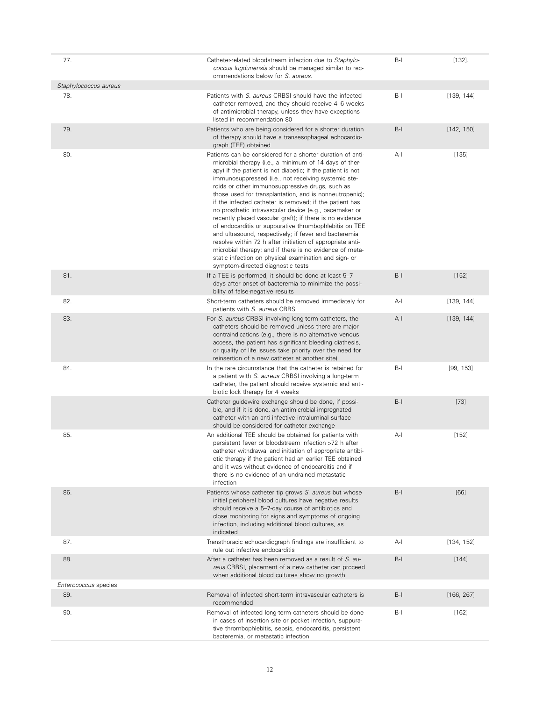| 77.                   | Catheter-related bloodstream infection due to Staphylo-<br>coccus lugdunensis should be managed similar to rec-<br>ommendations below for S. aureus.                                                                                                                                                                                                                                                                                                                                                                                                                                                                                                                                                                                                                                                                                                                              | $B-II$ | $[132]$ .  |
|-----------------------|-----------------------------------------------------------------------------------------------------------------------------------------------------------------------------------------------------------------------------------------------------------------------------------------------------------------------------------------------------------------------------------------------------------------------------------------------------------------------------------------------------------------------------------------------------------------------------------------------------------------------------------------------------------------------------------------------------------------------------------------------------------------------------------------------------------------------------------------------------------------------------------|--------|------------|
| Staphylococcus aureus |                                                                                                                                                                                                                                                                                                                                                                                                                                                                                                                                                                                                                                                                                                                                                                                                                                                                                   |        |            |
| 78.                   | Patients with S. aureus CRBSI should have the infected<br>catheter removed, and they should receive 4–6 weeks<br>of antimicrobial therapy, unless they have exceptions<br>listed in recommendation 80                                                                                                                                                                                                                                                                                                                                                                                                                                                                                                                                                                                                                                                                             | B-II   | [139, 144] |
| 79.                   | Patients who are being considered for a shorter duration<br>of therapy should have a transesophageal echocardio-<br>graph (TEE) obtained                                                                                                                                                                                                                                                                                                                                                                                                                                                                                                                                                                                                                                                                                                                                          | $B-II$ | [142, 150] |
| 80.                   | Patients can be considered for a shorter duration of anti-<br>microbial therapy (i.e., a minimum of 14 days of ther-<br>apy) if the patient is not diabetic; if the patient is not<br>immunosuppressed (i.e., not receiving systemic ste-<br>roids or other immunosuppressive drugs, such as<br>those used for transplantation, and is nonneutropenic);<br>if the infected catheter is removed; if the patient has<br>no prosthetic intravascular device (e.g., pacemaker or<br>recently placed vascular graft); if there is no evidence<br>of endocarditis or suppurative thrombophlebitis on TEE<br>and ultrasound, respectively; if fever and bacteremia<br>resolve within 72 h after initiation of appropriate anti-<br>microbial therapy; and if there is no evidence of meta-<br>static infection on physical examination and sign- or<br>symptom-directed diagnostic tests | A-II   | [135]      |
| 81.                   | If a TEE is performed, it should be done at least 5-7<br>days after onset of bacteremia to minimize the possi-<br>bility of false-negative results                                                                                                                                                                                                                                                                                                                                                                                                                                                                                                                                                                                                                                                                                                                                | $B-II$ | [152]      |
| 82.                   | Short-term catheters should be removed immediately for<br>patients with S. aureus CRBSI                                                                                                                                                                                                                                                                                                                                                                                                                                                                                                                                                                                                                                                                                                                                                                                           | A-II   | [139, 144] |
| 83.                   | For S. aureus CRBSI involving long-term catheters, the<br>catheters should be removed unless there are major<br>contraindications (e.g., there is no alternative venous<br>access, the patient has significant bleeding diathesis,<br>or quality of life issues take priority over the need for<br>reinsertion of a new catheter at another site)                                                                                                                                                                                                                                                                                                                                                                                                                                                                                                                                 | $A-H$  | [139, 144] |
| 84.                   | In the rare circumstance that the catheter is retained for<br>a patient with S. aureus CRBSI involving a long-term<br>catheter, the patient should receive systemic and anti-<br>biotic lock therapy for 4 weeks                                                                                                                                                                                                                                                                                                                                                                                                                                                                                                                                                                                                                                                                  | B-II   | [99, 153]  |
|                       | Catheter guidewire exchange should be done, if possi-<br>ble, and if it is done, an antimicrobial-impregnated<br>catheter with an anti-infective intraluminal surface<br>should be considered for catheter exchange                                                                                                                                                                                                                                                                                                                                                                                                                                                                                                                                                                                                                                                               | $B-II$ | [73]       |
| 85.                   | An additional TEE should be obtained for patients with<br>persistent fever or bloodstream infection >72 h after<br>catheter withdrawal and initiation of appropriate antibi-<br>otic therapy if the patient had an earlier TEE obtained<br>and it was without evidence of endocarditis and if<br>there is no evidence of an undrained metastatic<br>infection                                                                                                                                                                                                                                                                                                                                                                                                                                                                                                                     | A-II   | [152]      |
| 86.                   | Patients whose catheter tip grows S. aureus but whose<br>initial peripheral blood cultures have negative results<br>should receive a 5-7-day course of antibiotics and<br>close monitoring for signs and symptoms of ongoing<br>infection, including additional blood cultures, as<br>indicated                                                                                                                                                                                                                                                                                                                                                                                                                                                                                                                                                                                   | $B-II$ | [66]       |
| 87.                   | Transthoracic echocardiograph findings are insufficient to<br>rule out infective endocarditis                                                                                                                                                                                                                                                                                                                                                                                                                                                                                                                                                                                                                                                                                                                                                                                     | A-II   | [134, 152] |
| 88.                   | After a catheter has been removed as a result of S, au-<br>reus CRBSI, placement of a new catheter can proceed<br>when additional blood cultures show no growth                                                                                                                                                                                                                                                                                                                                                                                                                                                                                                                                                                                                                                                                                                                   | $B-II$ | [144]      |
| Enterococcus species  |                                                                                                                                                                                                                                                                                                                                                                                                                                                                                                                                                                                                                                                                                                                                                                                                                                                                                   |        |            |
| 89.                   | Removal of infected short-term intravascular catheters is<br>recommended                                                                                                                                                                                                                                                                                                                                                                                                                                                                                                                                                                                                                                                                                                                                                                                                          | $B-II$ | [166, 267] |
| 90.                   | Removal of infected long-term catheters should be done<br>in cases of insertion site or pocket infection, suppura-<br>tive thrombophlebitis, sepsis, endocarditis, persistent<br>bacteremia, or metastatic infection                                                                                                                                                                                                                                                                                                                                                                                                                                                                                                                                                                                                                                                              | B-II   | [162]      |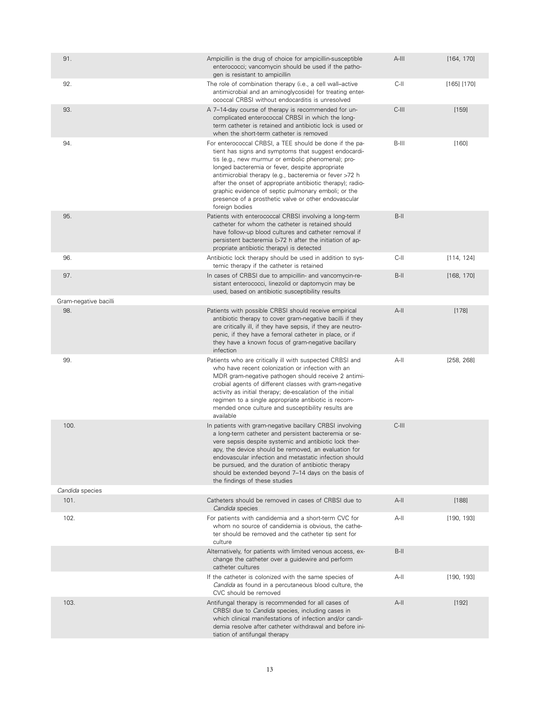| 91.                   | Ampicillin is the drug of choice for ampicillin-susceptible<br>enterococci; vancomycin should be used if the patho-<br>gen is resistant to ampicillin                                                                                                                                                                                                                                                                                                                            | $A-HI$   | [164, 170]  |
|-----------------------|----------------------------------------------------------------------------------------------------------------------------------------------------------------------------------------------------------------------------------------------------------------------------------------------------------------------------------------------------------------------------------------------------------------------------------------------------------------------------------|----------|-------------|
| 92.                   | The role of combination therapy (i.e., a cell wall-active<br>antimicrobial and an aminoglycoside) for treating enter-<br>ococcal CRBSI without endocarditis is unresolved                                                                                                                                                                                                                                                                                                        | $C-11$   | [165] [170] |
| 93.                   | A 7-14-day course of therapy is recommended for un-<br>complicated enterococcal CRBSI in which the long-<br>term catheter is retained and antibiotic lock is used or<br>when the short-term catheter is removed                                                                                                                                                                                                                                                                  | $C$ -III | [159]       |
| 94.                   | For enterococcal CRBSI, a TEE should be done if the pa-<br>tient has signs and symptoms that suggest endocardi-<br>tis (e.g., new murmur or embolic phenomena); pro-<br>longed bacteremia or fever, despite appropriate<br>antimicrobial therapy (e.g., bacteremia or fever >72 h<br>after the onset of appropriate antibiotic therapy); radio-<br>graphic evidence of septic pulmonary emboli; or the<br>presence of a prosthetic valve or other endovascular<br>foreign bodies | B-III    | [160]       |
| 95.                   | Patients with enterococcal CRBSI involving a long-term<br>catheter for whom the catheter is retained should<br>have follow-up blood cultures and catheter removal if<br>persistent bacteremia (>72 h after the initiation of ap-<br>propriate antibiotic therapy) is detected                                                                                                                                                                                                    | $B-II$   |             |
| 96.                   | Antibiotic lock therapy should be used in addition to sys-<br>temic therapy if the catheter is retained                                                                                                                                                                                                                                                                                                                                                                          | C-II     | [114, 124]  |
| 97.                   | In cases of CRBSI due to ampicillin- and vancomycin-re-<br>sistant enterococci, linezolid or daptomycin may be<br>used, based on antibiotic susceptibility results                                                                                                                                                                                                                                                                                                               | $B-II$   | [168, 170]  |
| Gram-negative bacilli |                                                                                                                                                                                                                                                                                                                                                                                                                                                                                  |          |             |
| 98.                   | Patients with possible CRBSI should receive empirical<br>antibiotic therapy to cover gram-negative bacilli if they<br>are critically ill, if they have sepsis, if they are neutro-<br>penic, if they have a femoral catheter in place, or if<br>they have a known focus of gram-negative bacillary<br>infection                                                                                                                                                                  | $A-H$    | [178]       |
| 99.                   | Patients who are critically ill with suspected CRBSI and<br>who have recent colonization or infection with an<br>MDR gram-negative pathogen should receive 2 antimi-<br>crobial agents of different classes with gram-negative<br>activity as initial therapy; de-escalation of the initial<br>regimen to a single appropriate antibiotic is recom-<br>mended once culture and susceptibility results are<br>available                                                           | $A-H$    | [258, 268]  |
| 100.                  | In patients with gram-negative bacillary CRBSI involving<br>a long-term catheter and persistent bacteremia or se-<br>vere sepsis despite systemic and antibiotic lock ther-<br>apy, the device should be removed, an evaluation for<br>endovascular infection and metastatic infection should<br>be pursued, and the duration of antibiotic therapy<br>should be extended beyond 7–14 days on the basis of<br>the findings of these studies                                      | $C$ -III |             |
| Candida species       |                                                                                                                                                                                                                                                                                                                                                                                                                                                                                  |          |             |
| 101.                  | Catheters should be removed in cases of CRBSI due to<br>Candida species                                                                                                                                                                                                                                                                                                                                                                                                          | $A-H$    | [188]       |
| 102.                  | For patients with candidemia and a short-term CVC for<br>whom no source of candidemia is obvious, the cathe-<br>ter should be removed and the catheter tip sent for<br>culture                                                                                                                                                                                                                                                                                                   | A-II     | [190, 193]  |
|                       | Alternatively, for patients with limited venous access, ex-<br>change the catheter over a guidewire and perform<br>catheter cultures                                                                                                                                                                                                                                                                                                                                             | $B-II$   |             |
|                       | If the catheter is colonized with the same species of<br>Candida as found in a percutaneous blood culture, the<br>CVC should be removed                                                                                                                                                                                                                                                                                                                                          | A-II     | [190, 193]  |
| 103.                  | Antifungal therapy is recommended for all cases of<br>CRBSI due to <i>Candida</i> species, including cases in<br>which clinical manifestations of infection and/or candi-<br>demia resolve after catheter withdrawal and before ini-<br>tiation of antifungal therapy                                                                                                                                                                                                            | $A-H$    | [192]       |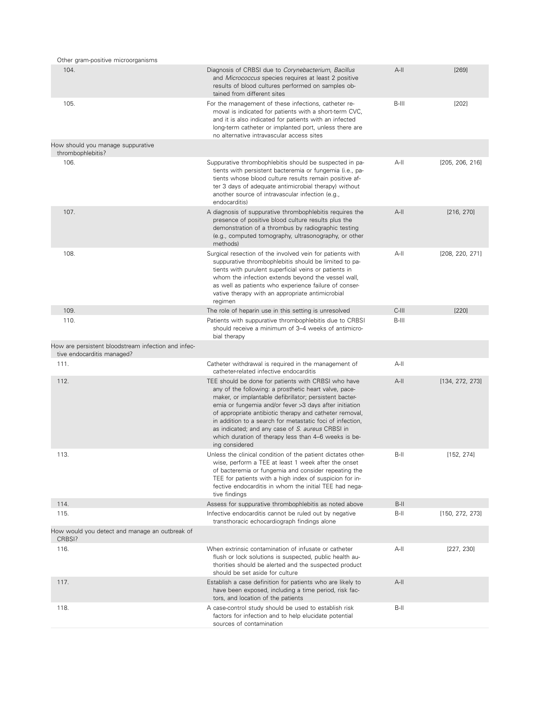| Other gram-positive microorganisms                                                |                                                                                                                                                                                                                                                                                                                                                                                                                                                                                         |         |                 |
|-----------------------------------------------------------------------------------|-----------------------------------------------------------------------------------------------------------------------------------------------------------------------------------------------------------------------------------------------------------------------------------------------------------------------------------------------------------------------------------------------------------------------------------------------------------------------------------------|---------|-----------------|
| 104.                                                                              | Diagnosis of CRBSI due to Corynebacterium, Bacillus<br>and Micrococcus species requires at least 2 positive<br>results of blood cultures performed on samples ob-<br>tained from different sites                                                                                                                                                                                                                                                                                        | $A-H$   | [269]           |
| 105.                                                                              | For the management of these infections, catheter re-<br>moval is indicated for patients with a short-term CVC,<br>and it is also indicated for patients with an infected<br>long-term catheter or implanted port, unless there are<br>no alternative intravascular access sites                                                                                                                                                                                                         | $B-III$ | [202]           |
| How should you manage suppurative<br>thrombophlebitis?                            |                                                                                                                                                                                                                                                                                                                                                                                                                                                                                         |         |                 |
| 106.                                                                              | Suppurative thrombophlebitis should be suspected in pa-<br>tients with persistent bacteremia or fungemia (i.e., pa-<br>tients whose blood culture results remain positive af-<br>ter 3 days of adequate antimicrobial therapy) without<br>another source of intravascular infection (e.g.,<br>endocarditis)                                                                                                                                                                             | $A-H$   | [205, 206, 216] |
| 107.                                                                              | A diagnosis of suppurative thrombophlebitis requires the<br>presence of positive blood culture results plus the<br>demonstration of a thrombus by radiographic testing<br>(e.g., computed tomography, ultrasonography, or other<br>methods)                                                                                                                                                                                                                                             | $A-H$   | [216, 270]      |
| 108.                                                                              | Surgical resection of the involved vein for patients with<br>suppurative thrombophlebitis should be limited to pa-<br>tients with purulent superficial veins or patients in<br>whom the infection extends beyond the vessel wall,<br>as well as patients who experience failure of conser-<br>vative therapy with an appropriate antimicrobial<br>regimen                                                                                                                               | $A-H$   | [208, 220, 271] |
| 109.                                                                              | The role of heparin use in this setting is unresolved                                                                                                                                                                                                                                                                                                                                                                                                                                   | $C-III$ | [220]           |
| 110.                                                                              | Patients with suppurative thrombophlebitis due to CRBSI<br>should receive a minimum of 3–4 weeks of antimicro-<br>bial therapy                                                                                                                                                                                                                                                                                                                                                          | $B-III$ |                 |
| How are persistent bloodstream infection and infec-<br>tive endocarditis managed? |                                                                                                                                                                                                                                                                                                                                                                                                                                                                                         |         |                 |
| 111.                                                                              | Catheter withdrawal is required in the management of<br>catheter-related infective endocarditis                                                                                                                                                                                                                                                                                                                                                                                         | $A-H$   |                 |
| 112.                                                                              | TEE should be done for patients with CRBSI who have<br>any of the following: a prosthetic heart valve, pace-<br>maker, or implantable defibrillator; persistent bacter-<br>emia or fungemia and/or fever >3 days after initiation<br>of appropriate antibiotic therapy and catheter removal,<br>in addition to a search for metastatic foci of infection,<br>as indicated; and any case of S. aureus CRBSI in<br>which duration of therapy less than 4-6 weeks is be-<br>ing considered | $A-H$   | [134, 272, 273] |
| 113.                                                                              | Unless the clinical condition of the patient dictates other-<br>wise, perform a TEE at least 1 week after the onset<br>of bacteremia or fungemia and consider repeating the<br>TEE for patients with a high index of suspicion for in-<br>fective endocarditis in whom the initial TEE had nega-<br>tive findings                                                                                                                                                                       | $B-II$  | [152, 274]      |
| 114.                                                                              | Assess for suppurative thrombophlebitis as noted above                                                                                                                                                                                                                                                                                                                                                                                                                                  | B-II    |                 |
| 115.                                                                              | Infective endocarditis cannot be ruled out by negative<br>transthoracic echocardiograph findings alone                                                                                                                                                                                                                                                                                                                                                                                  | $B-II$  | [150, 272, 273] |
| How would you detect and manage an outbreak of<br>CRBSI?                          |                                                                                                                                                                                                                                                                                                                                                                                                                                                                                         |         |                 |
| 116.                                                                              | When extrinsic contamination of infusate or catheter<br>flush or lock solutions is suspected, public health au-<br>thorities should be alerted and the suspected product<br>should be set aside for culture                                                                                                                                                                                                                                                                             | A-II    | [227, 230]      |
| 117.                                                                              | Establish a case definition for patients who are likely to<br>have been exposed, including a time period, risk fac-<br>tors, and location of the patients                                                                                                                                                                                                                                                                                                                               | $A-H$   |                 |
| 118.                                                                              | A case-control study should be used to establish risk<br>factors for infection and to help elucidate potential<br>sources of contamination                                                                                                                                                                                                                                                                                                                                              | $B-H$   |                 |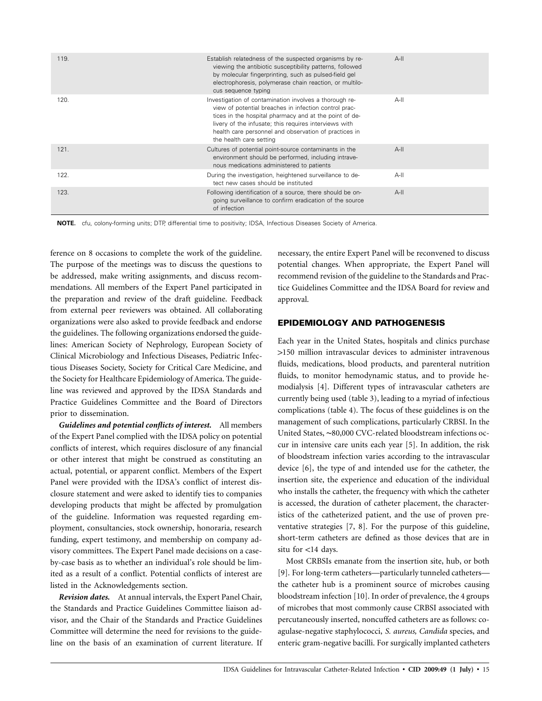| 119. | Establish relatedness of the suspected organisms by re-<br>viewing the antibiotic susceptibility patterns, followed<br>by molecular fingerprinting, such as pulsed-field gel<br>electrophoresis, polymerase chain reaction, or multilo-<br>cus sequence typing                                                         | $A-H$ |
|------|------------------------------------------------------------------------------------------------------------------------------------------------------------------------------------------------------------------------------------------------------------------------------------------------------------------------|-------|
| 120. | Investigation of contamination involves a thorough re-<br>view of potential breaches in infection control prac-<br>tices in the hospital pharmacy and at the point of de-<br>livery of the infusate; this requires interviews with<br>health care personnel and observation of practices in<br>the health care setting | $A-H$ |
| 121. | Cultures of potential point-source contaminants in the<br>environment should be performed, including intrave-<br>nous medications administered to patients                                                                                                                                                             | $A-H$ |
| 122. | During the investigation, heightened surveillance to de-<br>tect new cases should be instituted                                                                                                                                                                                                                        | $A-H$ |
| 123. | Following identification of a source, there should be on-<br>going surveillance to confirm eradication of the source<br>of infection                                                                                                                                                                                   | $A-H$ |

**NOTE.** cfu, colony-forming units; DTP, differential time to positivity; IDSA, Infectious Diseases Society of America.

ference on 8 occasions to complete the work of the guideline. The purpose of the meetings was to discuss the questions to be addressed, make writing assignments, and discuss recommendations. All members of the Expert Panel participated in the preparation and review of the draft guideline. Feedback from external peer reviewers was obtained. All collaborating organizations were also asked to provide feedback and endorse the guidelines. The following organizations endorsed the guidelines: American Society of Nephrology, European Society of Clinical Microbiology and Infectious Diseases, Pediatric Infectious Diseases Society, Society for Critical Care Medicine, and the Society for Healthcare Epidemiology of America. The guideline was reviewed and approved by the IDSA Standards and Practice Guidelines Committee and the Board of Directors prior to dissemination.

*Guidelines and potential conflicts of interest.* All members of the Expert Panel complied with the IDSA policy on potential conflicts of interest, which requires disclosure of any financial or other interest that might be construed as constituting an actual, potential, or apparent conflict. Members of the Expert Panel were provided with the IDSA's conflict of interest disclosure statement and were asked to identify ties to companies developing products that might be affected by promulgation of the guideline. Information was requested regarding employment, consultancies, stock ownership, honoraria, research funding, expert testimony, and membership on company advisory committees. The Expert Panel made decisions on a caseby-case basis as to whether an individual's role should be limited as a result of a conflict. Potential conflicts of interest are listed in the Acknowledgements section.

*Revision dates.* At annual intervals, the Expert Panel Chair, the Standards and Practice Guidelines Committee liaison advisor, and the Chair of the Standards and Practice Guidelines Committee will determine the need for revisions to the guideline on the basis of an examination of current literature. If necessary, the entire Expert Panel will be reconvened to discuss potential changes. When appropriate, the Expert Panel will recommend revision of the guideline to the Standards and Practice Guidelines Committee and the IDSA Board for review and approval.

## EPIDEMIOLOGY AND PATHOGENESIS

Each year in the United States, hospitals and clinics purchase 1150 million intravascular devices to administer intravenous fluids, medications, blood products, and parenteral nutrition fluids, to monitor hemodynamic status, and to provide hemodialysis [4]. Different types of intravascular catheters are currently being used (table 3), leading to a myriad of infectious complications (table 4). The focus of these guidelines is on the management of such complications, particularly CRBSI. In the United States, ∼80,000 CVC-related bloodstream infections occur in intensive care units each year [5]. In addition, the risk of bloodstream infection varies according to the intravascular device [6], the type of and intended use for the catheter, the insertion site, the experience and education of the individual who installs the catheter, the frequency with which the catheter is accessed, the duration of catheter placement, the characteristics of the catheterized patient, and the use of proven preventative strategies [7, 8]. For the purpose of this guideline, short-term catheters are defined as those devices that are in situ for <14 days.

Most CRBSIs emanate from the insertion site, hub, or both [9]. For long-term catheters—particularly tunneled catheters the catheter hub is a prominent source of microbes causing bloodstream infection [10]. In order of prevalence, the 4 groups of microbes that most commonly cause CRBSI associated with percutaneously inserted, noncuffed catheters are as follows: coagulase-negative staphylococci, *S. aureus, Candida* species, and enteric gram-negative bacilli. For surgically implanted catheters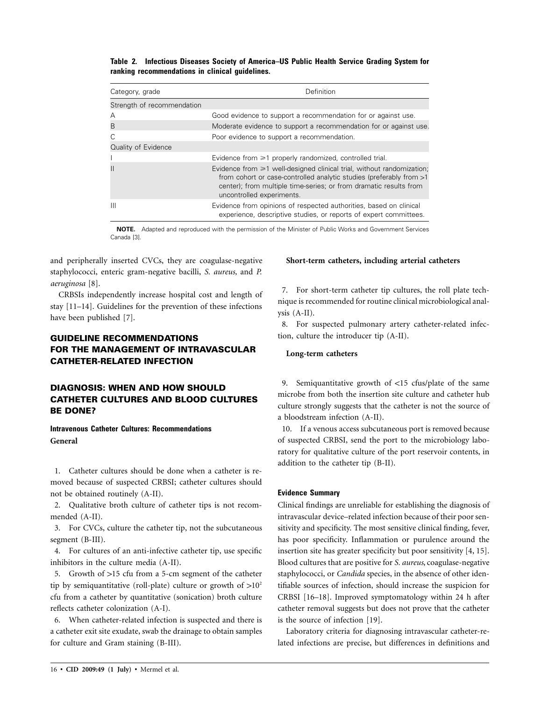**Table 2. Infectious Diseases Society of America–US Public Health Service Grading System for ranking recommendations in clinical guidelines.**

| Category, grade            | Definition                                                                                                                                                                                                                                           |
|----------------------------|------------------------------------------------------------------------------------------------------------------------------------------------------------------------------------------------------------------------------------------------------|
| Strength of recommendation |                                                                                                                                                                                                                                                      |
| А                          | Good evidence to support a recommendation for or against use.                                                                                                                                                                                        |
| B                          | Moderate evidence to support a recommendation for or against use.                                                                                                                                                                                    |
| C                          | Poor evidence to support a recommendation.                                                                                                                                                                                                           |
| Quality of Evidence        |                                                                                                                                                                                                                                                      |
|                            | Evidence from $\geq 1$ properly randomized, controlled trial.                                                                                                                                                                                        |
| $\mathsf{II}$              | Evidence from $\geq 1$ well-designed clinical trial, without randomization;<br>from cohort or case-controlled analytic studies (preferably from >1<br>center); from multiple time-series; or from dramatic results from<br>uncontrolled experiments. |
| $\mathbf{III}$             | Evidence from opinions of respected authorities, based on clinical<br>experience, descriptive studies, or reports of expert committees.                                                                                                              |

**NOTE.** Adapted and reproduced with the permission of the Minister of Public Works and Government Services Canada [3].

and peripherally inserted CVCs, they are coagulase-negative staphylococci, enteric gram-negative bacilli, *S. aureus,* and *P. aeruginosa* [8].

CRBSIs independently increase hospital cost and length of stay [11–14]. Guidelines for the prevention of these infections have been published [7].

# GUIDELINE RECOMMENDATIONS FOR THE MANAGEMENT OF INTRAVASCULAR CATHETER-RELATED INFECTION

# DIAGNOSIS: WHEN AND HOW SHOULD CATHETER CULTURES AND BLOOD CULTURES BE DONE?

# **Intravenous Catheter Cultures: Recommendations General**

1. Catheter cultures should be done when a catheter is removed because of suspected CRBSI; catheter cultures should not be obtained routinely (A-II).

2. Qualitative broth culture of catheter tips is not recommended (A-II).

3. For CVCs, culture the catheter tip, not the subcutaneous segment (B-III).

4. For cultures of an anti-infective catheter tip, use specific inhibitors in the culture media (A-II).

5. Growth of  $>15$  cfu from a 5-cm segment of the catheter tip by semiquantitative (roll-plate) culture or growth of  $>10<sup>2</sup>$ cfu from a catheter by quantitative (sonication) broth culture reflects catheter colonization (A-I).

6. When catheter-related infection is suspected and there is a catheter exit site exudate, swab the drainage to obtain samples for culture and Gram staining (B-III).

## **Short-term catheters, including arterial catheters**

7. For short-term catheter tip cultures, the roll plate technique is recommended for routine clinical microbiological analysis (A-II).

8. For suspected pulmonary artery catheter-related infection, culture the introducer tip (A-II).

## **Long-term catheters**

9. Semiquantitative growth of  $\langle 15 \text{ cftus/plate of the same} \rangle$ microbe from both the insertion site culture and catheter hub culture strongly suggests that the catheter is not the source of a bloodstream infection (A-II).

10. If a venous access subcutaneous port is removed because of suspected CRBSI, send the port to the microbiology laboratory for qualitative culture of the port reservoir contents, in addition to the catheter tip (B-II).

## **Evidence Summary**

Clinical findings are unreliable for establishing the diagnosis of intravascular device–related infection because of their poor sensitivity and specificity. The most sensitive clinical finding, fever, has poor specificity. Inflammation or purulence around the insertion site has greater specificity but poor sensitivity [4, 15]. Blood cultures that are positive for *S. aureus*, coagulase-negative staphylococci, or *Candida* species, in the absence of other identifiable sources of infection, should increase the suspicion for CRBSI [16–18]. Improved symptomatology within 24 h after catheter removal suggests but does not prove that the catheter is the source of infection [19].

Laboratory criteria for diagnosing intravascular catheter-related infections are precise, but differences in definitions and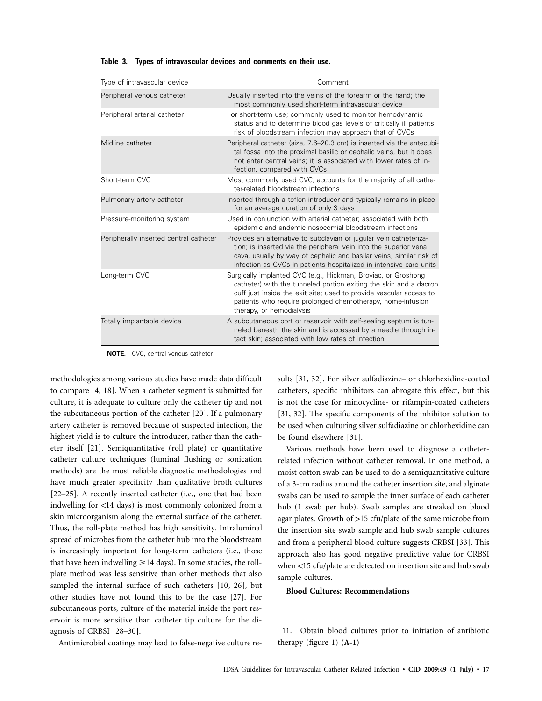| Type of intravascular device           | Comment                                                                                                                                                                                                                                                                                            |
|----------------------------------------|----------------------------------------------------------------------------------------------------------------------------------------------------------------------------------------------------------------------------------------------------------------------------------------------------|
| Peripheral venous catheter             | Usually inserted into the veins of the forearm or the hand; the<br>most commonly used short-term intravascular device                                                                                                                                                                              |
| Peripheral arterial catheter           | For short-term use; commonly used to monitor hemodynamic<br>status and to determine blood gas levels of critically ill patients;<br>risk of bloodstream infection may approach that of CVCs                                                                                                        |
| Midline catheter                       | Peripheral catheter (size, 7.6–20.3 cm) is inserted via the antecubi-<br>tal fossa into the proximal basilic or cephalic veins, but it does<br>not enter central veins; it is associated with lower rates of in-<br>fection, compared with CVCs                                                    |
| Short-term CVC                         | Most commonly used CVC; accounts for the majority of all cathe-<br>ter-related bloodstream infections                                                                                                                                                                                              |
| Pulmonary artery catheter              | Inserted through a teflon introducer and typically remains in place<br>for an average duration of only 3 days                                                                                                                                                                                      |
| Pressure-monitoring system             | Used in conjunction with arterial catheter; associated with both<br>epidemic and endemic nosocomial bloodstream infections                                                                                                                                                                         |
| Peripherally inserted central catheter | Provides an alternative to subclavian or jugular vein catheteriza-<br>tion; is inserted via the peripheral vein into the superior vena<br>cava, usually by way of cephalic and basilar veins; similar risk of<br>infection as CVCs in patients hospitalized in intensive care units                |
| Long-term CVC                          | Surgically implanted CVC (e.g., Hickman, Broviac, or Groshong<br>catheter) with the tunneled portion exiting the skin and a dacron<br>cuff just inside the exit site; used to provide vascular access to<br>patients who require prolonged chemotherapy, home-infusion<br>therapy, or hemodialysis |
| Totally implantable device             | A subcutaneous port or reservoir with self-sealing septum is tun-<br>neled beneath the skin and is accessed by a needle through in-<br>tact skin; associated with low rates of infection                                                                                                           |

**Table 3. Types of intravascular devices and comments on their use.**

**NOTE.** CVC, central venous catheter

methodologies among various studies have made data difficult to compare [4, 18]. When a catheter segment is submitted for culture, it is adequate to culture only the catheter tip and not the subcutaneous portion of the catheter [20]. If a pulmonary artery catheter is removed because of suspected infection, the highest yield is to culture the introducer, rather than the catheter itself [21]. Semiquantitative (roll plate) or quantitative catheter culture techniques (luminal flushing or sonication methods) are the most reliable diagnostic methodologies and have much greater specificity than qualitative broth cultures [22–25]. A recently inserted catheter (i.e., one that had been indwelling for  $<$ 14 days) is most commonly colonized from a skin microorganism along the external surface of the catheter. Thus, the roll-plate method has high sensitivity. Intraluminal spread of microbes from the catheter hub into the bloodstream is increasingly important for long-term catheters (i.e., those that have been indwelling  $\geq 14$  days). In some studies, the rollplate method was less sensitive than other methods that also sampled the internal surface of such catheters [10, 26], but other studies have not found this to be the case [27]. For subcutaneous ports, culture of the material inside the port reservoir is more sensitive than catheter tip culture for the diagnosis of CRBSI [28–30].

Antimicrobial coatings may lead to false-negative culture re-

sults [31, 32]. For silver sulfadiazine– or chlorhexidine-coated catheters, specific inhibitors can abrogate this effect, but this is not the case for minocycline- or rifampin-coated catheters [31, 32]. The specific components of the inhibitor solution to be used when culturing silver sulfadiazine or chlorhexidine can be found elsewhere [31].

Various methods have been used to diagnose a catheterrelated infection without catheter removal. In one method, a moist cotton swab can be used to do a semiquantitative culture of a 3-cm radius around the catheter insertion site, and alginate swabs can be used to sample the inner surface of each catheter hub (1 swab per hub). Swab samples are streaked on blood agar plates. Growth of >15 cfu/plate of the same microbe from the insertion site swab sample and hub swab sample cultures and from a peripheral blood culture suggests CRBSI [33]. This approach also has good negative predictive value for CRBSI when <15 cfu/plate are detected on insertion site and hub swab sample cultures.

#### **Blood Cultures: Recommendations**

11. Obtain blood cultures prior to initiation of antibiotic therapy (figure 1) **(A-1)**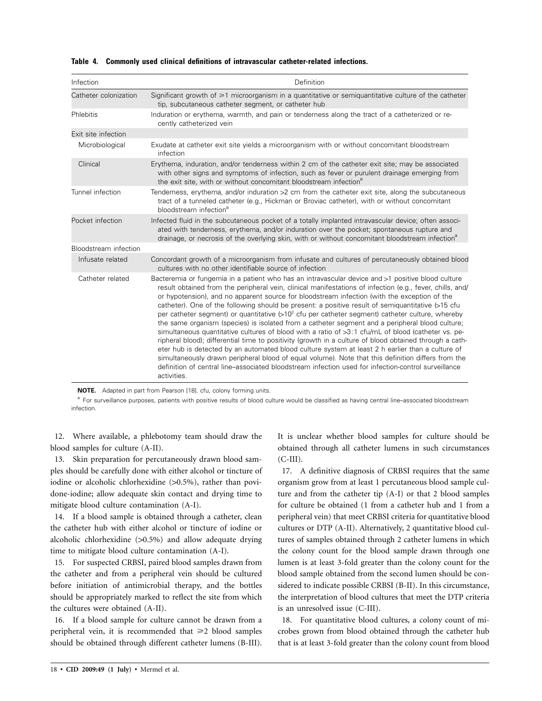| Infection             | Definition                                                                                                                                                                                                                                                                                                                                                                                                                                                                                                                                                                                                                                                                                                                                                                                                                                                                                                                                                                                                                                                                                                                                                                   |
|-----------------------|------------------------------------------------------------------------------------------------------------------------------------------------------------------------------------------------------------------------------------------------------------------------------------------------------------------------------------------------------------------------------------------------------------------------------------------------------------------------------------------------------------------------------------------------------------------------------------------------------------------------------------------------------------------------------------------------------------------------------------------------------------------------------------------------------------------------------------------------------------------------------------------------------------------------------------------------------------------------------------------------------------------------------------------------------------------------------------------------------------------------------------------------------------------------------|
| Catheter colonization | Significant growth of $\geq 1$ microorganism in a quantitative or semiguantitative culture of the catheter<br>tip, subcutaneous catheter segment, or catheter hub                                                                                                                                                                                                                                                                                                                                                                                                                                                                                                                                                                                                                                                                                                                                                                                                                                                                                                                                                                                                            |
| Phlebitis             | Induration or erythema, warmth, and pain or tenderness along the tract of a catheterized or re-<br>cently catheterized vein                                                                                                                                                                                                                                                                                                                                                                                                                                                                                                                                                                                                                                                                                                                                                                                                                                                                                                                                                                                                                                                  |
| Exit site infection   |                                                                                                                                                                                                                                                                                                                                                                                                                                                                                                                                                                                                                                                                                                                                                                                                                                                                                                                                                                                                                                                                                                                                                                              |
| Microbiological       | Exudate at catheter exit site yields a microorganism with or without concomitant bloodstream<br>infection                                                                                                                                                                                                                                                                                                                                                                                                                                                                                                                                                                                                                                                                                                                                                                                                                                                                                                                                                                                                                                                                    |
| Clinical              | Erythema, induration, and/or tenderness within 2 cm of the catheter exit site; may be associated<br>with other signs and symptoms of infection, such as fever or purulent drainage emerging from<br>the exit site, with or without concomitant bloodstream infection <sup>a</sup>                                                                                                                                                                                                                                                                                                                                                                                                                                                                                                                                                                                                                                                                                                                                                                                                                                                                                            |
| Tunnel infection      | Tenderness, erythema, and/or induration $>2$ cm from the catheter exit site, along the subcutaneous<br>tract of a tunneled catheter (e.g., Hickman or Broviac catheter), with or without concomitant<br>bloodstream infection <sup>a</sup>                                                                                                                                                                                                                                                                                                                                                                                                                                                                                                                                                                                                                                                                                                                                                                                                                                                                                                                                   |
| Pocket infection      | Infected fluid in the subcutaneous pocket of a totally implanted intravascular device; often associ-<br>ated with tenderness, erythema, and/or induration over the pocket; spontaneous rupture and<br>drainage, or necrosis of the overlying skin, with or without concomitant bloodstream infection <sup>a</sup>                                                                                                                                                                                                                                                                                                                                                                                                                                                                                                                                                                                                                                                                                                                                                                                                                                                            |
| Bloodstream infection |                                                                                                                                                                                                                                                                                                                                                                                                                                                                                                                                                                                                                                                                                                                                                                                                                                                                                                                                                                                                                                                                                                                                                                              |
| Infusate related      | Concordant growth of a microorganism from infusate and cultures of percutaneously obtained blood<br>cultures with no other identifiable source of infection                                                                                                                                                                                                                                                                                                                                                                                                                                                                                                                                                                                                                                                                                                                                                                                                                                                                                                                                                                                                                  |
| Catheter related      | Bacteremia or fungemia in a patient who has an intravascular device and >1 positive blood culture<br>result obtained from the peripheral vein, clinical manifestations of infection (e.g., fever, chills, and/<br>or hypotension), and no apparent source for bloodstream infection (with the exception of the<br>catheter). One of the following should be present: a positive result of semiguantitative (>15 cfu<br>per catheter segment) or quantitative $(>102$ cfu per catheter segment) catheter culture, whereby<br>the same organism (species) is isolated from a catheter segment and a peripheral blood culture;<br>simultaneous quantitative cultures of blood with a ratio of >3:1 cfu/mL of blood (catheter vs. pe-<br>ripheral blood); differential time to positivity (growth in a culture of blood obtained through a cath-<br>eter hub is detected by an automated blood culture system at least 2 h earlier than a culture of<br>simultaneously drawn peripheral blood of equal volume). Note that this definition differs from the<br>definition of central line–associated bloodstream infection used for infection-control surveillance<br>activities. |

#### **Table 4. Commonly used clinical definitions of intravascular catheter-related infections.**

**NOTE.** Adapted in part from Pearson [18]. cfu, colony forming units.

a For surveillance purposes, patients with positive results of blood culture would be classified as having central line-associated bloodstream infection.

12. Where available, a phlebotomy team should draw the blood samples for culture (A-II).

13. Skin preparation for percutaneously drawn blood samples should be carefully done with either alcohol or tincture of iodine or alcoholic chlorhexidine  $(>0.5\%)$ , rather than povidone-iodine; allow adequate skin contact and drying time to mitigate blood culture contamination (A-I).

14. If a blood sample is obtained through a catheter, clean the catheter hub with either alcohol or tincture of iodine or alcoholic chlorhexidine  $(>0.5%)$  and allow adequate drying time to mitigate blood culture contamination (A-I).

15. For suspected CRBSI, paired blood samples drawn from the catheter and from a peripheral vein should be cultured before initiation of antimicrobial therapy, and the bottles should be appropriately marked to reflect the site from which the cultures were obtained (A-II).

16. If a blood sample for culture cannot be drawn from a peripheral vein, it is recommended that  $\geq 2$  blood samples should be obtained through different catheter lumens (B-III). It is unclear whether blood samples for culture should be obtained through all catheter lumens in such circumstances  $(C-III)$ .

17. A definitive diagnosis of CRBSI requires that the same organism grow from at least 1 percutaneous blood sample culture and from the catheter tip (A-I) or that 2 blood samples for culture be obtained (1 from a catheter hub and 1 from a peripheral vein) that meet CRBSI criteria for quantitative blood cultures or DTP (A-II). Alternatively, 2 quantitative blood cultures of samples obtained through 2 catheter lumens in which the colony count for the blood sample drawn through one lumen is at least 3-fold greater than the colony count for the blood sample obtained from the second lumen should be considered to indicate possible CRBSI (B-II). In this circumstance, the interpretation of blood cultures that meet the DTP criteria is an unresolved issue (C-III).

18. For quantitative blood cultures, a colony count of microbes grown from blood obtained through the catheter hub that is at least 3-fold greater than the colony count from blood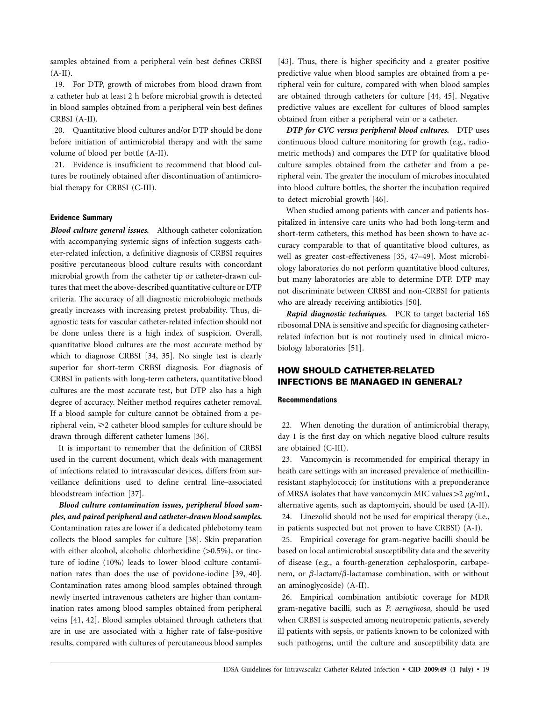samples obtained from a peripheral vein best defines CRBSI  $(A-II).$ 

19. For DTP, growth of microbes from blood drawn from a catheter hub at least 2 h before microbial growth is detected in blood samples obtained from a peripheral vein best defines CRBSI (A-II).

20. Quantitative blood cultures and/or DTP should be done before initiation of antimicrobial therapy and with the same volume of blood per bottle (A-II).

21. Evidence is insufficient to recommend that blood cultures be routinely obtained after discontinuation of antimicrobial therapy for CRBSI (C-III).

### **Evidence Summary**

*Blood culture general issues.* Although catheter colonization with accompanying systemic signs of infection suggests catheter-related infection, a definitive diagnosis of CRBSI requires positive percutaneous blood culture results with concordant microbial growth from the catheter tip or catheter-drawn cultures that meet the above-described quantitative culture or DTP criteria. The accuracy of all diagnostic microbiologic methods greatly increases with increasing pretest probability. Thus, diagnostic tests for vascular catheter-related infection should not be done unless there is a high index of suspicion. Overall, quantitative blood cultures are the most accurate method by which to diagnose CRBSI [34, 35]. No single test is clearly superior for short-term CRBSI diagnosis. For diagnosis of CRBSI in patients with long-term catheters, quantitative blood cultures are the most accurate test, but DTP also has a high degree of accuracy. Neither method requires catheter removal. If a blood sample for culture cannot be obtained from a peripheral vein,  $\geq 2$  catheter blood samples for culture should be drawn through different catheter lumens [36].

It is important to remember that the definition of CRBSI used in the current document, which deals with management of infections related to intravascular devices, differs from surveillance definitions used to define central line–associated bloodstream infection [37].

*Blood culture contamination issues, peripheral blood samples, and paired peripheral and catheter-drawn blood samples.* Contamination rates are lower if a dedicated phlebotomy team collects the blood samples for culture [38]. Skin preparation with either alcohol, alcoholic chlorhexidine  $(>0.5\%)$ , or tincture of iodine (10%) leads to lower blood culture contamination rates than does the use of povidone-iodine [39, 40]. Contamination rates among blood samples obtained through newly inserted intravenous catheters are higher than contamination rates among blood samples obtained from peripheral veins [41, 42]. Blood samples obtained through catheters that are in use are associated with a higher rate of false-positive results, compared with cultures of percutaneous blood samples

[43]. Thus, there is higher specificity and a greater positive predictive value when blood samples are obtained from a peripheral vein for culture, compared with when blood samples are obtained through catheters for culture [44, 45]. Negative predictive values are excellent for cultures of blood samples obtained from either a peripheral vein or a catheter.

*DTP for CVC versus peripheral blood cultures.* DTP uses continuous blood culture monitoring for growth (e.g., radiometric methods) and compares the DTP for qualitative blood culture samples obtained from the catheter and from a peripheral vein. The greater the inoculum of microbes inoculated into blood culture bottles, the shorter the incubation required to detect microbial growth [46].

When studied among patients with cancer and patients hospitalized in intensive care units who had both long-term and short-term catheters, this method has been shown to have accuracy comparable to that of quantitative blood cultures, as well as greater cost-effectiveness [35, 47–49]. Most microbiology laboratories do not perform quantitative blood cultures, but many laboratories are able to determine DTP. DTP may not discriminate between CRBSI and non-CRBSI for patients who are already receiving antibiotics [50].

*Rapid diagnostic techniques.* PCR to target bacterial 16S ribosomal DNA is sensitive and specific for diagnosing catheterrelated infection but is not routinely used in clinical microbiology laboratories [51].

# HOW SHOULD CATHETER-RELATED INFECTIONS BE MANAGED IN GENERAL?

#### **Recommendations**

22. When denoting the duration of antimicrobial therapy, day 1 is the first day on which negative blood culture results are obtained (C-III).

23. Vancomycin is recommended for empirical therapy in heath care settings with an increased prevalence of methicillinresistant staphylococci; for institutions with a preponderance of MRSA isolates that have vancomycin MIC values  $>2 \mu g/mL$ , alternative agents, such as daptomycin, should be used (A-II).

24. Linezolid should not be used for empirical therapy (i.e., in patients suspected but not proven to have CRBSI) (A-I).

25. Empirical coverage for gram-negative bacilli should be based on local antimicrobial susceptibility data and the severity of disease (e.g., a fourth-generation cephalosporin, carbapenem, or  $\beta$ -lactam/ $\beta$ -lactamase combination, with or without an aminoglycoside) (A-II).

26. Empirical combination antibiotic coverage for MDR gram-negative bacilli, such as *P. aeruginosa*, should be used when CRBSI is suspected among neutropenic patients, severely ill patients with sepsis, or patients known to be colonized with such pathogens, until the culture and susceptibility data are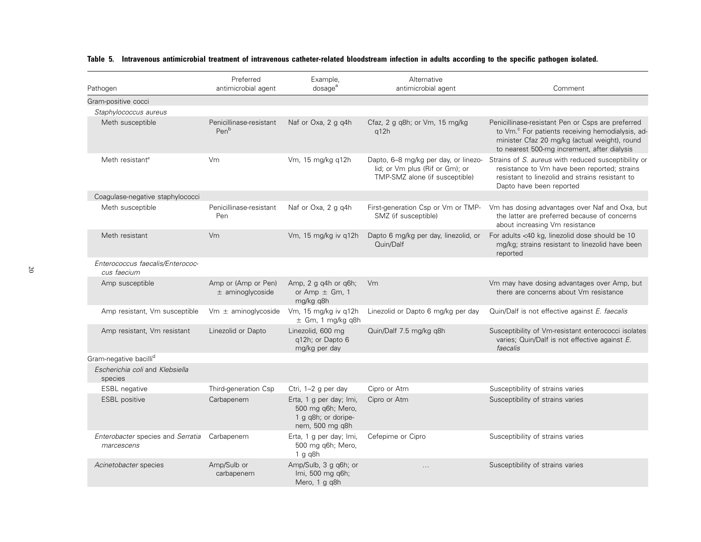| Pathogen                                        | Preferred<br>antimicrobial agent            | Example,<br>dosage <sup>a</sup>                                                        | Alternative<br>antimicrobial agent                                                                        | Comment                                                                                                                                                                                                           |
|-------------------------------------------------|---------------------------------------------|----------------------------------------------------------------------------------------|-----------------------------------------------------------------------------------------------------------|-------------------------------------------------------------------------------------------------------------------------------------------------------------------------------------------------------------------|
| Gram-positive cocci                             |                                             |                                                                                        |                                                                                                           |                                                                                                                                                                                                                   |
| Staphylococcus aureus                           |                                             |                                                                                        |                                                                                                           |                                                                                                                                                                                                                   |
| Meth susceptible                                | Penicillinase-resistant<br>Pen <sup>b</sup> | Naf or Oxa, 2 g q4h                                                                    | Cfaz, 2 g q8h; or Vm, 15 mg/kg<br>q12h                                                                    | Penicillinase-resistant Pen or Csps are preferred<br>to Vm. <sup>c</sup> For patients receiving hemodialysis, ad-<br>minister Cfaz 20 mg/kg (actual weight), round<br>to nearest 500-mg increment, after dialysis |
| Meth resistant <sup>e</sup>                     | V <sub>m</sub>                              | Vm, 15 mg/kg q12h                                                                      | Dapto, 6-8 mg/kg per day, or linezo-<br>lid; or Vm plus (Rif or Gm); or<br>TMP-SMZ alone (if susceptible) | Strains of S. aureus with reduced susceptibility or<br>resistance to Vm have been reported; strains<br>resistant to linezolid and strains resistant to<br>Dapto have been reported                                |
| Coagulase-negative staphylococci                |                                             |                                                                                        |                                                                                                           |                                                                                                                                                                                                                   |
| Meth susceptible                                | Penicillinase-resistant<br>Pen              | Naf or Oxa, 2 g q4h                                                                    | First-generation Csp or Vm or TMP-<br>SMZ (if susceptible)                                                | Vm has dosing advantages over Naf and Oxa, but<br>the latter are preferred because of concerns<br>about increasing Vm resistance                                                                                  |
| Meth resistant                                  | <b>Vm</b>                                   | Vm, 15 mg/kg iv q12h                                                                   | Dapto 6 mg/kg per day, linezolid, or<br>Quin/Dalf                                                         | For adults <40 kg, linezolid dose should be 10<br>mg/kg; strains resistant to linezolid have been<br>reported                                                                                                     |
| Enterococcus faecalis/Enterococ-<br>cus faecium |                                             |                                                                                        |                                                                                                           |                                                                                                                                                                                                                   |
| Amp susceptible                                 | Amp or (Amp or Pen)<br>$±$ aminoglycoside   | Amp, 2 g q4h or q6h;<br>or Amp $\pm$ Gm, 1<br>mg/kg q8h                                | <b>Vm</b>                                                                                                 | Vm may have dosing advantages over Amp, but<br>there are concerns about Vm resistance                                                                                                                             |
| Amp resistant, Vm susceptible                   | Vm $\pm$ aminoglycoside                     | Vm, 15 mg/kg iv q12h<br>$\pm$ Gm, 1 mg/kg q8h                                          | Linezolid or Dapto 6 mg/kg per day                                                                        | Quin/Dalf is not effective against E. faecalis                                                                                                                                                                    |
| Amp resistant, Vm resistant                     | Linezolid or Dapto                          | Linezolid, 600 mg<br>q12h; or Dapto 6<br>mg/kg per day                                 | Quin/Dalf 7.5 mg/kg q8h                                                                                   | Susceptibility of Vm-resistant enterococci isolates<br>varies; Quin/Dalf is not effective against E.<br>faecalis                                                                                                  |
| Gram-negative bacillid                          |                                             |                                                                                        |                                                                                                           |                                                                                                                                                                                                                   |
| Escherichia coli and Klebsiella<br>species      |                                             |                                                                                        |                                                                                                           |                                                                                                                                                                                                                   |
| ESBL negative                                   | Third-generation Csp                        | Ctri, 1-2 g per day                                                                    | Cipro or Atm                                                                                              | Susceptibility of strains varies                                                                                                                                                                                  |
| <b>ESBL</b> positive                            | Carbapenem                                  | Erta, 1 g per day; Imi,<br>500 mg q6h; Mero,<br>1 g q8h; or doripe-<br>nem, 500 mg q8h | Cipro or Atm                                                                                              | Susceptibility of strains varies                                                                                                                                                                                  |
| Enterobacter species and Serratia<br>marcescens | Carbapenem                                  | Erta, 1 g per day; Imi,<br>500 mg q6h; Mero,<br>1 g q8h                                | Cefepime or Cipro                                                                                         | Susceptibility of strains varies                                                                                                                                                                                  |
| Acinetobacter species                           | Amp/Sulb or<br>carbapenem                   | Amp/Sulb, 3 g q6h; or<br>Imi, 500 mg q6h;<br>Mero, 1 g q8h                             | $\cdots$                                                                                                  | Susceptibility of strains varies                                                                                                                                                                                  |

# **Table 5. Intravenous antimicrobial treatment of intravenous catheter-related bloodstream infection in adults according to the specific pathogen isolated.**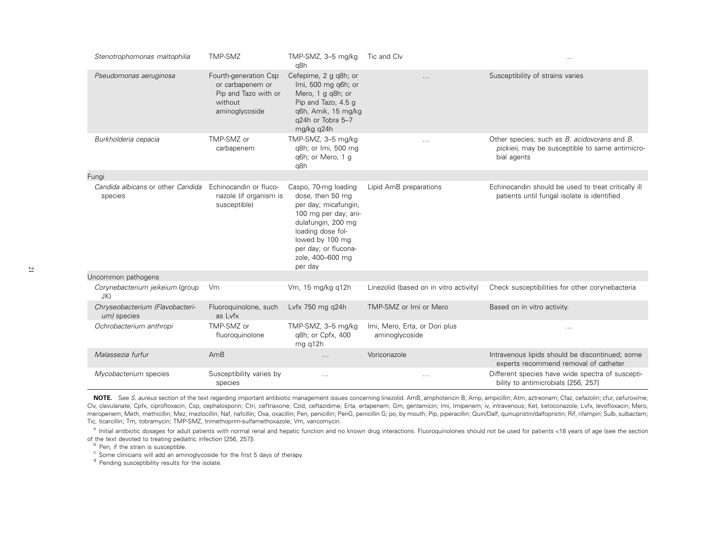| Stenotrophomonas maltophilia                   | TMP-SMZ                                                                                        | TMP-SMZ, 3-5 mg/kg<br>q8h                                                                                                                                                                                     | Tic and Clv                                     | $\cdots$                                                                                                                     |
|------------------------------------------------|------------------------------------------------------------------------------------------------|---------------------------------------------------------------------------------------------------------------------------------------------------------------------------------------------------------------|-------------------------------------------------|------------------------------------------------------------------------------------------------------------------------------|
| Pseudomonas aeruginosa                         | Fourth-generation Csp<br>or carbapenem or<br>Pip and Tazo with or<br>without<br>aminoglycoside | Cefepime, 2 g q8h; or<br>lmi, 500 mg q6h; or<br>Mero, 1 g q8h; or<br>Pip and Tazo, 4.5 g<br>q6h, Amik, 15 mg/kg<br>q24h or Tobra 5-7<br>mg/kg q24h                                                            | $\cdots$                                        | Susceptibility of strains varies                                                                                             |
| Burkholderia cepacia                           | TMP-SMZ or<br>carbapenem                                                                       | TMP-SMZ, 3-5 mg/kg<br>g8h; or Imi, 500 mg<br>q6h; or Mero, 1 g<br>q8h                                                                                                                                         | $\cdots$                                        | Other species, such as <i>B. acidovorans</i> and <i>B.</i><br>pickieii, may be susceptible to same antimicro-<br>bial agents |
| Fungi                                          |                                                                                                |                                                                                                                                                                                                               |                                                 |                                                                                                                              |
| Candida albicans or other Candida<br>species   | Echinocandin or fluco-<br>nazole (if organism is<br>susceptible)                               | Caspo, 70-mg loading<br>dose, then 50 mg<br>per day; micafungin,<br>100 mg per day; ani-<br>dulafungin, 200 mg<br>loading dose fol-<br>lowed by 100 mg<br>per day; or flucona-<br>zole, 400-600 mg<br>per day | Lipid AmB preparations                          | Echinocandin should be used to treat critically ill<br>patients until fungal isolate is identified                           |
| Uncommon pathogens                             |                                                                                                |                                                                                                                                                                                                               |                                                 |                                                                                                                              |
| Corynebacterium jeikeium (group<br>JK)         | Vm                                                                                             | Vm, 15 mg/kg q12h                                                                                                                                                                                             | Linezolid (based on in vitro activity)          | Check susceptibilities for other corynebacteria                                                                              |
| Chryseobacterium (Flavobacteri-<br>um) species | Fluoroquinolone, such<br>as Lyfx                                                               | Lvfx 750 mg q24h                                                                                                                                                                                              | TMP-SMZ or Imi or Mero                          | Based on in vitro activity.                                                                                                  |
| Ochrobacterium anthropi                        | TMP-SMZ or<br>fluoroquinolone                                                                  | TMP-SMZ, 3-5 mg/kg<br>q8h; or Cpfx, 400<br>mg q12h                                                                                                                                                            | Imi, Mero, Erta, or Dori plus<br>aminoglycoside | $\cdots$                                                                                                                     |
| Malassezia furfur                              | AmB                                                                                            |                                                                                                                                                                                                               | Voriconazole                                    | Intravenous lipids should be discontinued; some<br>experts recommend removal of catheter                                     |
| Mycobacterium species                          | Susceptibility varies by<br>species                                                            | $\cdots$                                                                                                                                                                                                      | $\ldots$                                        | Different species have wide spectra of suscepti-<br>bility to antimicrobials [256, 257]                                      |

NOTE. See S. aureus section of the text regarding important antibiotic management issues concerning linezolid. AmB, amphotericin B; Amp, ampicillin; Atm, aztreonam; Cfaz, cefazolin; cfur, cefuroxime; Clv, clavulanate; Cpfx, ciprofloxacin; Csp, cephalosporin; Ctri, ceftriaxone; Czid, ceftazidime; Erta, ertapenem; Gm, gentamicin; Imi, Imipenem; iv, intravenous; Ket, ketoconazole; Lvfx, levofloxacin; Mero, meropenem; Meth, methicillin; Mez, mezlocillin; Naf, nafcillin; Oxa, oxacillin; Pen, penicillin; PenG, penicillin G; po, by mouth; Pip, piperacillin; Quin/Dalf, quinupristin/dalfopristin; Rif, rifampin; Sulb, sulbactam; Tic, ticarcillin; Tm, tobramycin; TMP-SMZ, trimethoprim-sulfamethoxazole; Vm, vancomycin.

<sup>a</sup> Initial antibiotic dosages for adult patients with normal renal and hepatic function and no known drug interactions. Fluoroquinolones should not be used for patients <18 years of age (see the section of the text devote

b Pen, if the strain is susceptible.<br>  $\degree$  Some clinicians will add an aminoglycoside for the first 5 days of therapy.<br>  $\degree$  Pending susceptibility results for the isolate.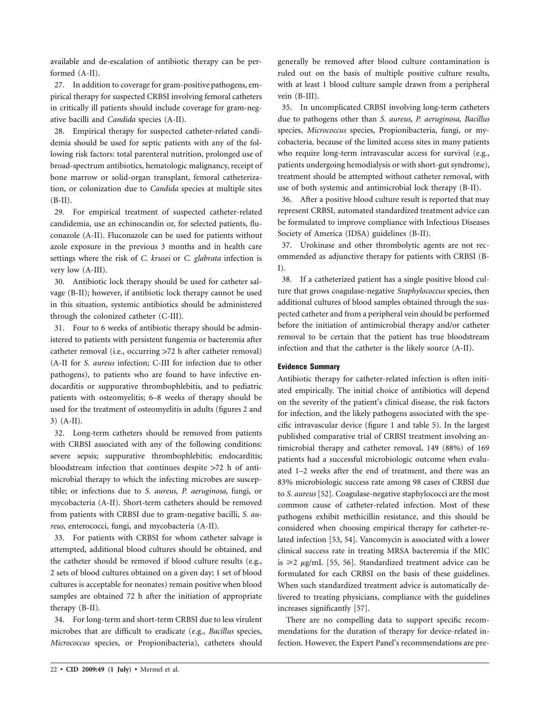available and de-escalation of antibiotic therapy can be performed (A-II).

27. In addition to coverage for gram-positive pathogens, empirical therapy for suspected CRBSI involving femoral catheters in critically ill patients should include coverage for gram-negative bacilli and *Candida* species (A-II).

28. Empirical therapy for suspected catheter-related candidemia should be used for septic patients with any of the following risk factors: total parenteral nutrition, prolonged use of broad-spectrum antibiotics, hematologic malignancy, receipt of bone marrow or solid-organ transplant, femoral catheterization, or colonization due to *Candida* species at multiple sites  $(B-II).$ 

29. For empirical treatment of suspected catheter-related candidemia, use an echinocandin or, for selected patients, fluconazole (A-II). Fluconazole can be used for patients without azole exposure in the previous 3 months and in health care settings where the risk of *C. krusei* or *C. glabrata* infection is very low (A-III).

30. Antibiotic lock therapy should be used for catheter salvage (B-II); however, if antibiotic lock therapy cannot be used in this situation, systemic antibiotics should be administered through the colonized catheter (C-III).

31. Four to 6 weeks of antibiotic therapy should be administered to patients with persistent fungemia or bacteremia after catheter removal (i.e., occurring >72 h after catheter removal) (A-II for *S. aureus* infection; C-III for infection due to other pathogens), to patients who are found to have infective endocarditis or suppurative thrombophlebitis, and to pediatric patients with osteomyelitis; 6–8 weeks of therapy should be used for the treatment of osteomyelitis in adults (figures 2 and 3) (A-II).

32. Long-term catheters should be removed from patients with CRBSI associated with any of the following conditions: severe sepsis; suppurative thrombophlebitis; endocarditis; bloodstream infection that continues despite  $>72$  h of antimicrobial therapy to which the infecting microbes are susceptible; or infections due to *S. aureus, P. aeruginosa,* fungi, or mycobacteria (A-II). Short-term catheters should be removed from patients with CRBSI due to gram-negative bacilli, *S. aureus,* enterococci, fungi, and mycobacteria (A-II).

33. For patients with CRBSI for whom catheter salvage is attempted, additional blood cultures should be obtained, and the catheter should be removed if blood culture results (e.g., 2 sets of blood cultures obtained on a given day; 1 set of blood cultures is acceptable for neonates) remain positive when blood samples are obtained 72 h after the initiation of appropriate therapy (B-II).

34. For long-term and short-term CRBSI due to less virulent microbes that are difficult to eradicate (e.g., *Bacillus* species, *Micrococcus* species, or Propionibacteria), catheters should

generally be removed after blood culture contamination is ruled out on the basis of multiple positive culture results, with at least 1 blood culture sample drawn from a peripheral vein (B-III).

35. In uncomplicated CRBSI involving long-term catheters due to pathogens other than *S. aureus, P. aeruginosa, Bacillus* species, *Micrococcus* species, Propionibacteria, fungi, or mycobacteria, because of the limited access sites in many patients who require long-term intravascular access for survival (e.g., patients undergoing hemodialysis or with short-gut syndrome), treatment should be attempted without catheter removal, with use of both systemic and antimicrobial lock therapy (B-II).

36. After a positive blood culture result is reported that may represent CRBSI, automated standardized treatment advice can be formulated to improve compliance with Infectious Diseases Society of America (IDSA) guidelines (B-II).

37. Urokinase and other thrombolytic agents are not recommended as adjunctive therapy for patients with CRBSI (B-I).

38. If a catheterized patient has a single positive blood culture that grows coagulase-negative *Staphylococcus* species, then additional cultures of blood samples obtained through the suspected catheter and from a peripheral vein should be performed before the initiation of antimicrobial therapy and/or catheter removal to be certain that the patient has true bloodstream infection and that the catheter is the likely source (A-II).

## **Evidence Summary**

Antibiotic therapy for catheter-related infection is often initiated empirically. The initial choice of antibiotics will depend on the severity of the patient's clinical disease, the risk factors for infection, and the likely pathogens associated with the specific intravascular device (figure 1 and table 5). In the largest published comparative trial of CRBSI treatment involving antimicrobial therapy and catheter removal, 149 (88%) of 169 patients had a successful microbiologic outcome when evaluated 1–2 weeks after the end of treatment, and there was an 83% microbiologic success rate among 98 cases of CRBSI due to *S. aureus* [52]. Coagulase-negative staphylococci are the most common cause of catheter-related infection. Most of these pathogens exhibit methicillin resistance, and this should be considered when choosing empirical therapy for catheter-related infection [53, 54]. Vancomycin is associated with a lower clinical success rate in treating MRSA bacteremia if the MIC is  $\geq 2$  µg/mL [55, 56]. Standardized treatment advice can be formulated for each CRBSI on the basis of these guidelines. When such standardized treatment advice is automatically delivered to treating physicians, compliance with the guidelines increases significantly [57].

There are no compelling data to support specific recommendations for the duration of therapy for device-related infection. However, the Expert Panel's recommendations are pre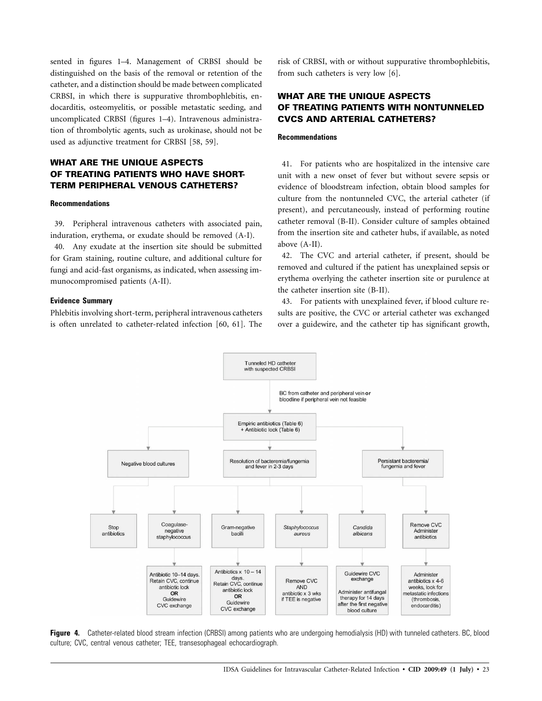sented in figures 1–4. Management of CRBSI should be distinguished on the basis of the removal or retention of the catheter, and a distinction should be made between complicated CRBSI, in which there is suppurative thrombophlebitis, endocarditis, osteomyelitis, or possible metastatic seeding, and uncomplicated CRBSI (figures 1–4). Intravenous administration of thrombolytic agents, such as urokinase, should not be used as adjunctive treatment for CRBSI [58, 59].

# WHAT ARE THE UNIQUE ASPECTS OF TREATING PATIENTS WHO HAVE SHORT-TERM PERIPHERAL VENOUS CATHETERS?

#### **Recommendations**

39. Peripheral intravenous catheters with associated pain, induration, erythema, or exudate should be removed (A-I).

40. Any exudate at the insertion site should be submitted for Gram staining, routine culture, and additional culture for fungi and acid-fast organisms, as indicated, when assessing immunocompromised patients (A-II).

### **Evidence Summary**

Phlebitis involving short-term, peripheral intravenous catheters is often unrelated to catheter-related infection [60, 61]. The risk of CRBSI, with or without suppurative thrombophlebitis, from such catheters is very low [6].

# WHAT ARE THE UNIQUE ASPECTS OF TREATING PATIENTS WITH NONTUNNELED CVCS AND ARTERIAL CATHETERS?

#### **Recommendations**

41. For patients who are hospitalized in the intensive care unit with a new onset of fever but without severe sepsis or evidence of bloodstream infection, obtain blood samples for culture from the nontunneled CVC, the arterial catheter (if present), and percutaneously, instead of performing routine catheter removal (B-II). Consider culture of samples obtained from the insertion site and catheter hubs, if available, as noted above (A-II).

42. The CVC and arterial catheter, if present, should be removed and cultured if the patient has unexplained sepsis or erythema overlying the catheter insertion site or purulence at the catheter insertion site (B-II).

43. For patients with unexplained fever, if blood culture results are positive, the CVC or arterial catheter was exchanged over a guidewire, and the catheter tip has significant growth,



**Figure 4.** Catheter-related blood stream infection (CRBSI) among patients who are undergoing hemodialysis (HD) with tunneled catheters. BC, blood culture; CVC, central venous catheter; TEE, transesophageal echocardiograph.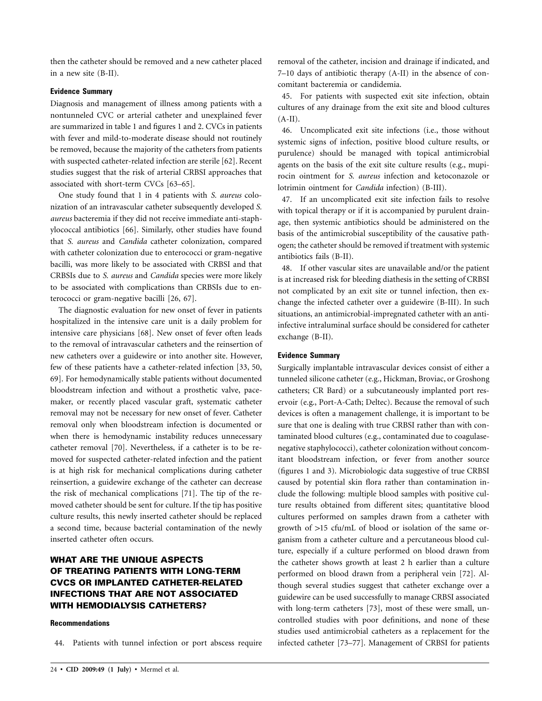then the catheter should be removed and a new catheter placed in a new site (B-II).

## **Evidence Summary**

Diagnosis and management of illness among patients with a nontunneled CVC or arterial catheter and unexplained fever are summarized in table 1 and figures 1 and 2. CVCs in patients with fever and mild-to-moderate disease should not routinely be removed, because the majority of the catheters from patients with suspected catheter-related infection are sterile [62]. Recent studies suggest that the risk of arterial CRBSI approaches that associated with short-term CVCs [63–65].

One study found that 1 in 4 patients with *S. aureus* colonization of an intravascular catheter subsequently developed *S. aureus* bacteremia if they did not receive immediate anti-staphylococcal antibiotics [66]. Similarly, other studies have found that *S. aureus* and *Candida* catheter colonization, compared with catheter colonization due to enterococci or gram-negative bacilli, was more likely to be associated with CRBSI and that CRBSIs due to *S. aureus* and *Candida* species were more likely to be associated with complications than CRBSIs due to enterococci or gram-negative bacilli [26, 67].

The diagnostic evaluation for new onset of fever in patients hospitalized in the intensive care unit is a daily problem for intensive care physicians [68]. New onset of fever often leads to the removal of intravascular catheters and the reinsertion of new catheters over a guidewire or into another site. However, few of these patients have a catheter-related infection [33, 50, 69]. For hemodynamically stable patients without documented bloodstream infection and without a prosthetic valve, pacemaker, or recently placed vascular graft, systematic catheter removal may not be necessary for new onset of fever. Catheter removal only when bloodstream infection is documented or when there is hemodynamic instability reduces unnecessary catheter removal [70]. Nevertheless, if a catheter is to be removed for suspected catheter-related infection and the patient is at high risk for mechanical complications during catheter reinsertion, a guidewire exchange of the catheter can decrease the risk of mechanical complications [71]. The tip of the removed catheter should be sent for culture. If the tip has positive culture results, this newly inserted catheter should be replaced a second time, because bacterial contamination of the newly inserted catheter often occurs.

# WHAT ARE THE UNIQUE ASPECTS OF TREATING PATIENTS WITH LONG-TERM CVCS OR IMPLANTED CATHETER-RELATED INFECTIONS THAT ARE NOT ASSOCIATED WITH HEMODIALYSIS CATHETERS?

#### **Recommendations**

removal of the catheter, incision and drainage if indicated, and 7–10 days of antibiotic therapy (A-II) in the absence of concomitant bacteremia or candidemia.

45. For patients with suspected exit site infection, obtain cultures of any drainage from the exit site and blood cultures  $(A-II).$ 

46. Uncomplicated exit site infections (i.e., those without systemic signs of infection, positive blood culture results, or purulence) should be managed with topical antimicrobial agents on the basis of the exit site culture results (e.g., mupirocin ointment for *S. aureus* infection and ketoconazole or lotrimin ointment for *Candida* infection) (B-III).

47. If an uncomplicated exit site infection fails to resolve with topical therapy or if it is accompanied by purulent drainage, then systemic antibiotics should be administered on the basis of the antimicrobial susceptibility of the causative pathogen; the catheter should be removed if treatment with systemic antibiotics fails (B-II).

48. If other vascular sites are unavailable and/or the patient is at increased risk for bleeding diathesis in the setting of CRBSI not complicated by an exit site or tunnel infection, then exchange the infected catheter over a guidewire (B-III). In such situations, an antimicrobial-impregnated catheter with an antiinfective intraluminal surface should be considered for catheter exchange (B-II).

### **Evidence Summary**

Surgically implantable intravascular devices consist of either a tunneled silicone catheter (e.g., Hickman, Broviac, or Groshong catheters; CR Bard) or a subcutaneously implanted port reservoir (e.g., Port-A-Cath; Deltec). Because the removal of such devices is often a management challenge, it is important to be sure that one is dealing with true CRBSI rather than with contaminated blood cultures (e.g., contaminated due to coagulasenegative staphylococci), catheter colonization without concomitant bloodstream infection, or fever from another source (figures 1 and 3). Microbiologic data suggestive of true CRBSI caused by potential skin flora rather than contamination include the following: multiple blood samples with positive culture results obtained from different sites; quantitative blood cultures performed on samples drawn from a catheter with growth of >15 cfu/mL of blood or isolation of the same organism from a catheter culture and a percutaneous blood culture, especially if a culture performed on blood drawn from the catheter shows growth at least 2 h earlier than a culture performed on blood drawn from a peripheral vein [72]. Although several studies suggest that catheter exchange over a guidewire can be used successfully to manage CRBSI associated with long-term catheters [73], most of these were small, uncontrolled studies with poor definitions, and none of these studies used antimicrobial catheters as a replacement for the infected catheter [73–77]. Management of CRBSI for patients

<sup>44.</sup> Patients with tunnel infection or port abscess require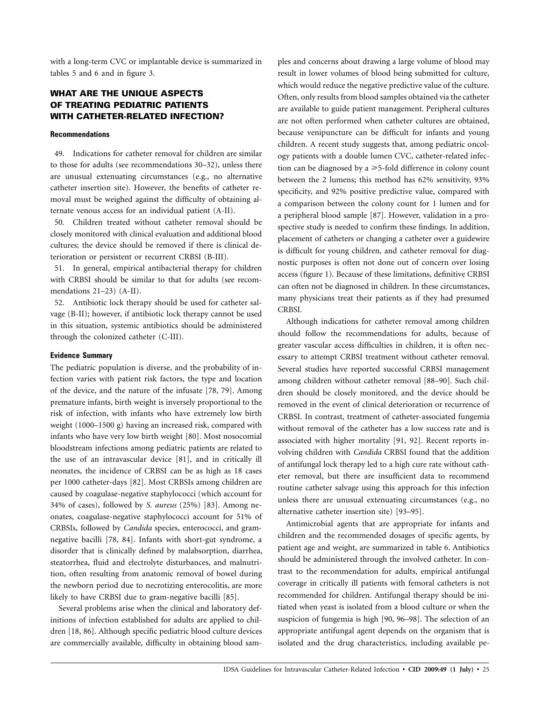with a long-term CVC or implantable device is summarized in tables 5 and 6 and in figure 3.

# WHAT ARE THE UNIQUE ASPECTS OF TREATING PEDIATRIC PATIENTS WITH CATHETER-RELATED INFECTION?

#### **Recommendations**

49. Indications for catheter removal for children are similar to those for adults (see recommendations 30–32), unless there are unusual extenuating circumstances (e.g., no alternative catheter insertion site). However, the benefits of catheter removal must be weighed against the difficulty of obtaining alternate venous access for an individual patient (A-II).

50. Children treated without catheter removal should be closely monitored with clinical evaluation and additional blood cultures; the device should be removed if there is clinical deterioration or persistent or recurrent CRBSI (B-III).

51. In general, empirical antibacterial therapy for children with CRBSI should be similar to that for adults (see recommendations 21–23) (A-II).

52. Antibiotic lock therapy should be used for catheter salvage (B-II); however, if antibiotic lock therapy cannot be used in this situation, systemic antibiotics should be administered through the colonized catheter (C-III).

### **Evidence Summary**

The pediatric population is diverse, and the probability of infection varies with patient risk factors, the type and location of the device, and the nature of the infusate [78, 79]. Among premature infants, birth weight is inversely proportional to the risk of infection, with infants who have extremely low birth weight (1000–1500 g) having an increased risk, compared with infants who have very low birth weight [80]. Most nosocomial bloodstream infections among pediatric patients are related to the use of an intravascular device [81], and in critically ill neonates, the incidence of CRBSI can be as high as 18 cases per 1000 catheter-days [82]. Most CRBSIs among children are caused by coagulase-negative staphylococci (which account for 34% of cases), followed by *S. aureus* (25%) [83]. Among neonates, coagulase-negative staphylococci account for 51% of CRBSIs, followed by *Candida* species, enterococci, and gramnegative bacilli [78, 84]. Infants with short-gut syndrome, a disorder that is clinically defined by malabsorption, diarrhea, steatorrhea, fluid and electrolyte disturbances, and malnutrition, often resulting from anatomic removal of bowel during the newborn period due to necrotizing enterocolitis, are more likely to have CRBSI due to gram-negative bacilli [85].

Several problems arise when the clinical and laboratory definitions of infection established for adults are applied to children [18, 86]. Although specific pediatric blood culture devices are commercially available, difficulty in obtaining blood sam-

ples and concerns about drawing a large volume of blood may result in lower volumes of blood being submitted for culture, which would reduce the negative predictive value of the culture. Often, only results from blood samples obtained via the catheter are available to guide patient management. Peripheral cultures are not often performed when catheter cultures are obtained, because venipuncture can be difficult for infants and young children. A recent study suggests that, among pediatric oncology patients with a double lumen CVC, catheter-related infection can be diagnosed by a  $\geq 5$ -fold difference in colony count between the 2 lumens; this method has 62% sensitivity, 93% specificity, and 92% positive predictive value, compared with a comparison between the colony count for 1 lumen and for a peripheral blood sample [87]. However, validation in a prospective study is needed to confirm these findings. In addition, placement of catheters or changing a catheter over a guidewire is difficult for young children, and catheter removal for diagnostic purposes is often not done out of concern over losing access (figure 1). Because of these limitations, definitive CRBSI can often not be diagnosed in children. In these circumstances, many physicians treat their patients as if they had presumed CRBSI.

Although indications for catheter removal among children should follow the recommendations for adults, because of greater vascular access difficulties in children, it is often necessary to attempt CRBSI treatment without catheter removal. Several studies have reported successful CRBSI management among children without catheter removal [88–90]. Such children should be closely monitored, and the device should be removed in the event of clinical deterioration or recurrence of CRBSI. In contrast, treatment of catheter-associated fungemia without removal of the catheter has a low success rate and is associated with higher mortality [91, 92]. Recent reports involving children with *Candida* CRBSI found that the addition of antifungal lock therapy led to a high cure rate without catheter removal, but there are insufficient data to recommend routine catheter salvage using this approach for this infection unless there are unusual extenuating circumstances (e.g., no alternative catheter insertion site) [93–95].

Antimicrobial agents that are appropriate for infants and children and the recommended dosages of specific agents, by patient age and weight, are summarized in table 6. Antibiotics should be administered through the involved catheter. In contrast to the recommendation for adults, empirical antifungal coverage in critically ill patients with femoral catheters is not recommended for children. Antifungal therapy should be initiated when yeast is isolated from a blood culture or when the suspicion of fungemia is high [90, 96–98]. The selection of an appropriate antifungal agent depends on the organism that is isolated and the drug characteristics, including available pe-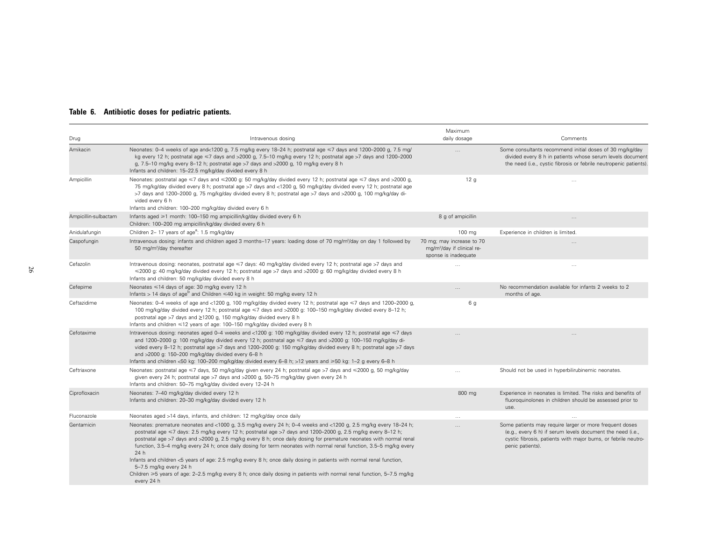| Intravenous dosing                                                                                                                                                                                                                                                                                                                                                                                                                                                                                                                                                                                                                                                                                                                                              | Maximum<br>daily dosage                                                                     | Comments                                                                                                                                                                                                    |
|-----------------------------------------------------------------------------------------------------------------------------------------------------------------------------------------------------------------------------------------------------------------------------------------------------------------------------------------------------------------------------------------------------------------------------------------------------------------------------------------------------------------------------------------------------------------------------------------------------------------------------------------------------------------------------------------------------------------------------------------------------------------|---------------------------------------------------------------------------------------------|-------------------------------------------------------------------------------------------------------------------------------------------------------------------------------------------------------------|
| Neonates: 0–4 weeks of age and<1200 g, 7.5 mg/kg every 18–24 h; postnatal age ≤7 days and 1200–2000 g, 7.5 mg/<br>kg every 12 h; postnatal age ≤7 days and >2000 g, 7.5–10 mg/kg every 12 h; postnatal age >7 days and 1200–2000<br>g, 7.5–10 mg/kg every 8–12 h; postnatal age >7 days and >2000 g, 10 mg/kg every 8 h<br>Infants and children: 15-22.5 mg/kg/day divided every 8 h                                                                                                                                                                                                                                                                                                                                                                            |                                                                                             | Some consultants recommend initial doses of 30 mg/kg/day<br>divided every 8 h in patients whose serum levels document<br>the need (i.e., cystic fibrosis or febrile neutropenic patients).                  |
| Neonates: postnatal age $\leq$ 7 days and $\leq$ 2000 g: 50 mg/kg/day divided every 12 h; postnatal age $\leq$ 7 days and >2000 g,<br>75 mg/kg/day divided every 8 h; postnatal age >7 days and <1200 g, 50 mg/kg/day divided every 12 h; postnatal age<br>>7 days and 1200-2000 g, 75 mg/kg/day divided every 8 h; postnatal age >7 days and >2000 g, 100 mg/kg/day di-<br>vided every 6 h<br>Infants and children: 100-200 mg/kg/day divided every 6 h                                                                                                                                                                                                                                                                                                        | 12 <sub>g</sub>                                                                             |                                                                                                                                                                                                             |
| Infants aged $\geq 1$ month: 100-150 mg ampicillin/kg/day divided every 6 h<br>Children: 100-200 mg ampicillin/kg/day divided every 6 h                                                                                                                                                                                                                                                                                                                                                                                                                                                                                                                                                                                                                         | 8 g of ampicillin                                                                           | $\ldots$                                                                                                                                                                                                    |
| Children 2-17 years of age <sup>8</sup> : 1.5 mg/kg/day                                                                                                                                                                                                                                                                                                                                                                                                                                                                                                                                                                                                                                                                                                         | 100 mg                                                                                      | Experience in children is limited.                                                                                                                                                                          |
| Intravenous dosing: infants and children aged 3 months-17 years: loading dose of 70 mg/m <sup>2</sup> /day on day 1 followed by<br>50 mg/m <sup>2</sup> /day thereafter                                                                                                                                                                                                                                                                                                                                                                                                                                                                                                                                                                                         | 70 mg; may increase to 70<br>mg/m <sup>2</sup> /day if clinical re-<br>sponse is inadequate | $\cdots$                                                                                                                                                                                                    |
| Intravenous dosing: neonates, postnatal age ≤7 days: 40 mg/kg/day divided every 12 h; postnatal age >7 days and<br>$\leq$ 2000 g: 40 mg/kg/day divided every 12 h; postnatal age >7 days and >2000 g: 60 mg/kg/day divided every 8 h<br>Infants and children: 50 mg/kg/day divided every 8 h                                                                                                                                                                                                                                                                                                                                                                                                                                                                    | $\cdots$                                                                                    | $\ldots$                                                                                                                                                                                                    |
| Neonates ≤14 days of age: 30 mg/kg every 12 h<br>Infants > 14 days of age <sup>b</sup> and Children $\leq 40$ kg in weight: 50 mg/kg every 12 h                                                                                                                                                                                                                                                                                                                                                                                                                                                                                                                                                                                                                 | $\cdots$                                                                                    | No recommendation available for infants 2 weeks to 2<br>months of age.                                                                                                                                      |
| Neonates: 0-4 weeks of age and <1200 g, 100 mg/kg/day divided every 12 h; postnatal age ≤7 days and 1200-2000 g,<br>100 mg/kg/day divided every 12 h; postnatal age ≤7 days and >2000 g: 100-150 mg/kg/day divided every 8-12 h;<br>postnatal age >7 days and ≥1200 g, 150 mg/kg/day divided every 8 h<br>Infants and children $\leq 12$ years of age: 100–150 mg/kg/day divided every 8 h                                                                                                                                                                                                                                                                                                                                                                      | 6 g                                                                                         |                                                                                                                                                                                                             |
| Intravenous dosing: neonates aged 0–4 weeks and <1200 g: 100 mg/kg/day divided every 12 h; postnatal age ≤7 days<br>and 1200–2000 g: 100 mg/kg/day divided every 12 h; postnatal age $\leq$ 7 days and >2000 g: 100–150 mg/kg/day di-<br>vided every 8-12 h; postnatal age >7 days and 1200-2000 g: 150 mg/kg/day divided every 8 h; postnatal age >7 days<br>and >2000 g: 150-200 mg/kg/day divided every 6-8 h<br>Infants and children <50 kg: 100-200 mg/kg/day divided every 6-8 h; >12 years and ≥50 kg: 1-2 g every 6-8 h                                                                                                                                                                                                                                 |                                                                                             | $\cdots$                                                                                                                                                                                                    |
| Neonates: postnatal age $\leq 7$ days, 50 mg/kg/day given every 24 h; postnatal age >7 days and $\leq 2000$ g, 50 mg/kg/day<br>given every 24 h; postnatal age >7 days and >2000 g, 50-75 mg/kg/day given every 24 h<br>Infants and children: 50-75 mg/kg/day divided every 12-24 h                                                                                                                                                                                                                                                                                                                                                                                                                                                                             | $\cdots$                                                                                    | Should not be used in hyperbilirubinemic neonates.                                                                                                                                                          |
| Neonates: 7-40 mg/kg/day divided every 12 h<br>Infants and children: 20-30 mg/kg/day divided every 12 h                                                                                                                                                                                                                                                                                                                                                                                                                                                                                                                                                                                                                                                         | 800 mg                                                                                      | Experience in neonates is limited. The risks and benefits of<br>fluoroquinolones in children should be assessed prior to<br>use.                                                                            |
| Neonates aged >14 days, infants, and children: 12 mg/kg/day once daily                                                                                                                                                                                                                                                                                                                                                                                                                                                                                                                                                                                                                                                                                          | $\cdots$                                                                                    |                                                                                                                                                                                                             |
| Neonates: premature neonates and <1000 g, 3.5 mg/kg every 24 h; 0-4 weeks and <1200 g, 2.5 mg/kg every 18-24 h;<br>postnatal age ≤7 days: 2.5 mg/kg every 12 h; postnatal age >7 days and 1200–2000 g, 2.5 mg/kg every 8–12 h;<br>postnatal age >7 days and >2000 g, 2.5 mg/kg every 8 h; once daily dosing for premature neonates with normal renal<br>function, 3.5–4 mg/kg every 24 h; once daily dosing for term neonates with normal renal function, 3.5–5 mg/kg every<br>24 h<br>Infants and children <5 years of age: 2.5 mg/kg every 8 h; once daily dosing in patients with normal renal function,<br>5-7.5 mg/kg every 24 h<br>Children ≥5 years of age: 2-2.5 mg/kg every 8 h; once daily dosing in patients with normal renal function, 5-7.5 mg/kg |                                                                                             | Some patients may require larger or more frequent doses<br>(e.g., every 6 h) if serum levels document the need (i.e.,<br>cystic fibrosis, patients with major burns, or febrile neutro-<br>penic patients). |
|                                                                                                                                                                                                                                                                                                                                                                                                                                                                                                                                                                                                                                                                                                                                                                 | every 24 h                                                                                  |                                                                                                                                                                                                             |

# **Table 6. Antibiotic doses for pediatric patients.**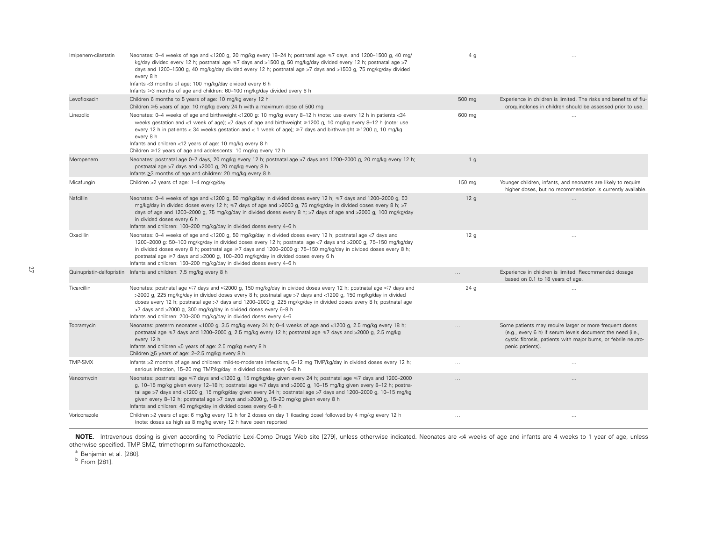| Imipenem-cilastatin | Neonates: 0–4 weeks of age and <1200 g, 20 mg/kg every 18–24 h; postnatal age ≤7 days, and 1200–1500 g, 40 mg/<br>kg/day divided every 12 h; postnatal age ≤7 days and >1500 g, 50 mg/kg/day divided every 12 h; postnatal age >7<br>days and 1200-1500 g, 40 mg/kg/day divided every 12 h; postnatal age >7 days and >1500 g, 75 mg/kg/day divided<br>every 8 h<br>Infants <3 months of age: 100 mg/kg/day divided every 6 h<br>Infants $\geq 3$ months of age and children: 60-100 mg/kg/day divided every 6 h         | 4 <sub>g</sub>  | $\cdots$                                                                                                                                                                                                    |
|---------------------|--------------------------------------------------------------------------------------------------------------------------------------------------------------------------------------------------------------------------------------------------------------------------------------------------------------------------------------------------------------------------------------------------------------------------------------------------------------------------------------------------------------------------|-----------------|-------------------------------------------------------------------------------------------------------------------------------------------------------------------------------------------------------------|
| Levofloxacin        | Children 6 months to 5 years of age: 10 mg/kg every 12 h<br>Children $\geq 5$ years of age: 10 mg/kg every 24 h with a maximum dose of 500 mg                                                                                                                                                                                                                                                                                                                                                                            | 500 mg          | Experience in children is limited. The risks and benefits of flu-<br>oroquinolones in children should be assessed prior to use.                                                                             |
| Linezolid           | Neonates: 0-4 weeks of age and birthweight <1200 g: 10 mg/kg every 8-12 h (note: use every 12 h in patients <34<br>weeks gestation and <1 week of age); <7 days of age and birthweight ≥1200 g, 10 mg/kg every 8-12 h (note: use<br>every 12 h in patients < 34 weeks gestation and < 1 week of age); $\geq 7$ days and birthweight $\geq 1200$ g, 10 mg/kg<br>every 8 h<br>Infants and children <12 years of age: 10 mg/kg every 8 h<br>Children $\geq 12$ years of age and adolescents: 10 mg/kg every 12 h            | 600 mg          |                                                                                                                                                                                                             |
| Meropenem           | Neonates: postnatal age 0-7 days, 20 mg/kg every 12 h; postnatal age >7 days and 1200-2000 g, 20 mg/kg every 12 h;<br>postnatal age >7 days and >2000 g, 20 mg/kg every 8 h<br>Infants ≥3 months of age and children: 20 mg/kg every 8 h                                                                                                                                                                                                                                                                                 | 1 <sub>g</sub>  | $\cdots$                                                                                                                                                                                                    |
| Micafungin          | Children >2 years of age: 1-4 mg/kg/day                                                                                                                                                                                                                                                                                                                                                                                                                                                                                  | 150 mg          | Younger children, infants, and neonates are likely to require<br>higher doses, but no recommendation is currently available.                                                                                |
| Nafcillin           | Neonates: 0-4 weeks of age and <1200 g, 50 mg/kg/day in divided doses every 12 h; $\leq 7$ days and 1200-2000 g, 50<br>mg/kg/day in divided doses every 12 h; $\leq$ 7 days of age and >2000 g, 75 mg/kg/day in divided doses every 8 h; >7<br>days of age and 1200-2000 g, 75 mg/kg/day in divided doses every 8 h; >7 days of age and >2000 g, 100 mg/kg/day<br>in divided doses every 6 h<br>Infants and children: 100-200 mg/kg/day in divided doses every 4-6 h                                                     | 12 <sub>g</sub> | $\cdots$                                                                                                                                                                                                    |
| Oxacillin           | Neonates: 0-4 weeks of age and <1200 g, 50 mg/kg/day in divided doses every 12 h; postnatal age <7 days and<br>1200-2000 g: 50-100 mg/kg/day in divided doses every 12 h; postnatal age <7 days and >2000 g, 75-150 mg/kg/day<br>in divided doses every 8 h; postnatal age ≥7 days and 1200–2000 g: 75–150 mg/kg/day in divided doses every 8 h;<br>postnatal age $\geq 7$ days and >2000 g, 100-200 mg/kg/day in divided doses every 6 h<br>Infants and children: 150-200 mg/kg/day in divided doses every 4-6 h        | 12 <sub>g</sub> | $\cdots$                                                                                                                                                                                                    |
|                     | Quinupristin-dalfopristin Infants and children: 7.5 mg/kg every 8 h                                                                                                                                                                                                                                                                                                                                                                                                                                                      | $\cdots$        | Experience in children is limited. Recommended dosage<br>based on 0.1 to 18 years of age.                                                                                                                   |
| Ticarcillin         | Neonates: postnatal age ≤7 days and ≤2000 g, 150 mg/kg/day in divided doses every 12 h; postnatal age ≤7 days and<br>>2000 g, 225 mg/kg/day in divided doses every 8 h; postnatal age >7 days and <1200 g, 150 mg/kg/day in divided<br>doses every 12 h; postnatal age >7 days and 1200-2000 g, 225 mg/kg/day in divided doses every 8 h; postnatal age<br>>7 days and >2000 g, 300 mg/kg/day in divided doses every 6-8 h<br>Infants and children: 200-300 mg/kg/day in divided doses every 4-6                         | 24 <sub>g</sub> |                                                                                                                                                                                                             |
| Tobramycin          | Neonates: preterm neonates <1000 g, 3.5 mg/kg every 24 h; 0–4 weeks of age and <1200 g, 2.5 mg/kg every 18 h;<br>postnatal age $\leq 7$ days and 1200-2000 g, 2.5 mg/kg every 12 h; postnatal age $\leq 7$ days and >2000 g, 2.5 mg/kg<br>every 12 h<br>Infants and children <5 years of age: 2.5 mg/kg every 8 h<br>Children ≥5 years of age: 2-2.5 mg/kg every 8 h                                                                                                                                                     |                 | Some patients may require larger or more frequent doses<br>(e.g., every 6 h) if serum levels document the need (i.e.,<br>cystic fibrosis, patients with major burns, or febrile neutro-<br>penic patients). |
| TMP-SMX             | Infants >2 months of age and children: mild-to-moderate infections, 6-12 mg TMP/kg/day in divided doses every 12 h;<br>serious infection, 15-20 mg TMP/kg/day in divided doses every 6-8 h                                                                                                                                                                                                                                                                                                                               |                 | $\cdots$                                                                                                                                                                                                    |
| Vancomycin          | Neonates: postnatal age $\leq 7$ days and <1200 g, 15 mg/kg/day given every 24 h; postnatal age $\leq 7$ days and 1200-2000<br>g, 10–15 mg/kg given every 12–18 h; postnatal age ≤7 days and >2000 g, 10–15 mg/kg given every 8–12 h; postna-<br>tal age >7 days and <1200 g, 15 mg/kg/day given every 24 h; postnatal age >7 days and 1200-2000 g, 10-15 mg/kg<br>given every 8-12 h; postnatal age >7 days and >2000 g, 15-20 mg/kg given every 8 h<br>Infants and children: 40 mg/kg/day in divided doses every 6-8 h |                 |                                                                                                                                                                                                             |
| Voriconazole        | Children >2 years of age: 6 mg/kg every 12 h for 2 doses on day 1 (loading dose) followed by 4 mg/kg every 12 h<br>(note: doses as high as 8 mg/kg every 12 h have been reported                                                                                                                                                                                                                                                                                                                                         |                 |                                                                                                                                                                                                             |

NOTE. Intravenous dosing is given according to Pediatric Lexi-Comp Drugs Web site [279], unless otherwise indicated. Neonates are <4 weeks of age and infants are 4 weeks to 1 year of age, unless otherwise specified. TMP-SMZ, trimethoprim-sulfamethoxazole.

 $\frac{a}{b}$  Benjamin et al. [280].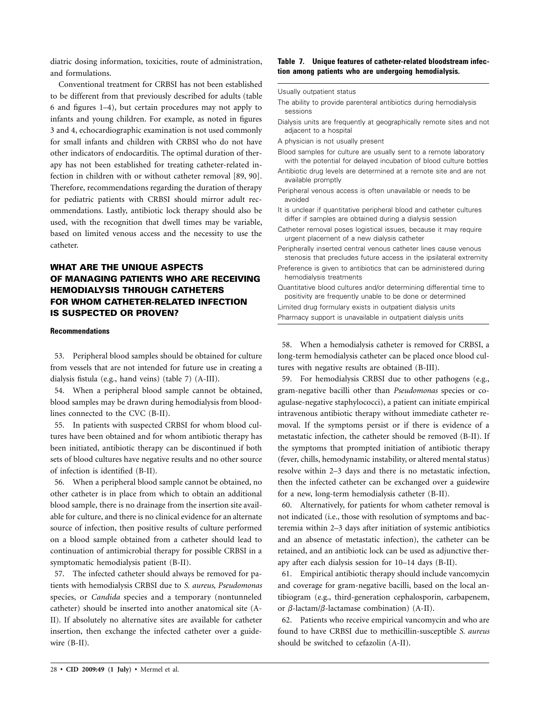diatric dosing information, toxicities, route of administration, and formulations.

Conventional treatment for CRBSI has not been established to be different from that previously described for adults (table 6 and figures 1–4), but certain procedures may not apply to infants and young children. For example, as noted in figures 3 and 4, echocardiographic examination is not used commonly for small infants and children with CRBSI who do not have other indicators of endocarditis. The optimal duration of therapy has not been established for treating catheter-related infection in children with or without catheter removal [89, 90]. Therefore, recommendations regarding the duration of therapy for pediatric patients with CRBSI should mirror adult recommendations. Lastly, antibiotic lock therapy should also be used, with the recognition that dwell times may be variable, based on limited venous access and the necessity to use the catheter.

# WHAT ARE THE UNIQUE ASPECTS OF MANAGING PATIENTS WHO ARE RECEIVING HEMODIALYSIS THROUGH CATHETERS FOR WHOM CATHETER-RELATED INFECTION IS SUSPECTED OR PROVEN?

#### **Recommendations**

53. Peripheral blood samples should be obtained for culture from vessels that are not intended for future use in creating a dialysis fistula (e.g., hand veins) (table 7) (A-III).

54. When a peripheral blood sample cannot be obtained, blood samples may be drawn during hemodialysis from bloodlines connected to the CVC (B-II).

55. In patients with suspected CRBSI for whom blood cultures have been obtained and for whom antibiotic therapy has been initiated, antibiotic therapy can be discontinued if both sets of blood cultures have negative results and no other source of infection is identified (B-II).

56. When a peripheral blood sample cannot be obtained, no other catheter is in place from which to obtain an additional blood sample, there is no drainage from the insertion site available for culture, and there is no clinical evidence for an alternate source of infection, then positive results of culture performed on a blood sample obtained from a catheter should lead to continuation of antimicrobial therapy for possible CRBSI in a symptomatic hemodialysis patient (B-II).

57. The infected catheter should always be removed for patients with hemodialysis CRBSI due to *S. aureus*, *Pseudomonas* species, or *Candida* species and a temporary (nontunneled catheter) should be inserted into another anatomical site (A-II). If absolutely no alternative sites are available for catheter insertion, then exchange the infected catheter over a guidewire (B-II).

## **Table 7. Unique features of catheter-related bloodstream infection among patients who are undergoing hemodialysis.**

Usually outpatient status

- The ability to provide parenteral antibiotics during hemodialysis sessions
- Dialysis units are frequently at geographically remote sites and not adjacent to a hospital
- A physician is not usually present
- Blood samples for culture are usually sent to a remote laboratory with the potential for delayed incubation of blood culture bottles
- Antibiotic drug levels are determined at a remote site and are not available promptly
- Peripheral venous access is often unavailable or needs to be avoided
- It is unclear if quantitative peripheral blood and catheter cultures differ if samples are obtained during a dialysis session
- Catheter removal poses logistical issues, because it may require urgent placement of a new dialysis catheter
- Peripherally inserted central venous catheter lines cause venous stenosis that precludes future access in the ipsilateral extremity
- Preference is given to antibiotics that can be administered during hemodialysis treatments
- Quantitative blood cultures and/or determining differential time to positivity are frequently unable to be done or determined
- Limited drug formulary exists in outpatient dialysis units
- Pharmacy support is unavailable in outpatient dialysis units

58. When a hemodialysis catheter is removed for CRBSI, a long-term hemodialysis catheter can be placed once blood cultures with negative results are obtained (B-III).

59. For hemodialysis CRBSI due to other pathogens (e.g., gram-negative bacilli other than *Pseudomonas* species or coagulase-negative staphylococci), a patient can initiate empirical intravenous antibiotic therapy without immediate catheter removal. If the symptoms persist or if there is evidence of a metastatic infection, the catheter should be removed (B-II). If the symptoms that prompted initiation of antibiotic therapy (fever, chills, hemodynamic instability, or altered mental status) resolve within 2–3 days and there is no metastatic infection, then the infected catheter can be exchanged over a guidewire for a new, long-term hemodialysis catheter (B-II).

60. Alternatively, for patients for whom catheter removal is not indicated (i.e., those with resolution of symptoms and bacteremia within 2–3 days after initiation of systemic antibiotics and an absence of metastatic infection), the catheter can be retained, and an antibiotic lock can be used as adjunctive therapy after each dialysis session for 10–14 days (B-II).

61. Empirical antibiotic therapy should include vancomycin and coverage for gram-negative bacilli, based on the local antibiogram (e.g., third-generation cephalosporin, carbapenem, or  $\beta$ -lactam/ $\beta$ -lactamase combination) (A-II).

62. Patients who receive empirical vancomycin and who are found to have CRBSI due to methicillin-susceptible *S. aureus* should be switched to cefazolin (A-II).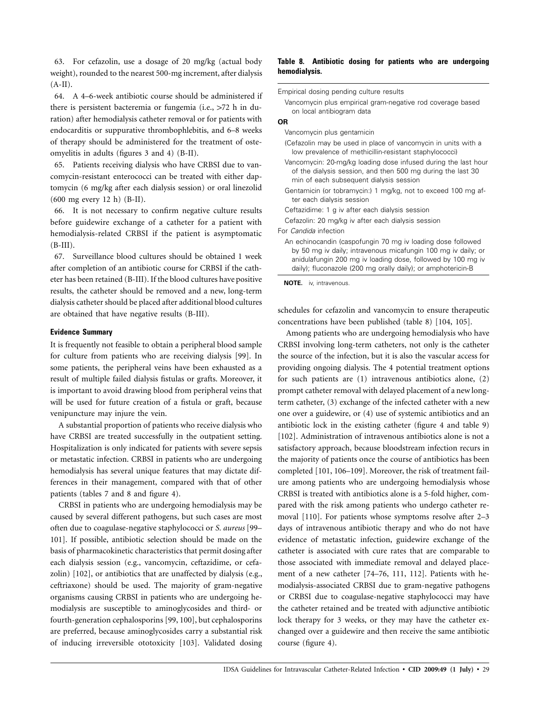63. For cefazolin, use a dosage of 20 mg/kg (actual body weight), rounded to the nearest 500-mg increment, after dialysis  $(A-II).$ 

64. A 4–6-week antibiotic course should be administered if there is persistent bacteremia or fungemia (i.e.,  $>72$  h in duration) after hemodialysis catheter removal or for patients with endocarditis or suppurative thrombophlebitis, and 6–8 weeks of therapy should be administered for the treatment of osteomyelitis in adults (figures 3 and 4) (B-II).

65. Patients receiving dialysis who have CRBSI due to vancomycin-resistant enterococci can be treated with either daptomycin (6 mg/kg after each dialysis session) or oral linezolid (600 mg every 12 h) (B-II).

66. It is not necessary to confirm negative culture results before guidewire exchange of a catheter for a patient with hemodialysis-related CRBSI if the patient is asymptomatic  $(B-III).$ 

67. Surveillance blood cultures should be obtained 1 week after completion of an antibiotic course for CRBSI if the catheter has been retained (B-III). If the blood cultures have positive results, the catheter should be removed and a new, long-term dialysis catheter should be placed after additional blood cultures are obtained that have negative results (B-III).

#### **Evidence Summary**

It is frequently not feasible to obtain a peripheral blood sample for culture from patients who are receiving dialysis [99]. In some patients, the peripheral veins have been exhausted as a result of multiple failed dialysis fistulas or grafts. Moreover, it is important to avoid drawing blood from peripheral veins that will be used for future creation of a fistula or graft, because venipuncture may injure the vein.

A substantial proportion of patients who receive dialysis who have CRBSI are treated successfully in the outpatient setting. Hospitalization is only indicated for patients with severe sepsis or metastatic infection. CRBSI in patients who are undergoing hemodialysis has several unique features that may dictate differences in their management, compared with that of other patients (tables 7 and 8 and figure 4).

CRBSI in patients who are undergoing hemodialysis may be caused by several different pathogens, but such cases are most often due to coagulase-negative staphylococci or *S. aureus* [99– 101]. If possible, antibiotic selection should be made on the basis of pharmacokinetic characteristics that permit dosing after each dialysis session (e.g., vancomycin, ceftazidime, or cefazolin) [102], or antibiotics that are unaffected by dialysis (e.g., ceftriaxone) should be used. The majority of gram-negative organisms causing CRBSI in patients who are undergoing hemodialysis are susceptible to aminoglycosides and third- or fourth-generation cephalosporins [99, 100], but cephalosporins are preferred, because aminoglycosides carry a substantial risk of inducing irreversible ototoxicity [103]. Validated dosing

### **Table 8. Antibiotic dosing for patients who are undergoing hemodialysis.**

Empirical dosing pending culture results

Vancomycin plus empirical gram-negative rod coverage based on local antibiogram data

**OR**

Vancomycin plus gentamicin

- (Cefazolin may be used in place of vancomycin in units with a low prevalence of methicillin-resistant staphylococci)
- Vancomycin: 20-mg/kg loading dose infused during the last hour of the dialysis session, and then 500 mg during the last 30 min of each subsequent dialysis session
- Gentamicin (or tobramycin:) 1 mg/kg, not to exceed 100 mg after each dialysis session

Ceftazidime: 1 g iv after each dialysis session

Cefazolin: 20 mg/kg iv after each dialysis session

For Candida infection

An echinocandin (caspofungin 70 mg iv loading dose followed by 50 mg iv daily; intravenous micafungin 100 mg iv daily; or anidulafungin 200 mg iv loading dose, followed by 100 mg iv daily); fluconazole (200 mg orally daily); or amphotericin-B

**NOTE.** iv, intravenous.

schedules for cefazolin and vancomycin to ensure therapeutic concentrations have been published (table 8) [104, 105].

Among patients who are undergoing hemodialysis who have CRBSI involving long-term catheters, not only is the catheter the source of the infection, but it is also the vascular access for providing ongoing dialysis. The 4 potential treatment options for such patients are (1) intravenous antibiotics alone, (2) prompt catheter removal with delayed placement of a new longterm catheter, (3) exchange of the infected catheter with a new one over a guidewire, or (4) use of systemic antibiotics and an antibiotic lock in the existing catheter (figure 4 and table 9) [102]. Administration of intravenous antibiotics alone is not a satisfactory approach, because bloodstream infection recurs in the majority of patients once the course of antibiotics has been completed [101, 106–109]. Moreover, the risk of treatment failure among patients who are undergoing hemodialysis whose CRBSI is treated with antibiotics alone is a 5-fold higher, compared with the risk among patients who undergo catheter removal [110]. For patients whose symptoms resolve after 2–3 days of intravenous antibiotic therapy and who do not have evidence of metastatic infection, guidewire exchange of the catheter is associated with cure rates that are comparable to those associated with immediate removal and delayed placement of a new catheter [74–76, 111, 112]. Patients with hemodialysis-associated CRBSI due to gram-negative pathogens or CRBSI due to coagulase-negative staphylococci may have the catheter retained and be treated with adjunctive antibiotic lock therapy for 3 weeks, or they may have the catheter exchanged over a guidewire and then receive the same antibiotic course (figure 4).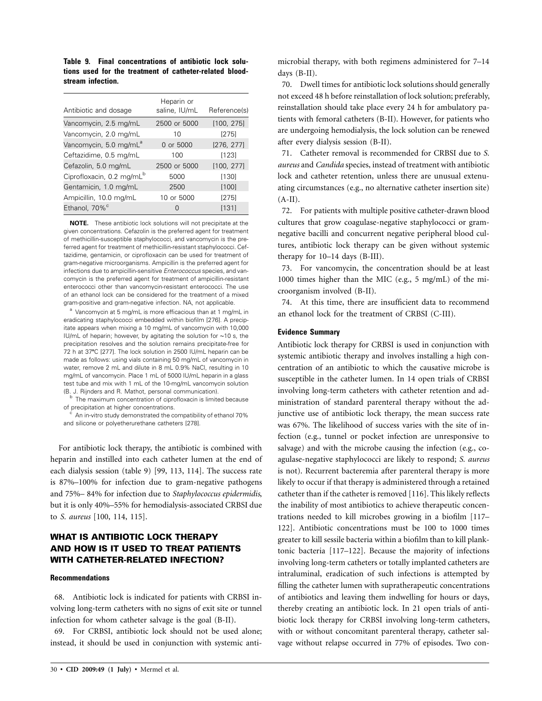**Table 9. Final concentrations of antibiotic lock solutions used for the treatment of catheter-related bloodstream infection.**

| Antibiotic and dosage                 | Heparin or<br>saline, IU/mL | Reference(s) |
|---------------------------------------|-----------------------------|--------------|
| Vancomycin, 2.5 mg/mL                 | 2500 or 5000                | [100, 275]   |
| Vancomycin, 2.0 mg/mL                 | 10                          | [275]        |
| Vancomycin, 5.0 mg/mL <sup>a</sup>    | 0 or 5000                   | [276, 277]   |
| Ceftazidime, 0.5 mg/mL                | 100                         | [123]        |
| Cefazolin, 5.0 mg/mL                  | 2500 or 5000                | [100, 277]   |
| Ciprofloxacin, 0.2 mg/mL <sup>b</sup> | 5000                        | [130]        |
| Gentamicin, 1.0 mg/mL                 | 2500                        | [100]        |
| Ampicillin, 10.0 mg/mL                | 10 or 5000                  | [275]        |
| Ethanol, 70% <sup>c</sup>             |                             | [131]        |

**NOTE.** These antibiotic lock solutions will not precipitate at the given concentrations. Cefazolin is the preferred agent for treatment of methicillin-susceptible staphylococci, and vancomycin is the preferred agent for treatment of methicillin-resistant staphylococci. Ceftazidime, gentamicin, or ciprofloxacin can be used for treatment of gram-negative microorganisms. Ampicillin is the preferred agent for infections due to ampicillin-sensitive Enterococcus species, and vancomycin is the preferred agent for treatment of ampicillin-resistant enterococci other than vancomycin-resistant enterococci. The use of an ethanol lock can be considered for the treatment of a mixed gram-positive and gram-negative infection. NA, not applicable.

 $a$  Vancomycin at 5 mg/mL is more efficacious than at 1 mg/mL in eradicating staphylococci embedded within biofilm [276]. A precipitate appears when mixing a 10 mg/mL of vancomycin with 10,000 IU/mL of heparin; however, by agitating the solution for ∼10 s, the precipitation resolves and the solution remains precipitate-free for 72 h at 37°C [277]. The lock solution in 2500 IU/mL heparin can be made as follows: using vials containing 50 mg/mL of vancomycin in water, remove 2 mL and dilute in 8 mL 0.9% NaCl, resulting in 10 mg/mL of vancomycin. Place 1 mL of 5000 IU/mL heparin in a glass test tube and mix with 1 mL of the 10-mg/mL vancomycin solution

(B. J. Rijnders and R. Mathot, personal communication).<br><sup>b</sup> The maximum concentration of ciprofloxacin is limited because of precipitation at higher concentrations.<br>
<sup>c</sup> An in-vitro study demonstrated the compatibility of ethanol 70%

and silicone or polyetherurethane catheters [278].

For antibiotic lock therapy, the antibiotic is combined with heparin and instilled into each catheter lumen at the end of each dialysis session (table 9) [99, 113, 114]. The success rate is 87%–100% for infection due to gram-negative pathogens and 75%– 84% for infection due to *Staphylococcus epidermidis*, but it is only 40%–55% for hemodialysis-associated CRBSI due to *S. aureus* [100, 114, 115].

## WHAT IS ANTIBIOTIC LOCK THERAPY AND HOW IS IT USED TO TREAT PATIENTS WITH CATHETER-RELATED INFECTION?

#### **Recommendations**

68. Antibiotic lock is indicated for patients with CRBSI involving long-term catheters with no signs of exit site or tunnel infection for whom catheter salvage is the goal (B-II).

69. For CRBSI, antibiotic lock should not be used alone; instead, it should be used in conjunction with systemic anti-

30 • **CID 2009:49 (1 July)** • Mermel et al.

microbial therapy, with both regimens administered for 7–14 days (B-II).

70. Dwell times for antibiotic lock solutions should generally not exceed 48 h before reinstallation of lock solution; preferably, reinstallation should take place every 24 h for ambulatory patients with femoral catheters (B-II). However, for patients who are undergoing hemodialysis, the lock solution can be renewed after every dialysis session (B-II).

71. Catheter removal is recommended for CRBSI due to *S. aureus* and *Candida* species, instead of treatment with antibiotic lock and catheter retention, unless there are unusual extenuating circumstances (e.g., no alternative catheter insertion site)  $(A-II).$ 

72. For patients with multiple positive catheter-drawn blood cultures that grow coagulase-negative staphylococci or gramnegative bacilli and concurrent negative peripheral blood cultures, antibiotic lock therapy can be given without systemic therapy for 10–14 days (B-III).

73. For vancomycin, the concentration should be at least 1000 times higher than the MIC (e.g., 5 mg/mL) of the microorganism involved (B-II).

74. At this time, there are insufficient data to recommend an ethanol lock for the treatment of CRBSI (C-III).

### **Evidence Summary**

Antibiotic lock therapy for CRBSI is used in conjunction with systemic antibiotic therapy and involves installing a high concentration of an antibiotic to which the causative microbe is susceptible in the catheter lumen. In 14 open trials of CRBSI involving long-term catheters with catheter retention and administration of standard parenteral therapy without the adjunctive use of antibiotic lock therapy, the mean success rate was 67%. The likelihood of success varies with the site of infection (e.g., tunnel or pocket infection are unresponsive to salvage) and with the microbe causing the infection (e.g., coagulase-negative staphylococci are likely to respond; *S. aureus* is not). Recurrent bacteremia after parenteral therapy is more likely to occur if that therapy is administered through a retained catheter than if the catheter is removed [116]. This likely reflects the inability of most antibiotics to achieve therapeutic concentrations needed to kill microbes growing in a biofilm [117– 122]. Antibiotic concentrations must be 100 to 1000 times greater to kill sessile bacteria within a biofilm than to kill planktonic bacteria [117–122]. Because the majority of infections involving long-term catheters or totally implanted catheters are intraluminal, eradication of such infections is attempted by filling the catheter lumen with supratherapeutic concentrations of antibiotics and leaving them indwelling for hours or days, thereby creating an antibiotic lock. In 21 open trials of antibiotic lock therapy for CRBSI involving long-term catheters, with or without concomitant parenteral therapy, catheter salvage without relapse occurred in 77% of episodes. Two con-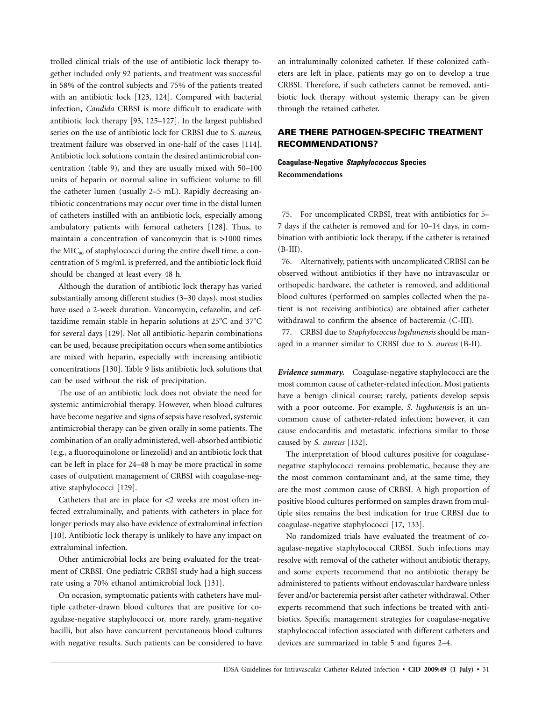trolled clinical trials of the use of antibiotic lock therapy together included only 92 patients, and treatment was successful in 58% of the control subjects and 75% of the patients treated with an antibiotic lock [123, 124]. Compared with bacterial infection, *Candida* CRBSI is more difficult to eradicate with antibiotic lock therapy [93, 125–127]. In the largest published series on the use of antibiotic lock for CRBSI due to *S. aureus*, treatment failure was observed in one-half of the cases [114]. Antibiotic lock solutions contain the desired antimicrobial concentration (table 9), and they are usually mixed with 50–100 units of heparin or normal saline in sufficient volume to fill the catheter lumen (usually 2–5 mL). Rapidly decreasing antibiotic concentrations may occur over time in the distal lumen of catheters instilled with an antibiotic lock, especially among ambulatory patients with femoral catheters [128]. Thus, to maintain a concentration of vancomycin that is  $>1000$  times the MIC<sub>90</sub> of staphylococci during the entire dwell time, a concentration of 5 mg/mL is preferred, and the antibiotic lock fluid should be changed at least every 48 h.

Although the duration of antibiotic lock therapy has varied substantially among different studies (3–30 days), most studies have used a 2-week duration. Vancomycin, cefazolin, and ceftazidime remain stable in heparin solutions at  $25^{\circ}$ C and  $37^{\circ}$ C for several days [129]. Not all antibiotic-heparin combinations can be used, because precipitation occurs when some antibiotics are mixed with heparin, especially with increasing antibiotic concentrations [130]. Table 9 lists antibiotic lock solutions that can be used without the risk of precipitation.

The use of an antibiotic lock does not obviate the need for systemic antimicrobial therapy. However, when blood cultures have become negative and signs of sepsis have resolved, systemic antimicrobial therapy can be given orally in some patients. The combination of an orally administered, well-absorbed antibiotic (e.g., a fluoroquinolone or linezolid) and an antibiotic lock that can be left in place for 24–48 h may be more practical in some cases of outpatient management of CRBSI with coagulase-negative staphylococci [129].

Catheters that are in place for  $<$ 2 weeks are most often infected extraluminally, and patients with catheters in place for longer periods may also have evidence of extraluminal infection [10]. Antibiotic lock therapy is unlikely to have any impact on extraluminal infection.

Other antimicrobial locks are being evaluated for the treatment of CRBSI. One pediatric CRBSI study had a high success rate using a 70% ethanol antimicrobial lock [131].

On occasion, symptomatic patients with catheters have multiple catheter-drawn blood cultures that are positive for coagulase-negative staphylococci or, more rarely, gram-negative bacilli, but also have concurrent percutaneous blood cultures with negative results. Such patients can be considered to have an intraluminally colonized catheter. If these colonized catheters are left in place, patients may go on to develop a true CRBSI. Therefore, if such catheters cannot be removed, antibiotic lock therapy without systemic therapy can be given through the retained catheter.

# ARE THERE PATHOGEN-SPECIFIC TREATMENT RECOMMENDATIONS?

**Coagulase-Negative Staphylococcus Species Recommendations**

75. For uncomplicated CRBSI, treat with antibiotics for 5– 7 days if the catheter is removed and for 10–14 days, in combination with antibiotic lock therapy, if the catheter is retained  $(B-III).$ 

76. Alternatively, patients with uncomplicated CRBSI can be observed without antibiotics if they have no intravascular or orthopedic hardware, the catheter is removed, and additional blood cultures (performed on samples collected when the patient is not receiving antibiotics) are obtained after catheter withdrawal to confirm the absence of bacteremia (C-III).

77. CRBSI due to *Staphylococcus lugdunensis* should be managed in a manner similar to CRBSI due to *S. aureus* (B-II).

*Evidence summary.* Coagulase-negative staphylococci are the most common cause of catheter-related infection. Most patients have a benign clinical course; rarely, patients develop sepsis with a poor outcome. For example, *S. lugdunensis* is an uncommon cause of catheter-related infection; however, it can cause endocarditis and metastatic infections similar to those caused by *S. aureus* [132].

The interpretation of blood cultures positive for coagulasenegative staphylococci remains problematic, because they are the most common contaminant and, at the same time, they are the most common cause of CRBSI. A high proportion of positive blood cultures performed on samples drawn from multiple sites remains the best indication for true CRBSI due to coagulase-negative staphylococci [17, 133].

No randomized trials have evaluated the treatment of coagulase-negative staphylococcal CRBSI. Such infections may resolve with removal of the catheter without antibiotic therapy, and some experts recommend that no antibiotic therapy be administered to patients without endovascular hardware unless fever and/or bacteremia persist after catheter withdrawal. Other experts recommend that such infections be treated with antibiotics. Specific management strategies for coagulase-negative staphylococcal infection associated with different catheters and devices are summarized in table 5 and figures 2–4.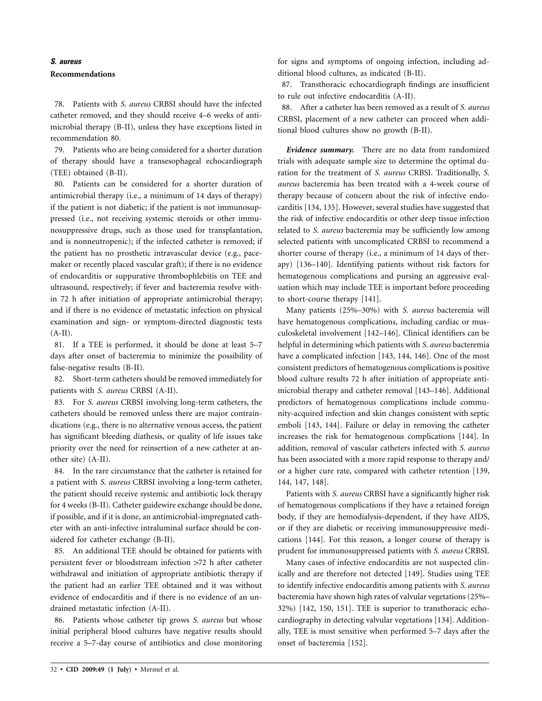# **S. aureus Recommendations**

78. Patients with *S. aureus* CRBSI should have the infected catheter removed, and they should receive 4–6 weeks of antimicrobial therapy (B-II), unless they have exceptions listed in recommendation 80.

79. Patients who are being considered for a shorter duration of therapy should have a transesophageal echocardiograph (TEE) obtained (B-II).

80. Patients can be considered for a shorter duration of antimicrobial therapy (i.e., a minimum of 14 days of therapy) if the patient is not diabetic; if the patient is not immunosuppressed (i.e., not receiving systemic steroids or other immunosuppressive drugs, such as those used for transplantation, and is nonneutropenic); if the infected catheter is removed; if the patient has no prosthetic intravascular device (e.g., pacemaker or recently placed vascular graft); if there is no evidence of endocarditis or suppurative thrombophlebitis on TEE and ultrasound, respectively; if fever and bacteremia resolve within 72 h after initiation of appropriate antimicrobial therapy; and if there is no evidence of metastatic infection on physical examination and sign- or symptom-directed diagnostic tests  $(A-II).$ 

81. If a TEE is performed, it should be done at least 5–7 days after onset of bacteremia to minimize the possibility of false-negative results (B-II).

82. Short-term catheters should be removed immediately for patients with *S. aureus* CRBSI (A-II).

83. For *S. aureus* CRBSI involving long-term catheters, the catheters should be removed unless there are major contraindications (e.g., there is no alternative venous access, the patient has significant bleeding diathesis, or quality of life issues take priority over the need for reinsertion of a new catheter at another site) (A-II).

84. In the rare circumstance that the catheter is retained for a patient with *S. aureus* CRBSI involving a long-term catheter, the patient should receive systemic and antibiotic lock therapy for 4 weeks (B-II). Catheter guidewire exchange should be done, if possible, and if it is done, an antimicrobial-impregnated catheter with an anti-infective intraluminal surface should be considered for catheter exchange (B-II).

85. An additional TEE should be obtained for patients with persistent fever or bloodstream infection >72 h after catheter withdrawal and initiation of appropriate antibiotic therapy if the patient had an earlier TEE obtained and it was without evidence of endocarditis and if there is no evidence of an undrained metastatic infection (A-II).

86. Patients whose catheter tip grows *S. aureus* but whose initial peripheral blood cultures have negative results should receive a 5–7-day course of antibiotics and close monitoring

for signs and symptoms of ongoing infection, including additional blood cultures, as indicated (B-II).

87. Transthoracic echocardiograph findings are insufficient to rule out infective endocarditis (A-II).

88. After a catheter has been removed as a result of *S. aureus* CRBSI, placement of a new catheter can proceed when additional blood cultures show no growth (B-II).

*Evidence summary.* There are no data from randomized trials with adequate sample size to determine the optimal duration for the treatment of *S. aureus* CRBSI. Traditionally, *S. aureus* bacteremia has been treated with a 4-week course of therapy because of concern about the risk of infective endocarditis [134, 135]. However, several studies have suggested that the risk of infective endocarditis or other deep tissue infection related to *S. aureus* bacteremia may be sufficiently low among selected patients with uncomplicated CRBSI to recommend a shorter course of therapy (i.e., a minimum of 14 days of therapy) [136–140]. Identifying patients without risk factors for hematogenous complications and pursing an aggressive evaluation which may include TEE is important before proceeding to short-course therapy [141].

Many patients (25%–30%) with *S. aureus* bacteremia will have hematogenous complications, including cardiac or musculoskeletal involvement [142–146]. Clinical identifiers can be helpful in determining which patients with *S. aureus* bacteremia have a complicated infection [143, 144, 146]. One of the most consistent predictors of hematogenous complications is positive blood culture results 72 h after initiation of appropriate antimicrobial therapy and catheter removal [143–146]. Additional predictors of hematogenous complications include community-acquired infection and skin changes consistent with septic emboli [143, 144]. Failure or delay in removing the catheter increases the risk for hematogenous complications [144]. In addition, removal of vascular catheters infected with *S. aureus* has been associated with a more rapid response to therapy and/ or a higher cure rate, compared with catheter retention [139, 144, 147, 148].

Patients with *S. aureus* CRBSI have a significantly higher risk of hematogenous complications if they have a retained foreign body, if they are hemodialysis-dependent, if they have AIDS, or if they are diabetic or receiving immunosuppressive medications [144]. For this reason, a longer course of therapy is prudent for immunosuppressed patients with *S. aureus* CRBSI.

Many cases of infective endocarditis are not suspected clinically and are therefore not detected [149]. Studies using TEE to identify infective endocarditis among patients with *S. aureus* bacteremia have shown high rates of valvular vegetations (25%– 32%) [142, 150, 151]. TEE is superior to transthoracic echocardiography in detecting valvular vegetations [134]. Additionally, TEE is most sensitive when performed 5–7 days after the onset of bacteremia [152].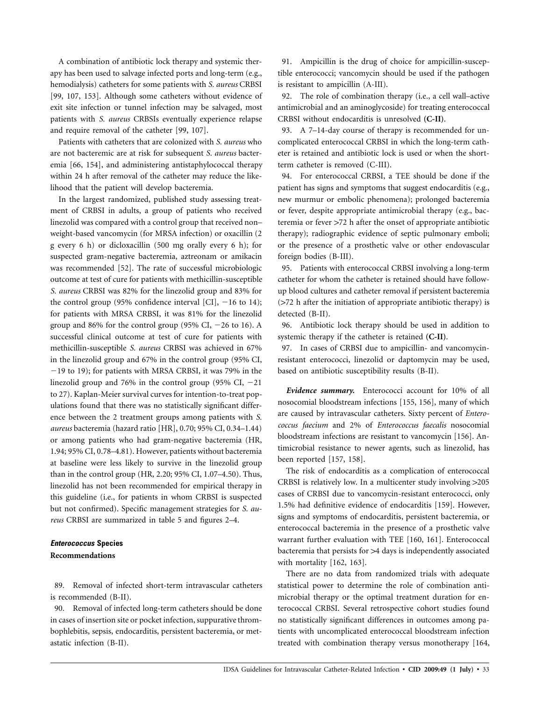A combination of antibiotic lock therapy and systemic therapy has been used to salvage infected ports and long-term (e.g., hemodialysis) catheters for some patients with *S. aureus* CRBSI [99, 107, 153]. Although some catheters without evidence of exit site infection or tunnel infection may be salvaged, most patients with *S. aureus* CRBSIs eventually experience relapse and require removal of the catheter [99, 107].

Patients with catheters that are colonized with *S. aureus* who are not bacteremic are at risk for subsequent *S. aureus* bacteremia [66, 154], and administering antistaphylococcal therapy within 24 h after removal of the catheter may reduce the likelihood that the patient will develop bacteremia.

In the largest randomized, published study assessing treatment of CRBSI in adults, a group of patients who received linezolid was compared with a control group that received non– weight-based vancomycin (for MRSA infection) or oxacillin (2 g every 6 h) or dicloxacillin (500 mg orally every 6 h); for suspected gram-negative bacteremia, aztreonam or amikacin was recommended [52]. The rate of successful microbiologic outcome at test of cure for patients with methicillin-susceptible *S. aureus* CRBSI was 82% for the linezolid group and 83% for the control group (95% confidence interval [CI],  $-16$  to 14); for patients with MRSA CRBSI, it was 81% for the linezolid group and 86% for the control group (95% CI,  $-26$  to 16). A successful clinical outcome at test of cure for patients with methicillin-susceptible *S. aureus* CRBSI was achieved in 67% in the linezolid group and 67% in the control group (95% CI,  $-19$  to 19); for patients with MRSA CRBSI, it was 79% in the linezolid group and 76% in the control group (95% CI,  $-21$ ) to 27). Kaplan-Meier survival curves for intention-to-treat populations found that there was no statistically significant difference between the 2 treatment groups among patients with *S. aureus* bacteremia (hazard ratio [HR], 0.70; 95% CI, 0.34–1.44) or among patients who had gram-negative bacteremia (HR, 1.94; 95% CI, 0.78–4.81). However, patients without bacteremia at baseline were less likely to survive in the linezolid group than in the control group (HR, 2.20; 95% CI, 1.07–4.50). Thus, linezolid has not been recommended for empirical therapy in this guideline (i.e., for patients in whom CRBSI is suspected but not confirmed). Specific management strategies for *S. aureus* CRBSI are summarized in table 5 and figures 2–4.

# **Enterococcus Species Recommendations**

89. Removal of infected short-term intravascular catheters is recommended (B-II).

90. Removal of infected long-term catheters should be done in cases of insertion site or pocket infection, suppurative thrombophlebitis, sepsis, endocarditis, persistent bacteremia, or metastatic infection (B-II).

91. Ampicillin is the drug of choice for ampicillin-susceptible enterococci; vancomycin should be used if the pathogen is resistant to ampicillin (A-III).

92. The role of combination therapy (i.e., a cell wall–active antimicrobial and an aminoglycoside) for treating enterococcal CRBSI without endocarditis is unresolved **(C-II)**.

93. A 7–14-day course of therapy is recommended for uncomplicated enterococcal CRBSI in which the long-term catheter is retained and antibiotic lock is used or when the shortterm catheter is removed (C-III).

94. For enterococcal CRBSI, a TEE should be done if the patient has signs and symptoms that suggest endocarditis (e.g., new murmur or embolic phenomena); prolonged bacteremia or fever, despite appropriate antimicrobial therapy (e.g., bacteremia or fever  $>72$  h after the onset of appropriate antibiotic therapy); radiographic evidence of septic pulmonary emboli; or the presence of a prosthetic valve or other endovascular foreign bodies (B-III).

95. Patients with enterococcal CRBSI involving a long-term catheter for whom the catheter is retained should have followup blood cultures and catheter removal if persistent bacteremia (>72 h after the initiation of appropriate antibiotic therapy) is detected (B-II).

96. Antibiotic lock therapy should be used in addition to systemic therapy if the catheter is retained **(C-II)**.

97. In cases of CRBSI due to ampicillin- and vancomycinresistant enterococci, linezolid or daptomycin may be used, based on antibiotic susceptibility results (B-II).

*Evidence summary.* Enterococci account for 10% of all nosocomial bloodstream infections [155, 156], many of which are caused by intravascular catheters. Sixty percent of *Enterococcus faecium* and 2% of *Enterococcus faecalis* nosocomial bloodstream infections are resistant to vancomycin [156]. Antimicrobial resistance to newer agents, such as linezolid, has been reported [157, 158].

The risk of endocarditis as a complication of enterococcal CRBSI is relatively low. In a multicenter study involving >205 cases of CRBSI due to vancomycin-resistant enterococci, only 1.5% had definitive evidence of endocarditis [159]. However, signs and symptoms of endocarditis, persistent bacteremia, or enterococcal bacteremia in the presence of a prosthetic valve warrant further evaluation with TEE [160, 161]. Enterococcal bacteremia that persists for >4 days is independently associated with mortality [162, 163].

There are no data from randomized trials with adequate statistical power to determine the role of combination antimicrobial therapy or the optimal treatment duration for enterococcal CRBSI. Several retrospective cohort studies found no statistically significant differences in outcomes among patients with uncomplicated enterococcal bloodstream infection treated with combination therapy versus monotherapy [164,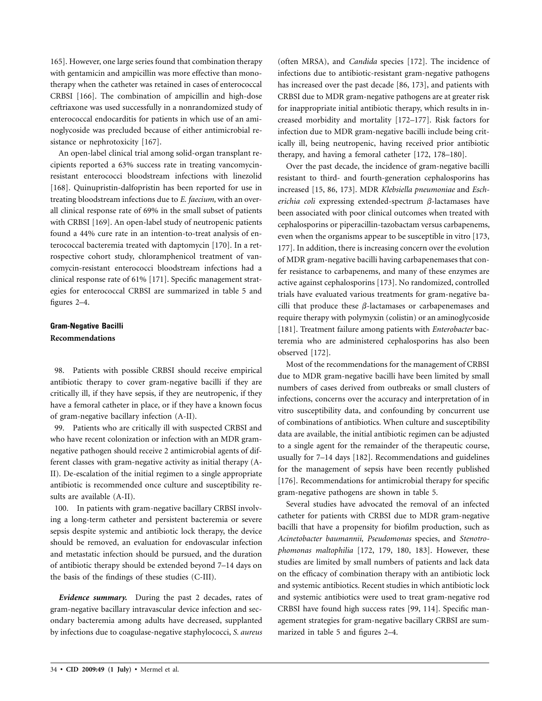165]. However, one large series found that combination therapy with gentamicin and ampicillin was more effective than monotherapy when the catheter was retained in cases of enterococcal CRBSI [166]. The combination of ampicillin and high-dose ceftriaxone was used successfully in a nonrandomized study of enterococcal endocarditis for patients in which use of an aminoglycoside was precluded because of either antimicrobial resistance or nephrotoxicity [167].

An open-label clinical trial among solid-organ transplant recipients reported a 63% success rate in treating vancomycinresistant enterococci bloodstream infections with linezolid [168]. Quinupristin-dalfopristin has been reported for use in treating bloodstream infections due to *E. faecium,* with an overall clinical response rate of 69% in the small subset of patients with CRBSI [169]. An open-label study of neutropenic patients found a 44% cure rate in an intention-to-treat analysis of enterococcal bacteremia treated with daptomycin [170]. In a retrospective cohort study, chloramphenicol treatment of vancomycin-resistant enterococci bloodstream infections had a clinical response rate of 61% [171]. Specific management strategies for enterococcal CRBSI are summarized in table 5 and figures 2–4.

# **Gram-Negative Bacilli Recommendations**

98. Patients with possible CRBSI should receive empirical antibiotic therapy to cover gram-negative bacilli if they are critically ill, if they have sepsis, if they are neutropenic, if they have a femoral catheter in place, or if they have a known focus of gram-negative bacillary infection (A-II).

99. Patients who are critically ill with suspected CRBSI and who have recent colonization or infection with an MDR gramnegative pathogen should receive 2 antimicrobial agents of different classes with gram-negative activity as initial therapy (A-II). De-escalation of the initial regimen to a single appropriate antibiotic is recommended once culture and susceptibility results are available (A-II).

100. In patients with gram-negative bacillary CRBSI involving a long-term catheter and persistent bacteremia or severe sepsis despite systemic and antibiotic lock therapy, the device should be removed, an evaluation for endovascular infection and metastatic infection should be pursued, and the duration of antibiotic therapy should be extended beyond 7–14 days on the basis of the findings of these studies (C-III).

*Evidence summary.* During the past 2 decades, rates of gram-negative bacillary intravascular device infection and secondary bacteremia among adults have decreased, supplanted by infections due to coagulase-negative staphylococci, *S. aureus* (often MRSA), and *Candida* species [172]. The incidence of infections due to antibiotic-resistant gram-negative pathogens has increased over the past decade [86, 173], and patients with CRBSI due to MDR gram-negative pathogens are at greater risk for inappropriate initial antibiotic therapy, which results in increased morbidity and mortality [172–177]. Risk factors for infection due to MDR gram-negative bacilli include being critically ill, being neutropenic, having received prior antibiotic therapy, and having a femoral catheter [172, 178–180].

Over the past decade, the incidence of gram-negative bacilli resistant to third- and fourth-generation cephalosporins has increased [15, 86, 173]. MDR *Klebsiella pneumoniae* and *Esch* $erichia$  *coli* expressing extended-spectrum  $\beta$ -lactamases have been associated with poor clinical outcomes when treated with cephalosporins or piperacillin-tazobactam versus carbapenems, even when the organisms appear to be susceptible in vitro [173, 177]. In addition, there is increasing concern over the evolution of MDR gram-negative bacilli having carbapenemases that confer resistance to carbapenems, and many of these enzymes are active against cephalosporins [173]. No randomized, controlled trials have evaluated various treatments for gram-negative bacilli that produce these  $\beta$ -lactamases or carbapenemases and require therapy with polymyxin (colistin) or an aminoglycoside [181]. Treatment failure among patients with *Enterobacter* bacteremia who are administered cephalosporins has also been observed [172].

Most of the recommendations for the management of CRBSI due to MDR gram-negative bacilli have been limited by small numbers of cases derived from outbreaks or small clusters of infections, concerns over the accuracy and interpretation of in vitro susceptibility data, and confounding by concurrent use of combinations of antibiotics. When culture and susceptibility data are available, the initial antibiotic regimen can be adjusted to a single agent for the remainder of the therapeutic course, usually for 7–14 days [182]. Recommendations and guidelines for the management of sepsis have been recently published [176]. Recommendations for antimicrobial therapy for specific gram-negative pathogens are shown in table 5.

Several studies have advocated the removal of an infected catheter for patients with CRBSI due to MDR gram-negative bacilli that have a propensity for biofilm production, such as *Acinetobacter baumannii, Pseudomonas* species, and *Stenotrophomonas maltophilia* [172, 179, 180, 183]. However, these studies are limited by small numbers of patients and lack data on the efficacy of combination therapy with an antibiotic lock and systemic antibiotics. Recent studies in which antibiotic lock and systemic antibiotics were used to treat gram-negative rod CRBSI have found high success rates [99, 114]. Specific management strategies for gram-negative bacillary CRBSI are summarized in table 5 and figures 2–4.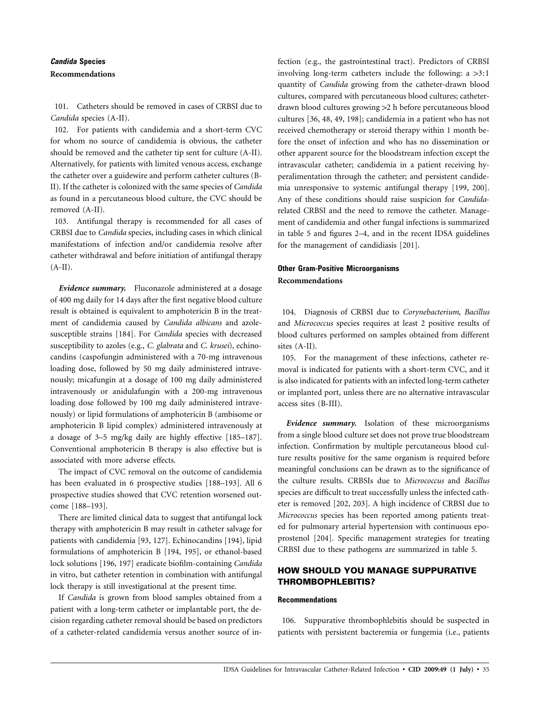# **Candida Species Recommendations**

101. Catheters should be removed in cases of CRBSI due to *Candida* species (A-II).

102. For patients with candidemia and a short-term CVC for whom no source of candidemia is obvious, the catheter should be removed and the catheter tip sent for culture (A-II). Alternatively, for patients with limited venous access, exchange the catheter over a guidewire and perform catheter cultures (B-II). If the catheter is colonized with the same species of *Candida* as found in a percutaneous blood culture, the CVC should be removed (A-II).

103. Antifungal therapy is recommended for all cases of CRBSI due to *Candida* species, including cases in which clinical manifestations of infection and/or candidemia resolve after catheter withdrawal and before initiation of antifungal therapy  $(A-II).$ 

*Evidence summary.* Fluconazole administered at a dosage of 400 mg daily for 14 days after the first negative blood culture result is obtained is equivalent to amphotericin B in the treatment of candidemia caused by *Candida albicans* and azolesusceptible strains [184]. For *Candida* species with decreased susceptibility to azoles (e.g., *C. glabrata* and *C. krusei*), echinocandins (caspofungin administered with a 70-mg intravenous loading dose, followed by 50 mg daily administered intravenously; micafungin at a dosage of 100 mg daily administered intravenously or anidulafungin with a 200-mg intravenous loading dose followed by 100 mg daily administered intravenously) or lipid formulations of amphotericin B (ambisome or amphotericin B lipid complex) administered intravenously at a dosage of 3–5 mg/kg daily are highly effective [185–187]. Conventional amphotericin B therapy is also effective but is associated with more adverse effects.

The impact of CVC removal on the outcome of candidemia has been evaluated in 6 prospective studies [188–193]. All 6 prospective studies showed that CVC retention worsened outcome [188–193].

There are limited clinical data to suggest that antifungal lock therapy with amphotericin B may result in catheter salvage for patients with candidemia [93, 127]. Echinocandins [194], lipid formulations of amphotericin B [194, 195], or ethanol-based lock solutions [196, 197] eradicate biofilm-containing *Candida* in vitro, but catheter retention in combination with antifungal lock therapy is still investigational at the present time.

If *Candida* is grown from blood samples obtained from a patient with a long-term catheter or implantable port, the decision regarding catheter removal should be based on predictors of a catheter-related candidemia versus another source of infection (e.g., the gastrointestinal tract). Predictors of CRBSI involving long-term catheters include the following:  $a > 3:1$ quantity of *Candida* growing from the catheter-drawn blood cultures, compared with percutaneous blood cultures; catheterdrawn blood cultures growing >2 h before percutaneous blood cultures [36, 48, 49, 198]; candidemia in a patient who has not received chemotherapy or steroid therapy within 1 month before the onset of infection and who has no dissemination or other apparent source for the bloodstream infection except the intravascular catheter; candidemia in a patient receiving hyperalimentation through the catheter; and persistent candidemia unresponsive to systemic antifungal therapy [199, 200]. Any of these conditions should raise suspicion for *Candida*related CRBSI and the need to remove the catheter. Management of candidemia and other fungal infections is summarized in table 5 and figures 2–4, and in the recent IDSA guidelines for the management of candidiasis [201].

# **Other Gram-Positive Microorganisms Recommendations**

104. Diagnosis of CRBSI due to *Corynebacterium*, *Bacillus* and *Micrococcus* species requires at least 2 positive results of blood cultures performed on samples obtained from different sites (A-II).

105. For the management of these infections, catheter removal is indicated for patients with a short-term CVC, and it is also indicated for patients with an infected long-term catheter or implanted port, unless there are no alternative intravascular access sites (B-III).

*Evidence summary.* Isolation of these microorganisms from a single blood culture set does not prove true bloodstream infection. Confirmation by multiple percutaneous blood culture results positive for the same organism is required before meaningful conclusions can be drawn as to the significance of the culture results. CRBSIs due to *Micrococcus* and *Bacillus* species are difficult to treat successfully unless the infected catheter is removed [202, 203]. A high incidence of CRBSI due to *Micrococcus* species has been reported among patients treated for pulmonary arterial hypertension with continuous epoprostenol [204]. Specific management strategies for treating CRBSI due to these pathogens are summarized in table 5.

# HOW SHOULD YOU MANAGE SUPPURATIVE THROMBOPHLEBITIS?

#### **Recommendations**

106. Suppurative thrombophlebitis should be suspected in patients with persistent bacteremia or fungemia (i.e., patients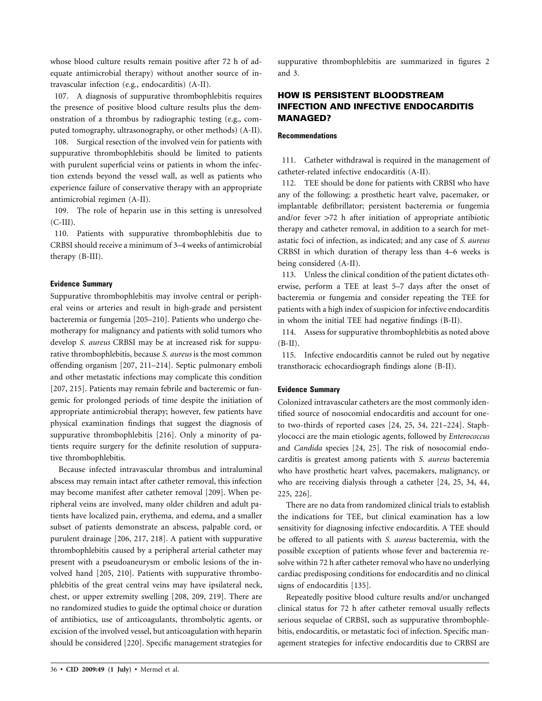whose blood culture results remain positive after 72 h of adequate antimicrobial therapy) without another source of intravascular infection (e.g., endocarditis) (A-II).

107. A diagnosis of suppurative thrombophlebitis requires the presence of positive blood culture results plus the demonstration of a thrombus by radiographic testing (e.g., computed tomography, ultrasonography, or other methods) (A-II).

108. Surgical resection of the involved vein for patients with suppurative thrombophlebitis should be limited to patients with purulent superficial veins or patients in whom the infection extends beyond the vessel wall, as well as patients who experience failure of conservative therapy with an appropriate antimicrobial regimen (A-II).

109. The role of heparin use in this setting is unresolved  $(C-III)$ .

110. Patients with suppurative thrombophlebitis due to CRBSI should receive a minimum of 3–4 weeks of antimicrobial therapy (B-III).

## **Evidence Summary**

Suppurative thrombophlebitis may involve central or peripheral veins or arteries and result in high-grade and persistent bacteremia or fungemia [205–210]. Patients who undergo chemotherapy for malignancy and patients with solid tumors who develop *S. aureus* CRBSI may be at increased risk for suppurative thrombophlebitis, because *S. aureus* is the most common offending organism [207, 211–214]. Septic pulmonary emboli and other metastatic infections may complicate this condition [207, 215]. Patients may remain febrile and bacteremic or fungemic for prolonged periods of time despite the initiation of appropriate antimicrobial therapy; however, few patients have physical examination findings that suggest the diagnosis of suppurative thrombophlebitis [216]. Only a minority of patients require surgery for the definite resolution of suppurative thrombophlebitis.

Because infected intravascular thrombus and intraluminal abscess may remain intact after catheter removal, this infection may become manifest after catheter removal [209]. When peripheral veins are involved, many older children and adult patients have localized pain, erythema, and edema, and a smaller subset of patients demonstrate an abscess, palpable cord, or purulent drainage [206, 217, 218]. A patient with suppurative thrombophlebitis caused by a peripheral arterial catheter may present with a pseudoaneurysm or embolic lesions of the involved hand [205, 210]. Patients with suppurative thrombophlebitis of the great central veins may have ipsilateral neck, chest, or upper extremity swelling [208, 209, 219]. There are no randomized studies to guide the optimal choice or duration of antibiotics, use of anticoagulants, thrombolytic agents, or excision of the involved vessel, but anticoagulation with heparin should be considered [220]. Specific management strategies for

suppurative thrombophlebitis are summarized in figures 2 and 3.

# HOW IS PERSISTENT BLOODSTREAM INFECTION AND INFECTIVE ENDOCARDITIS MANAGED?

## **Recommendations**

111. Catheter withdrawal is required in the management of catheter-related infective endocarditis (A-II).

112. TEE should be done for patients with CRBSI who have any of the following: a prosthetic heart valve, pacemaker, or implantable defibrillator; persistent bacteremia or fungemia and/or fever  $>72$  h after initiation of appropriate antibiotic therapy and catheter removal, in addition to a search for metastatic foci of infection, as indicated; and any case of *S. aureus* CRBSI in which duration of therapy less than 4–6 weeks is being considered (A-II).

113. Unless the clinical condition of the patient dictates otherwise, perform a TEE at least 5–7 days after the onset of bacteremia or fungemia and consider repeating the TEE for patients with a high index of suspicion for infective endocarditis in whom the initial TEE had negative findings (B-II).

114. Assess for suppurative thrombophlebitis as noted above  $(B-II)$ .

115. Infective endocarditis cannot be ruled out by negative transthoracic echocardiograph findings alone (B-II).

## **Evidence Summary**

Colonized intravascular catheters are the most commonly identified source of nosocomial endocarditis and account for oneto two-thirds of reported cases [24, 25, 34, 221–224]. Staphylococci are the main etiologic agents, followed by *Enterococcus* and *Candida* species [24, 25]. The risk of nosocomial endocarditis is greatest among patients with *S. aureus* bacteremia who have prosthetic heart valves, pacemakers, malignancy, or who are receiving dialysis through a catheter [24, 25, 34, 44, 225, 226].

There are no data from randomized clinical trials to establish the indications for TEE, but clinical examination has a low sensitivity for diagnosing infective endocarditis. A TEE should be offered to all patients with *S. aureus* bacteremia, with the possible exception of patients whose fever and bacteremia resolve within 72 h after catheter removal who have no underlying cardiac predisposing conditions for endocarditis and no clinical signs of endocarditis [135].

Repeatedly positive blood culture results and/or unchanged clinical status for 72 h after catheter removal usually reflects serious sequelae of CRBSI, such as suppurative thrombophlebitis, endocarditis, or metastatic foci of infection. Specific management strategies for infective endocarditis due to CRBSI are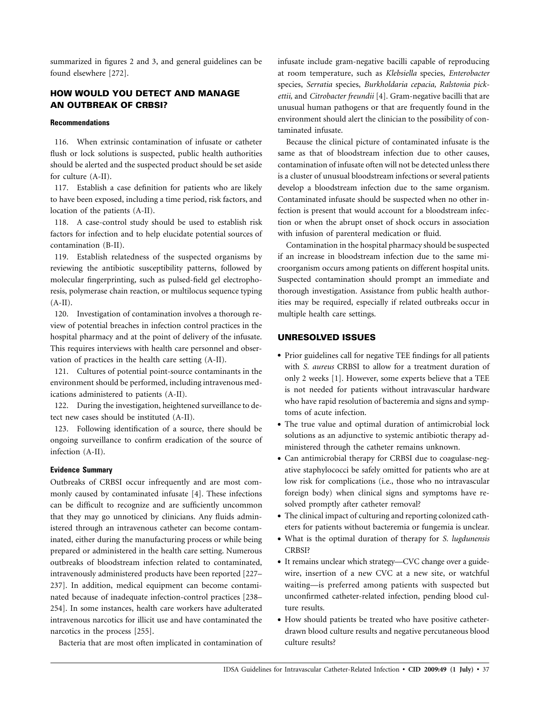summarized in figures 2 and 3, and general guidelines can be found elsewhere [272].

# HOW WOULD YOU DETECT AND MANAGE AN OUTBREAK OF CRBSI?

## **Recommendations**

116. When extrinsic contamination of infusate or catheter flush or lock solutions is suspected, public health authorities should be alerted and the suspected product should be set aside for culture (A-II).

117. Establish a case definition for patients who are likely to have been exposed, including a time period, risk factors, and location of the patients (A-II).

118. A case-control study should be used to establish risk factors for infection and to help elucidate potential sources of contamination (B-II).

119. Establish relatedness of the suspected organisms by reviewing the antibiotic susceptibility patterns, followed by molecular fingerprinting, such as pulsed-field gel electrophoresis, polymerase chain reaction, or multilocus sequence typing (A-II).

120. Investigation of contamination involves a thorough review of potential breaches in infection control practices in the hospital pharmacy and at the point of delivery of the infusate. This requires interviews with health care personnel and observation of practices in the health care setting (A-II).

121. Cultures of potential point-source contaminants in the environment should be performed, including intravenous medications administered to patients (A-II).

122. During the investigation, heightened surveillance to detect new cases should be instituted (A-II).

123. Following identification of a source, there should be ongoing surveillance to confirm eradication of the source of infection (A-II).

## **Evidence Summary**

Outbreaks of CRBSI occur infrequently and are most commonly caused by contaminated infusate [4]. These infections can be difficult to recognize and are sufficiently uncommon that they may go unnoticed by clinicians. Any fluids administered through an intravenous catheter can become contaminated, either during the manufacturing process or while being prepared or administered in the health care setting. Numerous outbreaks of bloodstream infection related to contaminated, intravenously administered products have been reported [227– 237]. In addition, medical equipment can become contaminated because of inadequate infection-control practices [238– 254]. In some instances, health care workers have adulterated intravenous narcotics for illicit use and have contaminated the narcotics in the process [255].

Bacteria that are most often implicated in contamination of

infusate include gram-negative bacilli capable of reproducing at room temperature, such as *Klebsiella* species, *Enterobacter* species, *Serratia* species, *Burkholdaria cepacia, Ralstonia pickettii,* and *Citrobacter freundii* [4]. Gram-negative bacilli that are unusual human pathogens or that are frequently found in the environment should alert the clinician to the possibility of contaminated infusate.

Because the clinical picture of contaminated infusate is the same as that of bloodstream infection due to other causes, contamination of infusate often will not be detected unless there is a cluster of unusual bloodstream infections or several patients develop a bloodstream infection due to the same organism. Contaminated infusate should be suspected when no other infection is present that would account for a bloodstream infection or when the abrupt onset of shock occurs in association with infusion of parenteral medication or fluid.

Contamination in the hospital pharmacy should be suspected if an increase in bloodstream infection due to the same microorganism occurs among patients on different hospital units. Suspected contamination should prompt an immediate and thorough investigation. Assistance from public health authorities may be required, especially if related outbreaks occur in multiple health care settings.

## UNRESOLVED ISSUES

- Prior guidelines call for negative TEE findings for all patients with *S. aureus* CRBSI to allow for a treatment duration of only 2 weeks [1]. However, some experts believe that a TEE is not needed for patients without intravascular hardware who have rapid resolution of bacteremia and signs and symptoms of acute infection.
- The true value and optimal duration of antimicrobial lock solutions as an adjunctive to systemic antibiotic therapy administered through the catheter remains unknown.
- Can antimicrobial therapy for CRBSI due to coagulase-negative staphylococci be safely omitted for patients who are at low risk for complications (i.e., those who no intravascular foreign body) when clinical signs and symptoms have resolved promptly after catheter removal?
- The clinical impact of culturing and reporting colonized catheters for patients without bacteremia or fungemia is unclear.
- What is the optimal duration of therapy for *S. lugdunensis* CRBSI?
- It remains unclear which strategy—CVC change over a guidewire, insertion of a new CVC at a new site, or watchful waiting—is preferred among patients with suspected but unconfirmed catheter-related infection, pending blood culture results.
- How should patients be treated who have positive catheterdrawn blood culture results and negative percutaneous blood culture results?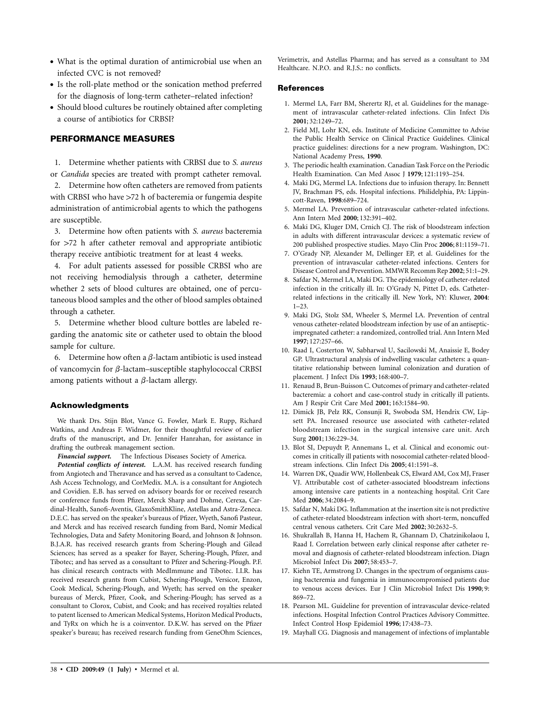- What is the optimal duration of antimicrobial use when an infected CVC is not removed?
- Is the roll-plate method or the sonication method preferred for the diagnosis of long-term catheter–related infection?
- Should blood cultures be routinely obtained after completing a course of antibiotics for CRBSI?

## PERFORMANCE MEASURES

1. Determine whether patients with CRBSI due to *S. aureus* or *Candida* species are treated with prompt catheter removal.

2. Determine how often catheters are removed from patients with CRBSI who have >72 h of bacteremia or fungemia despite administration of antimicrobial agents to which the pathogens are susceptible.

3. Determine how often patients with *S. aureus* bacteremia for  $>72$  h after catheter removal and appropriate antibiotic therapy receive antibiotic treatment for at least 4 weeks.

4. For adult patients assessed for possible CRBSI who are not receiving hemodialysis through a catheter, determine whether 2 sets of blood cultures are obtained, one of percutaneous blood samples and the other of blood samples obtained through a catheter.

5. Determine whether blood culture bottles are labeled regarding the anatomic site or catheter used to obtain the blood sample for culture.

6. Determine how often a  $\beta$ -lactam antibiotic is used instead of vancomycin for  $\beta$ -lactam–susceptible staphylococcal CRBSI among patients without a  $\beta$ -lactam allergy.

#### Acknowledgments

We thank Drs. Stijn Blot, Vance G. Fowler, Mark E. Rupp, Richard Watkins, and Andreas F. Widmer, for their thoughtful review of earlier drafts of the manuscript, and Dr. Jennifer Hanrahan, for assistance in drafting the outbreak management section.

*Financial support.* The Infectious Diseases Society of America.

*Potential conflicts of interest.* L.A.M. has received research funding from Angiotech and Theravance and has served as a consultant to Cadence, Ash Access Technology, and CorMedix. M.A. is a consultant for Angiotech and Covidien. E.B. has served on advisory boards for or received research or conference funds from Pfizer, Merck Sharp and Dohme, Cerexa, Cardinal-Health, Sanofi-Aventis, GlaxoSmithKline, Astellas and Astra-Zeneca. D.E.C. has served on the speaker's bureaus of Pfizer, Wyeth, Sanofi Pasteur, and Merck and has received research funding from Bard, Nomir Medical Technologies, Data and Safety Monitoring Board, and Johnson & Johnson. B.J.A.R. has received research grants from Schering-Plough and Gilead Sciences; has served as a speaker for Bayer, Schering-Plough, Pfizer, and Tibotec; and has served as a consultant to Pfizer and Schering-Plough. P.F. has clinical research contracts with MedImmune and Tibotec. I.I.R. has received research grants from Cubist, Schering-Plough, Versicor, Enzon, Cook Medical, Schering-Plough, and Wyeth; has served on the speaker bureaus of Merck, Pfizer, Cook, and Schering-Plough; has served as a consultant to Clorox, Cubist, and Cook; and has received royalties related to patent licensed to American Medical Systems, Horizon Medical Products, and TyRx on which he is a coinventor. D.K.W. has served on the Pfizer speaker's bureau; has received research funding from GeneOhm Sciences,

Verimetrix, and Astellas Pharma; and has served as a consultant to 3M Healthcare. N.P.O. and R.J.S.: no conflicts.

#### References

- 1. Mermel LA, Farr BM, Sherertz RJ, et al. Guidelines for the management of intravascular catheter-related infections. Clin Infect Dis **2001**; 32:1249–72.
- 2. Field MJ, Lohr KN, eds. Institute of Medicine Committee to Advise the Public Health Service on Clinical Practice Guidelines. Clinical practice guidelines: directions for a new program. Washington, DC: National Academy Press, **1990**.
- 3. The periodic health examination. Canadian Task Force on the Periodic Health Examination. Can Med Assoc J **1979**; 121:1193–254.
- 4. Maki DG, Mermel LA. Infections due to infusion therapy. In: Bennett JV, Brachman PS, eds. Hospital infections. Philidelphia, PA: Lippincott-Raven, **1998**:689–724.
- 5. Mermel LA. Prevention of intravascular catheter-related infections. Ann Intern Med **2000**; 132:391–402.
- 6. Maki DG, Kluger DM, Crnich CJ. The risk of bloodstream infection in adults with different intravascular devices: a systematic review of 200 published prospective studies. Mayo Clin Proc **2006**; 81:1159–71.
- 7. O'Grady NP, Alexander M, Dellinger EP, et al. Guidelines for the prevention of intravascular catheter-related infections. Centers for Disease Control and Prevention. MMWR Recomm Rep **2002**; 51:1–29.
- 8. Safdar N, Mermel LA, Maki DG. The epidemiology of catheter-related infection in the critically ill. In: O'Grady N, Pittet D, eds. Catheterrelated infections in the critically ill. New York, NY: Kluwer, **2004**: 1–23.
- 9. Maki DG, Stolz SM, Wheeler S, Mermel LA. Prevention of central venous catheter-related bloodstream infection by use of an antisepticimpregnated catheter: a randomized, controlled trial. Ann Intern Med **1997**; 127:257–66.
- 10. Raad I, Costerton W, Sabharwal U, Sacilowski M, Anaissie E, Bodey GP. Ultrastructural analysis of indwelling vascular catheters: a quantitative relationship between luminal colonization and duration of placement. J Infect Dis **1993**; 168:400–7.
- 11. Renaud B, Brun-Buisson C. Outcomes of primary and catheter-related bacteremia: a cohort and case-control study in critically ill patients. Am J Respir Crit Care Med **2001**; 163:1584–90.
- 12. Dimick JB, Pelz RK, Consunji R, Swoboda SM, Hendrix CW, Lipsett PA. Increased resource use associated with catheter-related bloodstream infection in the surgical intensive care unit. Arch Surg **2001**; 136:229–34.
- 13. Blot SI, Depuydt P, Annemans L, et al. Clinical and economic outcomes in critically ill patients with nosocomial catheter-related bloodstream infections. Clin Infect Dis **2005**; 41:1591–8.
- 14. Warren DK, Quadir WW, Hollenbeak CS, Elward AM, Cox MJ, Fraser VJ. Attributable cost of catheter-associated bloodstream infections among intensive care patients in a nonteaching hospital. Crit Care Med **2006**; 34:2084–9.
- 15. Safdar N, Maki DG. Inflammation at the insertion site is not predictive of catheter-related bloodstream infection with short-term, noncuffed central venous catheters. Crit Care Med **2002**; 30:2632–5.
- 16. Shukrallah B, Hanna H, Hachem R, Ghannam D, Chatzinikolaou I, Raad I. Correlation between early clinical response after catheter removal and diagnosis of catheter-related bloodstream infection. Diagn Microbiol Infect Dis **2007**; 58:453–7.
- 17. Kiehn TE, Armstrong D. Changes in the spectrum of organisms causing bacteremia and fungemia in immunocompromised patients due to venous access devices. Eur J Clin Microbiol Infect Dis **1990**; 9: 869–72.
- 18. Pearson ML. Guideline for prevention of intravascular device-related infections. Hospital Infection Control Practices Advisory Committee. Infect Control Hosp Epidemiol **1996**; 17:438–73.
- 19. Mayhall CG. Diagnosis and management of infections of implantable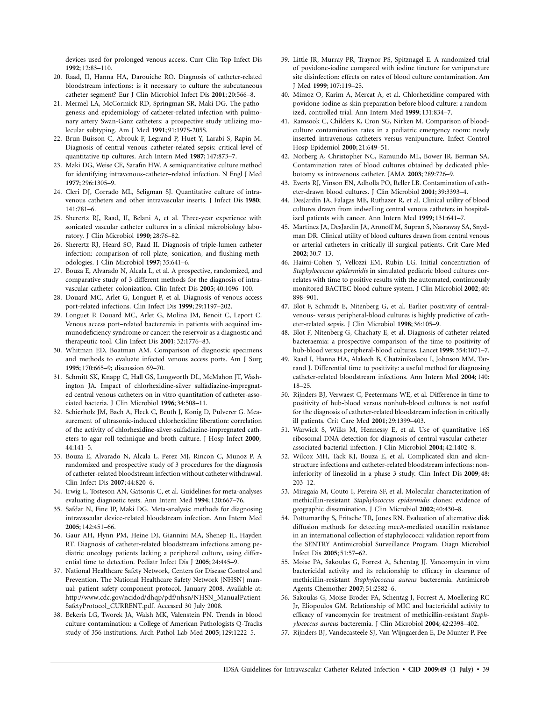devices used for prolonged venous access. Curr Clin Top Infect Dis **1992**; 12:83–110.

- 20. Raad, II, Hanna HA, Darouiche RO. Diagnosis of catheter-related bloodstream infections: is it necessary to culture the subcutaneous catheter segment? Eur J Clin Microbiol Infect Dis **2001**; 20:566–8.
- 21. Mermel LA, McCormick RD, Springman SR, Maki DG. The pathogenesis and epidemiology of catheter-related infection with pulmonary artery Swan-Ganz catheters: a prospective study utilizing molecular subtyping. Am J Med **1991**; 91:197S-205S.
- 22. Brun-Buisson C, Abrouk F, Legrand P, Huet Y, Larabi S, Rapin M. Diagnosis of central venous catheter-related sepsis: critical level of quantitative tip cultures. Arch Intern Med **1987**; 147:873–7.
- 23. Maki DG, Weise CE, Sarafin HW. A semiquantitative culture method for identifying intravenous-catheter–related infection. N Engl J Med **1977**; 296:1305–9.
- 24. Cleri DJ, Corrado ML, Seligman SJ. Quantitative culture of intravenous catheters and other intravascular inserts. J Infect Dis **1980**; 141:781–6.
- 25. Sherertz RJ, Raad, II, Belani A, et al. Three-year experience with sonicated vascular catheter cultures in a clinical microbiology laboratory. J Clin Microbiol **1990**; 28:76–82.
- 26. Sherertz RJ, Heard SO, Raad II. Diagnosis of triple-lumen catheter infection: comparison of roll plate, sonication, and flushing methodologies. J Clin Microbiol **1997**; 35:641–6.
- 27. Bouza E, Alvarado N, Alcala L, et al. A prospective, randomized, and comparative study of 3 different methods for the diagnosis of intravascular catheter colonization. Clin Infect Dis **2005**; 40:1096–100.
- 28. Douard MC, Arlet G, Longuet P, et al. Diagnosis of venous access port-related infections. Clin Infect Dis **1999**; 29:1197–202.
- 29. Longuet P, Douard MC, Arlet G, Molina JM, Benoit C, Leport C. Venous access port–related bacteremia in patients with acquired immunodeficiency syndrome or cancer: the reservoir as a diagnostic and therapeutic tool. Clin Infect Dis **2001**; 32:1776–83.
- 30. Whitman ED, Boatman AM. Comparison of diagnostic specimens and methods to evaluate infected venous access ports. Am J Surg **1995**; 170:665–9; discussion 69–70.
- 31. Schmitt SK, Knapp C, Hall GS, Longworth DL, McMahon JT, Washington JA. Impact of chlorhexidine-silver sulfadiazine-impregnated central venous catheters on in vitro quantitation of catheter-associated bacteria. J Clin Microbiol **1996**; 34:508–11.
- 32. Schierholz JM, Bach A, Fleck C, Beuth J, Konig D, Pulverer G. Measurement of ultrasonic-induced chlorhexidine liberation: correlation of the activity of chlorhexidine-silver-sulfadiazine-impregnated catheters to agar roll technique and broth culture. J Hosp Infect **2000**;  $44 \cdot 141 - 5$
- 33. Bouza E, Alvarado N, Alcala L, Perez MJ, Rincon C, Munoz P. A randomized and prospective study of 3 procedures for the diagnosis of catheter-related bloodstream infection without catheter withdrawal. Clin Infect Dis **2007**; 44:820–6.
- 34. Irwig L, Tosteson AN, Gatsonis C, et al. Guidelines for meta-analyses evaluating diagnostic tests. Ann Intern Med **1994**; 120:667–76.
- 35. Safdar N, Fine JP, Maki DG. Meta-analysis: methods for diagnosing intravascular device-related bloodstream infection. Ann Intern Med **2005**; 142:451–66.
- 36. Gaur AH, Flynn PM, Heine DJ, Giannini MA, Shenep JL, Hayden RT. Diagnosis of catheter-related bloodstream infections among pediatric oncology patients lacking a peripheral culture, using differential time to detection. Pediatr Infect Dis J **2005**; 24:445–9.
- 37. National Healthcare Safety Network, Centers for Disease Control and Prevention. The National Healthcare Safety Network [NHSN] manual: patient safety component protocol. January 2008. Available at: http://www.cdc.gov/ncidod/dhqp/pdf/nhsn/NHSN\_ManualPatient SafetyProtocol\_CURRENT.pdf. Accessed 30 July 2008.
- 38. Bekeris LG, Tworek JA, Walsh MK, Valenstein PN. Trends in blood culture contamination: a College of American Pathologists Q-Tracks study of 356 institutions. Arch Pathol Lab Med **2005**; 129:1222–5.
- 39. Little JR, Murray PR, Traynor PS, Spitznagel E. A randomized trial of povidone-iodine compared with iodine tincture for venipuncture site disinfection: effects on rates of blood culture contamination. Am J Med **1999**; 107:119–25.
- 40. Mimoz O, Karim A, Mercat A, et al. Chlorhexidine compared with povidone-iodine as skin preparation before blood culture: a randomized, controlled trial. Ann Intern Med **1999**; 131:834–7.
- 41. Ramsook C, Childers K, Cron SG, Nirken M. Comparison of bloodculture contamination rates in a pediatric emergency room: newly inserted intravenous catheters versus venipuncture. Infect Control Hosp Epidemiol **2000**; 21:649–51.
- 42. Norberg A, Christopher NC, Ramundo ML, Bower JR, Berman SA. Contamination rates of blood cultures obtained by dedicated phlebotomy vs intravenous catheter. JAMA **2003**; 289:726–9.
- 43. Everts RJ, Vinson EN, Adholla PO, Reller LB. Contamination of catheter-drawn blood cultures. J Clin Microbiol **2001**; 39:3393–4.
- 44. DesJardin JA, Falagas ME, Ruthazer R, et al. Clinical utility of blood cultures drawn from indwelling central venous catheters in hospitalized patients with cancer. Ann Intern Med **1999**; 131:641–7.
- 45. Martinez JA, DesJardin JA, Aronoff M, Supran S, Nasraway SA, Snydman DR. Clinical utility of blood cultures drawn from central venous or arterial catheters in critically ill surgical patients. Crit Care Med **2002**; 30:7–13.
- 46. Haimi-Cohen Y, Vellozzi EM, Rubin LG. Initial concentration of *Staphylococcus epidermidis* in simulated pediatric blood cultures correlates with time to positive results with the automated, continuously monitored BACTEC blood culture system. J Clin Microbiol **2002**; 40: 898–901.
- 47. Blot F, Schmidt E, Nitenberg G, et al. Earlier positivity of centralvenous- versus peripheral-blood cultures is highly predictive of catheter-related sepsis. J Clin Microbiol **1998**; 36:105–9.
- 48. Blot F, Nitenberg G, Chachaty E, et al. Diagnosis of catheter-related bacteraemia: a prospective comparison of the time to positivity of hub-blood versus peripheral-blood cultures. Lancet **1999**; 354:1071–7.
- 49. Raad I, Hanna HA, Alakech B, Chatzinikolaou I, Johnson MM, Tarrand J. Differential time to positivity: a useful method for diagnosing catheter-related bloodstream infections. Ann Intern Med **2004**; 140: 18–25.
- 50. Rijnders BJ, Verwaest C, Peetermans WE, et al. Difference in time to positivity of hub-blood versus nonhub-blood cultures is not useful for the diagnosis of catheter-related bloodstream infection in critically ill patients. Crit Care Med **2001**; 29:1399–403.
- 51. Warwick S, Wilks M, Hennessy E, et al. Use of quantitative 16S ribosomal DNA detection for diagnosis of central vascular catheterassociated bacterial infection. J Clin Microbiol **2004**; 42:1402–8.
- 52. Wilcox MH, Tack KJ, Bouza E, et al. Complicated skin and skinstructure infections and catheter-related bloodstream infections: noninferiority of linezolid in a phase 3 study. Clin Infect Dis **2009**; 48: 203–12.
- 53. Miragaia M, Couto I, Pereira SF, et al. Molecular characterization of methicillin-resistant *Staphylococcus epidermidis* clones: evidence of geographic dissemination. J Clin Microbiol **2002**; 40:430–8.
- 54. Pottumarthy S, Fritsche TR, Jones RN. Evaluation of alternative disk diffusion methods for detecting mecA-mediated oxacillin resistance in an international collection of staphylococci: validation report from the SENTRY Antimicrobial Surveillance Program. Diagn Microbiol Infect Dis **2005**; 51:57–62.
- 55. Moise PA, Sakoulas G, Forrest A, Schentag JJ. Vancomycin in vitro bactericidal activity and its relationship to efficacy in clearance of methicillin-resistant *Staphylococcus aureus* bacteremia. Antimicrob Agents Chemother **2007**; 51:2582–6.
- 56. Sakoulas G, Moise-Broder PA, Schentag J, Forrest A, Moellering RC Jr, Eliopoulos GM. Relationship of MIC and bactericidal activity to efficacy of vancomycin for treatment of methicillin-resistant *Staphylococcus aureus* bacteremia. J Clin Microbiol **2004**; 42:2398–402.
- 57. Rijnders BJ, Vandecasteele SJ, Van Wijngaerden E, De Munter P, Pee-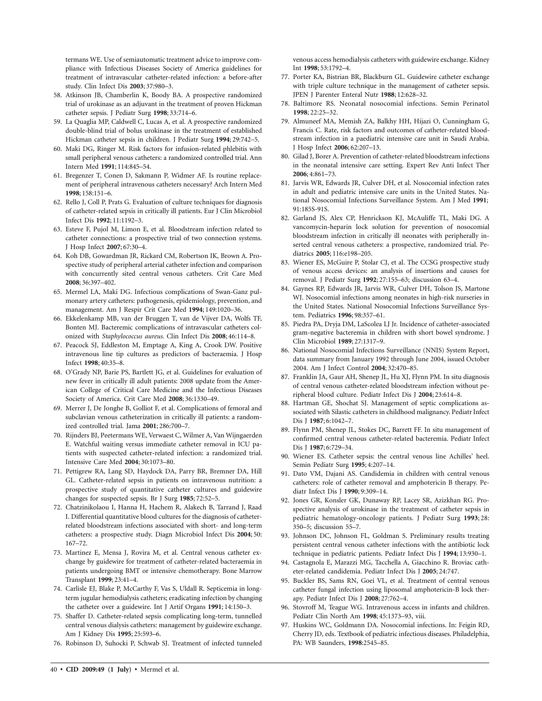termans WE. Use of semiautomatic treatment advice to improve compliance with Infectious Diseases Society of America guidelines for treatment of intravascular catheter-related infection: a before-after study. Clin Infect Dis **2003**; 37:980–3.

- 58. Atkinson JB, Chamberlin K, Boody BA. A prospective randomized trial of urokinase as an adjuvant in the treatment of proven Hickman catheter sepsis. J Pediatr Surg **1998**; 33:714–6.
- 59. La Quaglia MP, Caldwell C, Lucas A, et al. A prospective randomized double-blind trial of bolus urokinase in the treatment of established Hickman catheter sepsis in children. J Pediatr Surg **1994**; 29:742–5.
- 60. Maki DG, Ringer M. Risk factors for infusion-related phlebitis with small peripheral venous catheters: a randomized controlled trial. Ann Intern Med **1991**; 114:845–54.
- 61. Bregenzer T, Conen D, Sakmann P, Widmer AF. Is routine replacement of peripheral intravenous catheters necessary? Arch Intern Med **1998**; 158:151–6.
- 62. Rello J, Coll P, Prats G. Evaluation of culture techniques for diagnosis of catheter-related sepsis in critically ill patients. Eur J Clin Microbiol Infect Dis **1992**; 11:1192–3.
- 63. Esteve F, Pujol M, Limon E, et al. Bloodstream infection related to catheter connections: a prospective trial of two connection systems. J Hosp Infect **2007**; 67:30–4.
- 64. Koh DB, Gowardman JR, Rickard CM, Robertson IK, Brown A. Prospective study of peripheral arterial catheter infection and comparison with concurrently sited central venous catheters. Crit Care Med **2008**; 36:397–402.
- 65. Mermel LA, Maki DG. Infectious complications of Swan-Ganz pulmonary artery catheters: pathogenesis, epidemiology, prevention, and management. Am J Respir Crit Care Med **1994**; 149:1020–36.
- 66. Ekkelenkamp MB, van der Bruggen T, van de Vijver DA, Wolfs TF, Bonten MJ. Bacteremic complications of intravascular catheters colonized with *Staphylococcus aureus.* Clin Infect Dis **2008**; 46:114–8.
- 67. Peacock SJ, Eddleston M, Emptage A, King A, Crook DW. Positive intravenous line tip cultures as predictors of bacteraemia. J Hosp Infect **1998**; 40:35–8.
- 68. O'Grady NP, Barie PS, Bartlett JG, et al. Guidelines for evaluation of new fever in critically ill adult patients: 2008 update from the American College of Critical Care Medicine and the Infectious Diseases Society of America. Crit Care Med **2008**; 36:1330–49.
- 69. Merrer J, De Jonghe B, Golliot F, et al. Complications of femoral and subclavian venous catheterization in critically ill patients: a randomized controlled trial. Jama **2001**; 286:700–7.
- 70. Rijnders BJ, Peetermans WE, Verwaest C, Wilmer A, Van Wijngaerden E. Watchful waiting versus immediate catheter removal in ICU patients with suspected catheter-related infection: a randomized trial. Intensive Care Med **2004**; 30:1073–80.
- 71. Pettigrew RA, Lang SD, Haydock DA, Parry BR, Bremner DA, Hill GL. Catheter-related sepsis in patients on intravenous nutrition: a prospective study of quantitative catheter cultures and guidewire changes for suspected sepsis. Br J Surg **1985**; 72:52–5.
- 72. Chatzinikolaou I, Hanna H, Hachem R, Alakech B, Tarrand J, Raad I. Differential quantitative blood cultures for the diagnosis of catheterrelated bloodstream infections associated with short- and long-term catheters: a prospective study. Diagn Microbiol Infect Dis **2004**; 50: 167–72.
- 73. Martinez E, Mensa J, Rovira M, et al. Central venous catheter exchange by guidewire for treatment of catheter-related bacteraemia in patients undergoing BMT or intensive chemotherapy. Bone Marrow Transplant **1999**; 23:41–4.
- 74. Carlisle EJ, Blake P, McCarthy F, Vas S, Uldall R. Septicemia in longterm jugular hemodialysis catheters; eradicating infection by changing the catheter over a guidewire. Int J Artif Organs **1991**; 14:150–3.
- 75. Shaffer D. Catheter-related sepsis complicating long-term, tunnelled central venous dialysis catheters: management by guidewire exchange. Am J Kidney Dis **1995**; 25:593–6.
- 76. Robinson D, Suhocki P, Schwab SJ. Treatment of infected tunneled

venous access hemodialysis catheters with guidewire exchange. Kidney Int **1998**; 53:1792–4.

- 77. Porter KA, Bistrian BR, Blackburn GL. Guidewire catheter exchange with triple culture technique in the management of catheter sepsis. JPEN J Parenter Enteral Nutr **1988**; 12:628–32.
- 78. Baltimore RS. Neonatal nosocomial infections. Semin Perinatol **1998**; 22:25–32.
- 79. Almuneef MA, Memish ZA, Balkhy HH, Hijazi O, Cunningham G, Francis C. Rate, risk factors and outcomes of catheter-related bloodstream infection in a paediatric intensive care unit in Saudi Arabia. J Hosp Infect **2006**; 62:207–13.
- 80. Gilad J, Borer A. Prevention of catheter-related bloodstream infections in the neonatal intensive care setting. Expert Rev Anti Infect Ther **2006**; 4:861–73.
- 81. Jarvis WR, Edwards JR, Culver DH, et al. Nosocomial infection rates in adult and pediatric intensive care units in the United States. National Nosocomial Infections Surveillance System. Am J Med **1991**; 91:185S-91S.
- 82. Garland JS, Alex CP, Henrickson KJ, McAuliffe TL, Maki DG. A vancomycin-heparin lock solution for prevention of nosocomial bloodstream infection in critically ill neonates with peripherally inserted central venous catheters: a prospective, randomized trial. Pediatrics **2005**; 116:e198–205.
- 83. Wiener ES, McGuire P, Stolar CJ, et al. The CCSG prospective study of venous access devices: an analysis of insertions and causes for removal. J Pediatr Surg **1992**; 27:155–63; discussion 63–4.
- 84. Gaynes RP, Edwards JR, Jarvis WR, Culver DH, Tolson JS, Martone WJ. Nosocomial infections among neonates in high-risk nurseries in the United States. National Nosocomial Infections Surveillance System. Pediatrics **1996**; 98:357–61.
- 85. Piedra PA, Dryja DM, LaScolea LJ Jr. Incidence of catheter-associated gram-negative bacteremia in children with short bowel syndrome. J Clin Microbiol **1989**; 27:1317–9.
- 86. National Nosocomial Infections Surveillance (NNIS) System Report, data summary from January 1992 through June 2004, issued October 2004. Am J Infect Control **2004**; 32:470–85.
- 87. Franklin JA, Gaur AH, Shenep JL, Hu XJ, Flynn PM. In situ diagnosis of central venous catheter-related bloodstream infection without peripheral blood culture. Pediatr Infect Dis J **2004**; 23:614–8.
- 88. Hartman GE, Shochat SJ. Management of septic complications associated with Silastic catheters in childhood malignancy. Pediatr Infect Dis J **1987**; 6:1042–7.
- 89. Flynn PM, Shenep JL, Stokes DC, Barrett FF. In situ management of confirmed central venous catheter-related bacteremia. Pediatr Infect Dis J **1987**; 6:729–34.
- 90. Wiener ES. Catheter sepsis: the central venous line Achilles' heel. Semin Pediatr Surg **1995**; 4:207–14.
- 91. Dato VM, Dajani AS. Candidemia in children with central venous catheters: role of catheter removal and amphotericin B therapy. Pediatr Infect Dis J **1990**; 9:309–14.
- 92. Jones GR, Konsler GK, Dunaway RP, Lacey SR, Azizkhan RG. Prospective analysis of urokinase in the treatment of catheter sepsis in pediatric hematology-oncology patients. J Pediatr Surg **1993**; 28: 350–5; discussion 55–7.
- 93. Johnson DC, Johnson FL, Goldman S. Preliminary results treating persistent central venous catheter infections with the antibiotic lock technique in pediatric patients. Pediatr Infect Dis J **1994**; 13:930–1.
- 94. Castagnola E, Marazzi MG, Tacchella A, Giacchino R. Broviac catheter-related candidemia. Pediatr Infect Dis J **2005**; 24:747.
- 95. Buckler BS, Sams RN, Goei VL, et al. Treatment of central venous catheter fungal infection using liposomal amphotericin-B lock therapy. Pediatr Infect Dis J **2008**; 27:762–4.
- 96. Stovroff M, Teague WG. Intravenous access in infants and children. Pediatr Clin North Am **1998**; 45:1373–93, viii.
- 97. Huskins WC, Goldmann DA. Nosocomial infections. In: Feigin RD, Cherry JD, eds. Textbook of pediatric infectious diseases. Philadelphia, PA: WB Saunders, **1998**:2545–85.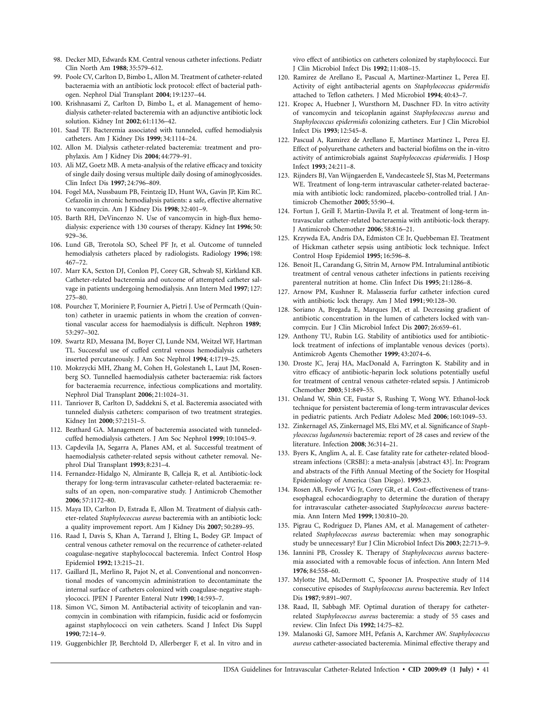- 98. Decker MD, Edwards KM. Central venous catheter infections. Pediatr Clin North Am **1988**; 35:579–612.
- 99. Poole CV, Carlton D, Bimbo L, Allon M. Treatment of catheter-related bacteraemia with an antibiotic lock protocol: effect of bacterial pathogen. Nephrol Dial Transplant **2004**; 19:1237–44.
- 100. Krishnasami Z, Carlton D, Bimbo L, et al. Management of hemodialysis catheter-related bacteremia with an adjunctive antibiotic lock solution. Kidney Int **2002**; 61:1136–42.
- 101. Saad TF. Bacteremia associated with tunneled, cuffed hemodialysis catheters. Am J Kidney Dis **1999**; 34:1114–24.
- 102. Allon M. Dialysis catheter-related bacteremia: treatment and prophylaxis. Am J Kidney Dis **2004**; 44:779–91.
- 103. Ali MZ, Goetz MB. A meta-analysis of the relative efficacy and toxicity of single daily dosing versus multiple daily dosing of aminoglycosides. Clin Infect Dis **1997**; 24:796–809.
- 104. Fogel MA, Nussbaum PB, Feintzeig ID, Hunt WA, Gavin JP, Kim RC. Cefazolin in chronic hemodialysis patients: a safe, effective alternative to vancomycin. Am J Kidney Dis **1998**; 32:401–9.
- 105. Barth RH, DeVincenzo N. Use of vancomycin in high-flux hemodialysis: experience with 130 courses of therapy. Kidney Int **1996**; 50: 929–36.
- 106. Lund GB, Trerotola SO, Scheel PF Jr, et al. Outcome of tunneled hemodialysis catheters placed by radiologists. Radiology **1996**; 198: 467–72.
- 107. Marr KA, Sexton DJ, Conlon PJ, Corey GR, Schwab SJ, Kirkland KB. Catheter-related bacteremia and outcome of attempted catheter salvage in patients undergoing hemodialysis. Ann Intern Med **1997**; 127: 275–80.
- 108. Pourchez T, Moriniere P, Fournier A, Pietri J. Use of Permcath (Quinton) catheter in uraemic patients in whom the creation of conventional vascular access for haemodialysis is difficult. Nephron **1989**; 53:297–302.
- 109. Swartz RD, Messana JM, Boyer CJ, Lunde NM, Weitzel WF, Hartman TL. Successful use of cuffed central venous hemodialysis catheters inserted percutaneously. J Am Soc Nephrol **1994**; 4:1719–25.
- 110. Mokrzycki MH, Zhang M, Cohen H, Golestaneh L, Laut JM, Rosenberg SO. Tunnelled haemodialysis catheter bacteraemia: risk factors for bacteraemia recurrence, infectious complications and mortality. Nephrol Dial Transplant **2006**; 21:1024–31.
- 111. Tanriover B, Carlton D, Saddekni S, et al. Bacteremia associated with tunneled dialysis catheters: comparison of two treatment strategies. Kidney Int **2000**; 57:2151–5.
- 112. Beathard GA. Management of bacteremia associated with tunneledcuffed hemodialysis catheters. J Am Soc Nephrol **1999**; 10:1045–9.
- 113. Capdevila JA, Segarra A, Planes AM, et al. Successful treatment of haemodialysis catheter-related sepsis without catheter removal. Nephrol Dial Transplant **1993**; 8:231–4.
- 114. Fernandez-Hidalgo N, Almirante B, Calleja R, et al. Antibiotic-lock therapy for long-term intravascular catheter-related bacteraemia: results of an open, non-comparative study. J Antimicrob Chemother **2006**; 57:1172–80.
- 115. Maya ID, Carlton D, Estrada E, Allon M. Treatment of dialysis catheter-related *Staphylococcus aureus* bacteremia with an antibiotic lock: a quality improvement report. Am J Kidney Dis **2007**; 50:289–95.
- 116. Raad I, Davis S, Khan A, Tarrand J, Elting L, Bodey GP. Impact of central venous catheter removal on the recurrence of catheter-related coagulase-negative staphylococcal bacteremia. Infect Control Hosp Epidemiol **1992**; 13:215–21.
- 117. Gaillard JL, Merlino R, Pajot N, et al. Conventional and nonconventional modes of vancomycin administration to decontaminate the internal surface of catheters colonized with coagulase-negative staphylococci. JPEN J Parenter Enteral Nutr **1990**; 14:593–7.
- 118. Simon VC, Simon M. Antibacterial activity of teicoplanin and vancomycin in combination with rifampicin, fusidic acid or fosfomycin against staphylococci on vein catheters. Scand J Infect Dis Suppl **1990**; 72:14–9.
- 119. Guggenbichler JP, Berchtold D, Allerberger F, et al. In vitro and in

vivo effect of antibiotics on catheters colonized by staphylococci. Eur J Clin Microbiol Infect Dis **1992**; 11:408–15.

- 120. Ramirez de Arellano E, Pascual A, Martinez-Martinez L, Perea EJ. Activity of eight antibacterial agents on *Staphylococcus epidermidis* attached to Teflon catheters. J Med Microbiol **1994**; 40:43–7.
- 121. Kropec A, Huebner J, Wursthorn M, Daschner FD. In vitro activity of vancomycin and teicoplanin against *Staphylococcus aureus* and *Staphylococcus epidermidis* colonizing catheters. Eur J Clin Microbiol Infect Dis **1993**; 12:545–8.
- 122. Pascual A, Ramirez de Arellano E, Martinez Martinez L, Perea EJ. Effect of polyurethane catheters and bacterial biofilms on the in-vitro activity of antimicrobials against *Staphylococcus epidermidis*. J Hosp Infect **1993**; 24:211–8.
- 123. Rijnders BJ, Van Wijngaerden E, Vandecasteele SJ, Stas M, Peetermans WE. Treatment of long-term intravascular catheter-related bacteraemia with antibiotic lock: randomized, placebo-controlled trial. J Antimicrob Chemother **2005**; 55:90–4.
- 124. Fortun J, Grill F, Martin-Davila P, et al. Treatment of long-term intravascular catheter-related bacteraemia with antibiotic-lock therapy. J Antimicrob Chemother **2006**; 58:816–21.
- 125. Krzywda EA, Andris DA, Edmiston CE Jr, Quebbeman EJ. Treatment of Hickman catheter sepsis using antibiotic lock technique. Infect Control Hosp Epidemiol **1995**; 16:596–8.
- 126. Benoit JL, Carandang G, Sitrin M, Arnow PM. Intraluminal antibiotic treatment of central venous catheter infections in patients receiving parenteral nutrition at home. Clin Infect Dis **1995**; 21:1286–8.
- 127. Arnow PM, Kushner R. Malassezia furfur catheter infection cured with antibiotic lock therapy. Am J Med **1991**; 90:128–30.
- 128. Soriano A, Bregada E, Marques JM, et al. Decreasing gradient of antibiotic concentration in the lumen of catheters locked with vancomycin. Eur J Clin Microbiol Infect Dis **2007**; 26:659–61.
- 129. Anthony TU, Rubin LG. Stability of antibiotics used for antibioticlock treatment of infections of implantable venous devices (ports). Antimicrob Agents Chemother **1999**; 43:2074–6.
- 130. Droste JC, Jeraj HA, MacDonald A, Farrington K. Stability and in vitro efficacy of antibiotic-heparin lock solutions potentially useful for treatment of central venous catheter-related sepsis. J Antimicrob Chemother **2003**; 51:849–55.
- 131. Onland W, Shin CE, Fustar S, Rushing T, Wong WY. Ethanol-lock technique for persistent bacteremia of long-term intravascular devices in pediatric patients. Arch Pediatr Adolesc Med **2006**; 160:1049–53.
- 132. Zinkernagel AS, Zinkernagel MS, Elzi MV, et al. Significance of *Staphylococcus lugdunensis* bacteremia: report of 28 cases and review of the literature. Infection **2008**; 36:314–21.
- 133. Byers K, Anglim A, al. E. Case fatality rate for catheter-related bloodstream infections (CRSBI): a meta-analysis [abstract 43]. In: Program and abstracts of the Fifth Annual Meeting of the Society for Hospital Epidemiology of America (San Diego). **1995**:23.
- 134. Rosen AB, Fowler VG Jr, Corey GR, et al. Cost-effectiveness of transesophageal echocardiography to determine the duration of therapy for intravascular catheter-associated *Staphylococcus aureus* bacteremia. Ann Intern Med **1999**; 130:810–20.
- 135. Pigrau C, Rodriguez D, Planes AM, et al. Management of catheterrelated *Staphylococcus aureus* bacteremia: when may sonographic study be unnecessary? Eur J Clin Microbiol Infect Dis **2003**; 22:713–9.
- 136. Iannini PB, Crossley K. Therapy of *Staphylococcus aureus* bacteremia associated with a removable focus of infection. Ann Intern Med **1976**; 84:558–60.
- 137. Mylotte JM, McDermott C, Spooner JA. Prospective study of 114 consecutive episodes of *Staphylococcus aureus* bacteremia. Rev Infect Dis **1987**; 9:891–907.
- 138. Raad, II, Sabbagh MF. Optimal duration of therapy for catheterrelated *Staphylococcus aureus* bacteremia: a study of 55 cases and review. Clin Infect Dis **1992**; 14:75–82.
- 139. Malanoski GJ, Samore MH, Pefanis A, Karchmer AW. *Staphylococcus aureus* catheter-associated bacteremia. Minimal effective therapy and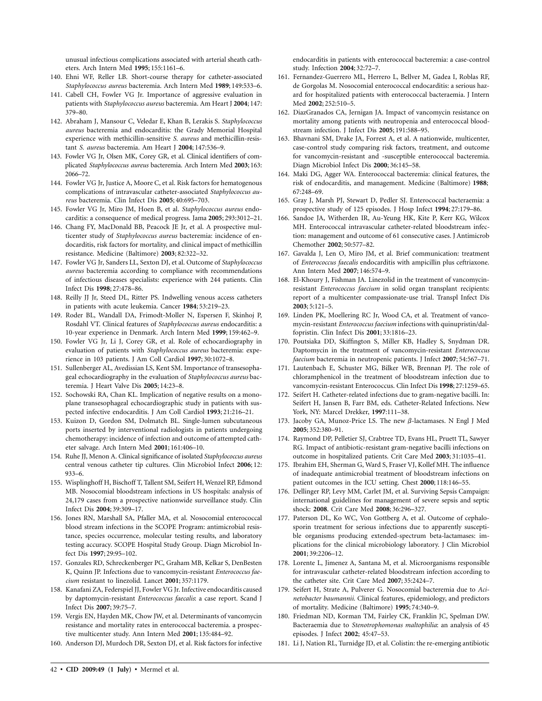unusual infectious complications associated with arterial sheath catheters. Arch Intern Med **1995**; 155:1161–6.

- 140. Ehni WF, Reller LB. Short-course therapy for catheter-associated *Staphylococcus aureus* bacteremia. Arch Intern Med **1989**; 149:533–6.
- 141. Cabell CH, Fowler VG Jr. Importance of aggressive evaluation in patients with *Staphylococcus aureus* bacteremia. Am Heart J **2004**; 147: 379–80.
- 142. Abraham J, Mansour C, Veledar E, Khan B, Lerakis S. *Staphylococcus aureus* bacteremia and endocarditis: the Grady Memorial Hospital experience with methicillin-sensitive *S. aureus* and methicillin-resistant *S. aureus* bacteremia. Am Heart J **2004**; 147:536–9.
- 143. Fowler VG Jr, Olsen MK, Corey GR, et al. Clinical identifiers of complicated *Staphylococcus aureus* bacteremia. Arch Intern Med **2003**; 163: 2066–72.
- 144. Fowler VG Jr, Justice A, Moore C, et al. Risk factors for hematogenous complications of intravascular catheter-associated *Staphylococcus aureus* bacteremia. Clin Infect Dis **2005**; 40:695–703.
- 145. Fowler VG Jr, Miro JM, Hoen B, et al. *Staphylococcus aureus* endocarditis: a consequence of medical progress. Jama **2005**; 293:3012–21.
- 146. Chang FY, MacDonald BB, Peacock JE Jr, et al. A prospective multicenter study of *Staphylococcus aureus* bacteremia: incidence of endocarditis, risk factors for mortality, and clinical impact of methicillin resistance. Medicine (Baltimore) **2003**; 82:322–32.
- 147. Fowler VG Jr, Sanders LL, Sexton DJ, et al. Outcome of *Staphylococcus aureus* bacteremia according to compliance with recommendations of infectious diseases specialists: experience with 244 patients. Clin Infect Dis **1998**; 27:478–86.
- 148. Reilly JJ Jr, Steed DL, Ritter PS. Indwelling venous access catheters in patients with acute leukemia. Cancer **1984**; 53:219–23.
- 149. Roder BL, Wandall DA, Frimodt-Moller N, Espersen F, Skinhoj P, Rosdahl VT. Clinical features of *Staphylococcus aureus* endocarditis: a 10-year experience in Denmark. Arch Intern Med **1999**; 159:462–9.
- 150. Fowler VG Jr, Li J, Corey GR, et al. Role of echocardiography in evaluation of patients with *Staphylococcus aureus* bacteremia: experience in 103 patients. J Am Coll Cardiol **1997**; 30:1072–8.
- 151. Sullenberger AL, Avedissian LS, Kent SM. Importance of transesophageal echocardiography in the evaluation of *Staphylococcus aureus* bacteremia. J Heart Valve Dis **2005**; 14:23–8.
- 152. Sochowski RA, Chan KL. Implication of negative results on a monoplane transesophageal echocardiographic study in patients with suspected infective endocarditis. J Am Coll Cardiol **1993**; 21:216–21.
- 153. Kuizon D, Gordon SM, Dolmatch BL. Single-lumen subcutaneous ports inserted by interventional radiologists in patients undergoing chemotherapy: incidence of infection and outcome of attempted catheter salvage. Arch Intern Med **2001**; 161:406–10.
- 154. Ruhe JJ, Menon A. Clinical significance of isolated *Staphylococcus aureus* central venous catheter tip cultures. Clin Microbiol Infect **2006**; 12: 933–6.
- 155. Wisplinghoff H, Bischoff T, Tallent SM, Seifert H, Wenzel RP, Edmond MB. Nosocomial bloodstream infections in US hospitals: analysis of 24,179 cases from a prospective nationwide surveillance study. Clin Infect Dis **2004**; 39:309–17.
- 156. Jones RN, Marshall SA, Pfaller MA, et al. Nosocomial enterococcal blood stream infections in the SCOPE Program: antimicrobial resistance, species occurrence, molecular testing results, and laboratory testing accuracy. SCOPE Hospital Study Group. Diagn Microbiol Infect Dis **1997**; 29:95–102.
- 157. Gonzales RD, Schreckenberger PC, Graham MB, Kelkar S, DenBesten K, Quinn JP. Infections due to vancomycin-resistant *Enterococcus faecium* resistant to linezolid. Lancet **2001**; 357:1179.
- 158. Kanafani ZA, Federspiel JJ, Fowler VG Jr. Infective endocarditis caused by daptomycin-resistant *Enterococcus faecalis*: a case report. Scand J Infect Dis **2007**; 39:75–7.
- 159. Vergis EN, Hayden MK, Chow JW, et al. Determinants of vancomycin resistance and mortality rates in enterococcal bacteremia. a prospective multicenter study. Ann Intern Med **2001**; 135:484–92.
- 160. Anderson DJ, Murdoch DR, Sexton DJ, et al. Risk factors for infective

endocarditis in patients with enterococcal bacteremia: a case-control study. Infection **2004**; 32:72–7.

- 161. Fernandez-Guerrero ML, Herrero L, Bellver M, Gadea I, Roblas RF, de Gorgolas M. Nosocomial enterococcal endocarditis: a serious hazard for hospitalized patients with enterococcal bacteraemia. J Intern Med **2002**; 252:510–5.
- 162. DiazGranados CA, Jernigan JA. Impact of vancomycin resistance on mortality among patients with neutropenia and enterococcal bloodstream infection. J Infect Dis **2005**; 191:588–95.
- 163. Bhavnani SM, Drake JA, Forrest A, et al. A nationwide, multicenter, case-control study comparing risk factors, treatment, and outcome for vancomycin-resistant and -susceptible enterococcal bacteremia. Diagn Microbiol Infect Dis **2000**; 36:145–58.
- 164. Maki DG, Agger WA. Enterococcal bacteremia: clinical features, the risk of endocarditis, and management. Medicine (Baltimore) **1988**; 67:248–69.
- 165. Gray J, Marsh PJ, Stewart D, Pedler SJ. Enterococcal bacteraemia: a prospective study of 125 episodes. J Hosp Infect **1994**; 27:179–86.
- 166. Sandoe JA, Witherden IR, Au-Yeung HK, Kite P, Kerr KG, Wilcox MH. Enterococcal intravascular catheter-related bloodstream infection: management and outcome of 61 consecutive cases. J Antimicrob Chemother **2002**; 50:577–82.
- 167. Gavalda J, Len O, Miro JM, et al. Brief communication: treatment of *Enterococcus faecalis* endocarditis with ampicillin plus ceftriaxone. Ann Intern Med **2007**; 146:574–9.
- 168. El-Khoury J, Fishman JA. Linezolid in the treatment of vancomycinresistant *Enterococcus faecium* in solid organ transplant recipients: report of a multicenter compassionate-use trial. Transpl Infect Dis **2003**; 5:121–5.
- 169. Linden PK, Moellering RC Jr, Wood CA, et al. Treatment of vancomycin-resistant *Enterococcus faecium* infections with quinupristin/dalfopristin. Clin Infect Dis **2001**; 33:1816–23.
- 170. Poutsiaka DD, Skiffington S, Miller KB, Hadley S, Snydman DR. Daptomycin in the treatment of vancomycin-resistant *Enterococcus faecium* bacteremia in neutropenic patients. J Infect **2007**; 54:567–71.
- 171. Lautenbach E, Schuster MG, Bilker WB, Brennan PJ. The role of chloramphenicol in the treatment of bloodstream infection due to vancomycin-resistant Enterococcus. Clin Infect Dis **1998**; 27:1259–65.
- 172. Seifert H. Catheter-related infections due to gram-negative bacilli. In: Seifert H, Jansen B, Farr BM, eds. Catheter-Related Infections. New York, NY: Marcel Drekker, **1997**:111–38.
- 173. Jacoby GA, Munoz-Price LS. The new  $\beta$ -lactamases. N Engl J Med **2005**; 352:380–91.
- 174. Raymond DP, Pelletier SJ, Crabtree TD, Evans HL, Pruett TL, Sawyer RG. Impact of antibiotic-resistant gram-negative bacilli infections on outcome in hospitalized patients. Crit Care Med **2003**; 31:1035–41.
- 175. Ibrahim EH, Sherman G, Ward S, Fraser VJ, Kollef MH. The influence of inadequate antimicrobial treatment of bloodstream infections on patient outcomes in the ICU setting. Chest **2000**; 118:146–55.
- 176. Dellinger RP, Levy MM, Carlet JM, et al. Surviving Sepsis Campaign: international guidelines for management of severe sepsis and septic shock: **2008**. Crit Care Med **2008**; 36:296–327.
- 177. Paterson DL, Ko WC, Von Gottberg A, et al. Outcome of cephalosporin treatment for serious infections due to apparently susceptible organisms producing extended-spectrum beta-lactamases: implications for the clinical microbiology laboratory. J Clin Microbiol **2001**; 39:2206–12.
- 178. Lorente L, Jimenez A, Santana M, et al. Microorganisms responsible for intravascular catheter-related bloodstream infection according to the catheter site. Crit Care Med **2007**; 35:2424–7.
- 179. Seifert H, Strate A, Pulverer G. Nosocomial bacteremia due to *Acinetobacter baumannii.* Clinical features, epidemiology, and predictors of mortality. Medicine (Baltimore) **1995**; 74:340–9.
- 180. Friedman ND, Korman TM, Fairley CK, Franklin JC, Spelman DW. Bacteraemia due to *Stenotrophomonas maltophilia*: an analysis of 45 episodes. J Infect **2002**; 45:47–53.
- 181. Li J, Nation RL, Turnidge JD, et al. Colistin: the re-emerging antibiotic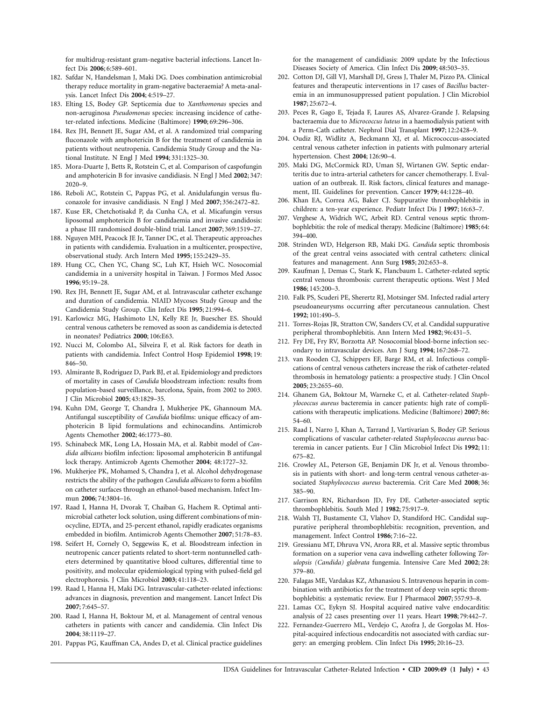for multidrug-resistant gram-negative bacterial infections. Lancet Infect Dis **2006**; 6:589–601.

- 182. Safdar N, Handelsman J, Maki DG. Does combination antimicrobial therapy reduce mortality in gram-negative bacteraemia? A meta-analysis. Lancet Infect Dis **2004**; 4:519–27.
- 183. Elting LS, Bodey GP. Septicemia due to *Xanthomonas* species and non-aeruginosa *Pseudomonas* species: increasing incidence of catheter-related infections. Medicine (Baltimore) **1990**; 69:296–306.
- 184. Rex JH, Bennett JE, Sugar AM, et al. A randomized trial comparing fluconazole with amphotericin B for the treatment of candidemia in patients without neutropenia. Candidemia Study Group and the National Institute. N Engl J Med **1994**; 331:1325–30.
- 185. Mora-Duarte J, Betts R, Rotstein C, et al. Comparison of caspofungin and amphotericin B for invasive candidiasis. N Engl J Med **2002**; 347: 2020–9.
- 186. Reboli AC, Rotstein C, Pappas PG, et al. Anidulafungin versus fluconazole for invasive candidiasis. N Engl J Med **2007**; 356:2472–82.
- 187. Kuse ER, Chetchotisakd P, da Cunha CA, et al. Micafungin versus liposomal amphotericin B for candidaemia and invasive candidosis: a phase III randomised double-blind trial. Lancet **2007**; 369:1519–27.
- 188. Nguyen MH, Peacock JE Jr, Tanner DC, et al. Therapeutic approaches in patients with candidemia. Evaluation in a multicenter, prospective, observational study. Arch Intern Med **1995**; 155:2429–35.
- 189. Hung CC, Chen YC, Chang SC, Luh KT, Hsieh WC. Nosocomial candidemia in a university hospital in Taiwan. J Formos Med Assoc **1996**; 95:19–28.
- 190. Rex JH, Bennett JE, Sugar AM, et al. Intravascular catheter exchange and duration of candidemia. NIAID Mycoses Study Group and the Candidemia Study Group. Clin Infect Dis **1995**; 21:994–6.
- 191. Karlowicz MG, Hashimoto LN, Kelly RE Jr, Buescher ES. Should central venous catheters be removed as soon as candidemia is detected in neonates? Pediatrics **2000**; 106:E63.
- 192. Nucci M, Colombo AL, Silveira F, et al. Risk factors for death in patients with candidemia. Infect Control Hosp Epidemiol **1998**; 19: 846–50.
- 193. Almirante B, Rodriguez D, Park BJ, et al. Epidemiology and predictors of mortality in cases of *Candida* bloodstream infection: results from population-based surveillance, barcelona, Spain, from 2002 to 2003. J Clin Microbiol **2005**; 43:1829–35.
- 194. Kuhn DM, George T, Chandra J, Mukherjee PK, Ghannoum MA. Antifungal susceptibility of *Candida* biofilms: unique efficacy of amphotericin B lipid formulations and echinocandins. Antimicrob Agents Chemother **2002**; 46:1773–80.
- 195. Schinabeck MK, Long LA, Hossain MA, et al. Rabbit model of *Candida albicans* biofilm infection: liposomal amphotericin B antifungal lock therapy. Antimicrob Agents Chemother **2004**; 48:1727–32.
- 196. Mukherjee PK, Mohamed S, Chandra J, et al. Alcohol dehydrogenase restricts the ability of the pathogen *Candida albicans* to form a biofilm on catheter surfaces through an ethanol-based mechanism. Infect Immun **2006**; 74:3804–16.
- 197. Raad I, Hanna H, Dvorak T, Chaiban G, Hachem R. Optimal antimicrobial catheter lock solution, using different combinations of minocycline, EDTA, and 25-percent ethanol, rapidly eradicates organisms embedded in biofilm. Antimicrob Agents Chemother **2007**; 51:78–83.
- 198. Seifert H, Cornely O, Seggewiss K, et al. Bloodstream infection in neutropenic cancer patients related to short-term nontunnelled catheters determined by quantitative blood cultures, differential time to positivity, and molecular epidemiological typing with pulsed-field gel electrophoresis. J Clin Microbiol **2003**; 41:118–23.
- 199. Raad I, Hanna H, Maki DG. Intravascular-catheter-related infections: advances in diagnosis, prevention and mangement. Lancet Infect Dis **2007**; 7:645–57.
- 200. Raad I, Hanna H, Boktour M, et al. Management of central venous catheters in patients with cancer and candidemia. Clin Infect Dis **2004**; 38:1119–27.
- 201. Pappas PG, Kauffman CA, Andes D, et al. Clinical practice guidelines

for the management of candidiasis: 2009 update by the Infectious Diseases Society of America. Clin Infect Dis **2009**; 48:503–35.

- 202. Cotton DJ, Gill VJ, Marshall DJ, Gress J, Thaler M, Pizzo PA. Clinical features and therapeutic interventions in 17 cases of *Bacillus* bacteremia in an immunosuppressed patient population. J Clin Microbiol **1987**; 25:672–4.
- 203. Peces R, Gago E, Tejada F, Laures AS, Alvarez-Grande J. Relapsing bacteraemia due to *Micrococcus luteus* in a haemodialysis patient with a Perm-Cath catheter. Nephrol Dial Transplant **1997**; 12:2428–9.
- 204. Oudiz RJ, Widlitz A, Beckmann XJ, et al. Micrococcus-associated central venous catheter infection in patients with pulmonary arterial hypertension. Chest **2004**; 126:90–4.
- 205. Maki DG, McCormick RD, Uman SJ, Wirtanen GW. Septic endarteritis due to intra-arterial catheters for cancer chemotherapy. I. Evaluation of an outbreak. II. Risk factors, clinical features and management, III. Guidelines for prevention. Cancer **1979**; 44:1228–40.
- 206. Khan EA, Correa AG, Baker CJ. Suppurative thrombophlebitis in children: a ten-year experience. Pediatr Infect Dis J **1997**; 16:63–7.
- 207. Verghese A, Widrich WC, Arbeit RD. Central venous septic thrombophlebitis: the role of medical therapy. Medicine (Baltimore) **1985**; 64: 394–400.
- 208. Strinden WD, Helgerson RB, Maki DG. *Candida* septic thrombosis of the great central veins associated with central catheters: clinical features and management. Ann Surg **1985**; 202:653–8.
- 209. Kaufman J, Demas C, Stark K, Flancbaum L. Catheter-related septic central venous thrombosis: current therapeutic options. West J Med **1986**; 145:200–3.
- 210. Falk PS, Scuderi PE, Sherertz RJ, Motsinger SM. Infected radial artery pseudoaneurysms occurring after percutaneous cannulation. Chest **1992**; 101:490–5.
- 211. Torres-Rojas JR, Stratton CW, Sanders CV, et al. Candidal suppurative peripheral thrombophlebitis. Ann Intern Med **1982**; 96:431–5.
- 212. Fry DE, Fry RV, Borzotta AP. Nosocomial blood-borne infection secondary to intravascular devices. Am J Surg **1994**; 167:268–72.
- 213. van Rooden CJ, Schippers EF, Barge RM, et al. Infectious complications of central venous catheters increase the risk of catheter-related thrombosis in hematology patients: a prospective study. J Clin Oncol **2005**; 23:2655–60.
- 214. Ghanem GA, Boktour M, Warneke C, et al. Catheter-related *Staphylococcus aureus* bacteremia in cancer patients: high rate of complications with therapeutic implications. Medicine (Baltimore) **2007**; 86: 54–60.
- 215. Raad I, Narro J, Khan A, Tarrand J, Vartivarian S, Bodey GP. Serious complications of vascular catheter-related *Staphylococcus aureus* bacteremia in cancer patients. Eur J Clin Microbiol Infect Dis **1992**; 11: 675–82.
- 216. Crowley AL, Peterson GE, Benjamin DK Jr, et al. Venous thrombosis in patients with short- and long-term central venous catheter-associated *Staphylococcus aureus* bacteremia. Crit Care Med **2008**; 36: 385–90.
- 217. Garrison RN, Richardson JD, Fry DE. Catheter-associated septic thrombophlebitis. South Med J **1982**; 75:917–9.
- 218. Walsh TJ, Bustamente CI, Vlahov D, Standiford HC. Candidal suppurative peripheral thrombophlebitis: recognition, prevention, and management. Infect Control **1986**; 7:16–22.
- 219. Gressianu MT, Dhruva VN, Arora RR, et al. Massive septic thrombus formation on a superior vena cava indwelling catheter following *Torulopsis (Candida) glabrata* fungemia. Intensive Care Med **2002**; 28: 379–80.
- 220. Falagas ME, Vardakas KZ, Athanasiou S. Intravenous heparin in combination with antibiotics for the treatment of deep vein septic thrombophlebitis: a systematic review. Eur J Pharmacol **2007**; 557:93–8.
- 221. Lamas CC, Eykyn SJ. Hospital acquired native valve endocarditis: analysis of 22 cases presenting over 11 years. Heart **1998**; 79:442–7.
- 222. Fernandez-Guerrero ML, Verdejo C, Azofra J, de Gorgolas M. Hospital-acquired infectious endocarditis not associated with cardiac surgery: an emerging problem. Clin Infect Dis **1995**; 20:16–23.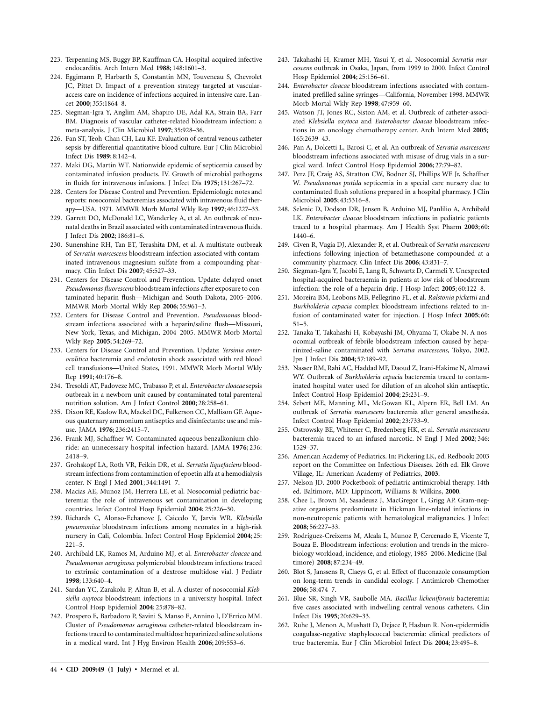- 223. Terpenning MS, Buggy BP, Kauffman CA. Hospital-acquired infective endocarditis. Arch Intern Med **1988**; 148:1601–3.
- 224. Eggimann P, Harbarth S, Constantin MN, Touveneau S, Chevrolet JC, Pittet D. Impact of a prevention strategy targeted at vascularaccess care on incidence of infections acquired in intensive care. Lancet **2000**; 355:1864–8.
- 225. Siegman-Igra Y, Anglim AM, Shapiro DE, Adal KA, Strain BA, Farr BM. Diagnosis of vascular catheter-related bloodstream infection: a meta-analysis. J Clin Microbiol **1997**; 35:928–36.
- 226. Fan ST, Teoh-Chan CH, Lau KF. Evaluation of central venous catheter sepsis by differential quantitative blood culture. Eur J Clin Microbiol Infect Dis **1989**; 8:142–4.
- 227. Maki DG, Martin WT. Nationwide epidemic of septicemia caused by contaminated infusion products. IV. Growth of microbial pathogens in fluids for intravenous infusions. J Infect Dis **1975**; 131:267–72.
- 228. Centers for Disease Control and Prevention. Epidemiologic notes and reports: nosocomial bacteremias associated with intravenous fluid therapy—USA. 1971. MMWR Morb Mortal Wkly Rep **1997**; 46:1227–33.
- 229. Garrett DO, McDonald LC, Wanderley A, et al. An outbreak of neonatal deaths in Brazil associated with contaminated intravenous fluids. J Infect Dis **2002**; 186:81–6.
- 230. Sunenshine RH, Tan ET, Terashita DM, et al. A multistate outbreak of *Serratia marcescens* bloodstream infection associated with contaminated intravenous magnesium sulfate from a compounding pharmacy. Clin Infect Dis **2007**; 45:527–33.
- 231. Centers for Disease Control and Prevention. Update: delayed onset *Pseudomonas fluorescens* bloodstream infections after exposure to contaminated heparin flush—Michigan and South Dakota, 2005–2006. MMWR Morb Mortal Wkly Rep **2006**; 55:961–3.
- 232. Centers for Disease Control and Prevention. *Pseudomonas* bloodstream infections associated with a heparin/saline flush—Missouri, New York, Texas, and Michigan, 2004–2005. MMWR Morb Mortal Wkly Rep **2005**; 54:269–72.
- 233. Centers for Disease Control and Prevention. Update: *Yersinia enterocolitica* bacteremia and endotoxin shock associated with red blood cell transfusions—United States, 1991. MMWR Morb Mortal Wkly Rep **1991**; 40:176–8.
- 234. Tresoldi AT, Padoveze MC, Trabasso P, et al. *Enterobacter cloacae*sepsis outbreak in a newborn unit caused by contaminated total parenteral nutrition solution. Am J Infect Control **2000**; 28:258–61.
- 235. Dixon RE, Kaslow RA, Mackel DC, Fulkerson CC, Mallison GF. Aqueous quaternary ammonium antiseptics and disinfectants: use and misuse. JAMA **1976**; 236:2415–7.
- 236. Frank MJ, Schaffner W. Contaminated aqueous benzalkonium chloride: an unnecessary hospital infection hazard. JAMA **1976**; 236: 2418–9.
- 237. Grohskopf LA, Roth VR, Feikin DR, et al. *Serratia liquefaciens* bloodstream infections from contamination of epoetin alfa at a hemodialysis center. N Engl J Med **2001**; 344:1491–7.
- 238. Macias AE, Munoz JM, Herrera LE, et al. Nosocomial pediatric bacteremia: the role of intravenous set contamination in developing countries. Infect Control Hosp Epidemiol **2004**; 25:226–30.
- 239. Richards C, Alonso-Echanove J, Caicedo Y, Jarvis WR. *Klebsiella pneumoniae* bloodstream infections among neonates in a high-risk nursery in Cali, Colombia. Infect Control Hosp Epidemiol **2004**; 25: 221–5.
- 240. Archibald LK, Ramos M, Arduino MJ, et al. *Enterobacter cloacae* and *Pseudomonas aeruginosa* polymicrobial bloodstream infections traced to extrinsic contamination of a dextrose multidose vial. J Pediatr **1998**; 133:640–4.
- 241. Sardan YC, Zarakolu P, Altun B, et al. A cluster of nosocomial *Klebsiella oxytoca* bloodstream infections in a university hospital. Infect Control Hosp Epidemiol **2004**; 25:878–82.
- 242. Prospero E, Barbadoro P, Savini S, Manso E, Annino I, D'Errico MM. Cluster of *Pseudomonas aeruginosa* catheter-related bloodstream infections traced to contaminated multidose heparinized saline solutions in a medical ward. Int J Hyg Environ Health **2006**; 209:553–6.
- 243. Takahashi H, Kramer MH, Yasui Y, et al. Nosocomial *Serratia marcescens* outbreak in Osaka, Japan, from 1999 to 2000. Infect Control Hosp Epidemiol **2004**; 25:156–61.
- 244. *Enterobacter cloacae* bloodstream infections associated with contaminated prefilled saline syringes—California, November 1998. MMWR Morb Mortal Wkly Rep **1998**; 47:959–60.
- 245. Watson JT, Jones RC, Siston AM, et al. Outbreak of catheter-associated *Klebsiella oxytoca* and *Enterobacter cloacae* bloodstream infections in an oncology chemotherapy center. Arch Intern Med **2005**; 165:2639–43.
- 246. Pan A, Dolcetti L, Barosi C, et al. An outbreak of *Serratia marcescens* bloodstream infections associated with misuse of drug vials in a surgical ward. Infect Control Hosp Epidemiol **2006**; 27:79–82.
- 247. Perz JF, Craig AS, Stratton CW, Bodner SJ, Phillips WE Jr, Schaffner W. *Pseudomonas putida* septicemia in a special care nursery due to contaminated flush solutions prepared in a hospital pharmacy. J Clin Microbiol **2005**; 43:5316–8.
- 248. Selenic D, Dodson DR, Jensen B, Arduino MJ, Panlilio A, Archibald LK. *Enterobacter cloacae* bloodstream infections in pediatric patients traced to a hospital pharmacy. Am J Health Syst Pharm **2003**; 60: 1440–6.
- 249. Civen R, Vugia DJ, Alexander R, et al. Outbreak of *Serratia marcescens* infections following injection of betamethasone compounded at a community pharmacy. Clin Infect Dis **2006**; 43:831–7.
- 250. Siegman-Igra Y, Jacobi E, Lang R, Schwartz D, Carmeli Y. Unexpected hospital-acquired bacteraemia in patients at low risk of bloodstream infection: the role of a heparin drip. J Hosp Infect **2005**; 60:122–8.
- 251. Moreira BM, Leobons MB, Pellegrino FL, et al. *Ralstonia pickettii* and *Burkholderia cepacia* complex bloodstream infections related to infusion of contaminated water for injection. J Hosp Infect **2005**; 60: 51–5.
- 252. Tanaka T, Takahashi H, Kobayashi JM, Ohyama T, Okabe N. A nosocomial outbreak of febrile bloodstream infection caused by heparinized-saline contaminated with *Serratia marcescens,* Tokyo, 2002. Jpn J Infect Dis **2004**; 57:189–92.
- 253. Nasser RM, Rahi AC, Haddad MF, Daoud Z, Irani-Hakime N, Almawi WY. Outbreak of *Burkholderia cepacia* bacteremia traced to contaminated hospital water used for dilution of an alcohol skin antiseptic. Infect Control Hosp Epidemiol **2004**; 25:231–9.
- 254. Sebert ME, Manning ML, McGowan KL, Alpern ER, Bell LM. An outbreak of *Serratia marcescens* bacteremia after general anesthesia. Infect Control Hosp Epidemiol **2002**; 23:733–9.
- 255. Ostrowsky BE, Whitener C, Bredenberg HK, et al. *Serratia marcescens* bacteremia traced to an infused narcotic. N Engl J Med **2002**; 346: 1529–37.
- 256. American Academy of Pediatrics. In: Pickering LK, ed. Redbook: 2003 report on the Committee on Infectious Diseases. 26th ed. Elk Grove Village, IL: American Academy of Pediatrics, **2003**.
- 257. Nelson JD. 2000 Pocketbook of pediatric antimicrobial therapy. 14th ed. Baltimore, MD: Lippincott, Williams & Wilkins, **2000**.
- 258. Chee L, Brown M, Sasadeusz J, MacGregor L, Grigg AP. Gram-negative organisms predominate in Hickman line-related infections in non-neutropenic patients with hematological malignancies. J Infect **2008**; 56:227–33.
- 259. Rodriguez-Creixems M, Alcala L, Munoz P, Cercenado E, Vicente T, Bouza E. Bloodstream infections: evolution and trends in the microbiology workload, incidence, and etiology, 1985–2006. Medicine (Baltimore) **2008**; 87:234–49.
- 260. Blot S, Janssens R, Claeys G, et al. Effect of fluconazole consumption on long-term trends in candidal ecology. J Antimicrob Chemother **2006**; 58:474–7.
- 261. Blue SR, Singh VR, Saubolle MA. *Bacillus licheniformis* bacteremia: five cases associated with indwelling central venous catheters. Clin Infect Dis **1995**; 20:629–33.
- 262. Ruhe J, Menon A, Mushatt D, Dejace P, Hasbun R. Non-epidermidis coagulase-negative staphylococcal bacteremia: clinical predictors of true bacteremia. Eur J Clin Microbiol Infect Dis **2004**; 23:495–8.